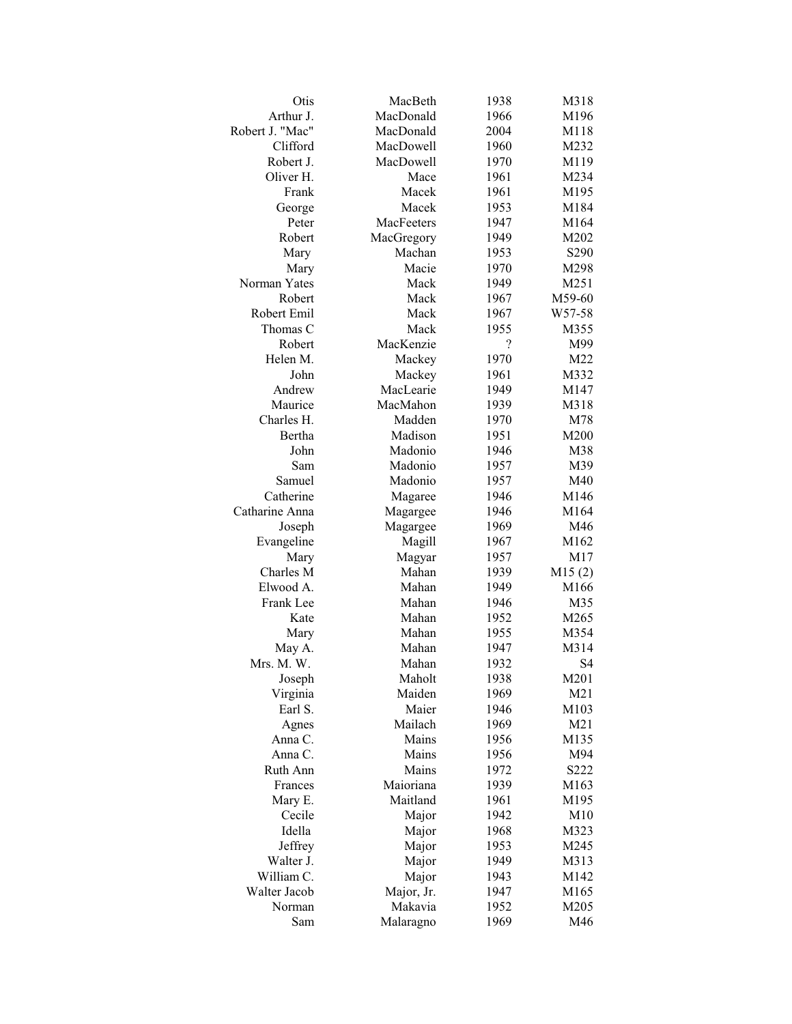| Otis                 | MacBeth    | 1938         | M318             |
|----------------------|------------|--------------|------------------|
| Arthur J.            | MacDonald  | 1966         | M196             |
| Robert J. "Mac"      | MacDonald  | 2004         | M118             |
| Clifford             | MacDowell  | 1960         | M232             |
| Robert J.            | MacDowell  | 1970         | M119             |
| Oliver H.            | Mace       | 1961         | M234             |
| Frank                | Macek      | 1961         | M195             |
| George               | Macek      | 1953         | M184             |
| Peter                | MacFeeters | 1947         | M164             |
| Robert               | MacGregory | 1949         | M202             |
| Mary                 | Machan     | 1953         | S <sub>290</sub> |
| Mary                 | Macie      | 1970         | M298             |
| Norman Yates         | Mack       | 1949         | M251             |
| Robert               | Mack       | 1967         | M59-60           |
| Robert Emil          | Mack       | 1967         | W57-58           |
| Thomas C             | Mack       | 1955         | M355             |
| Robert               | MacKenzie  | ?            | M99              |
| Helen M.             | Mackey     | 1970         | M22              |
| John                 | Mackey     | 1961         | M332             |
| Andrew               | MacLearie  | 1949         | M147             |
| Maurice              | MacMahon   | 1939         | M318             |
| Charles H.           | Madden     | 1970         | M78              |
| Bertha               | Madison    | 1951         | M200             |
| John                 | Madonio    | 1946         | M38              |
| Sam                  | Madonio    | 1957         | M39              |
| Samuel               | Madonio    | 1957         | M40              |
| Catherine            | Magaree    | 1946         | M146             |
| Catharine Anna       | Magargee   | 1946         | M164             |
| Joseph               | Magargee   | 1969         | M46              |
| Evangeline           | Magill     | 1967         | M162             |
| Mary                 | Magyar     | 1957         | M17              |
| Charles M            | Mahan      | 1939         | M15(2)           |
| Elwood A.            | Mahan      | 1949         | M166             |
| Frank Lee            | Mahan      | 1946         | M35              |
| Kate                 | Mahan      | 1952         | M265             |
| Mary                 | Mahan      | 1955         | M354             |
|                      | Mahan      | 1947         | M314             |
| May A.<br>Mrs. M. W. | Mahan      |              | S <sub>4</sub>   |
|                      | Maholt     | 1932<br>1938 | M201             |
| Joseph               | Maiden     | 1969         | M21              |
| Virginia<br>Earl S.  | Maier      | 1946         | M103             |
|                      | Mailach    |              | M21              |
| Agnes                |            | 1969         | M135             |
| Anna C.<br>Anna C.   | Mains      | 1956         |                  |
|                      | Mains      | 1956         | M94              |
| Ruth Ann             | Mains      | 1972         | S222             |
| Frances              | Maioriana  | 1939         | M163             |
| Mary E.              | Maitland   | 1961         | M195             |
| Cecile               | Major      | 1942         | M10              |
| Idella               | Major      | 1968         | M323             |
| Jeffrey              | Major      | 1953         | M245             |
| Walter J.            | Major      | 1949         | M313             |
| William C.           | Major      | 1943         | M142             |
| Walter Jacob         | Major, Jr. | 1947         | M165             |
| Norman               | Makavia    | 1952         | M205             |
| Sam                  | Malaragno  | 1969         | M46              |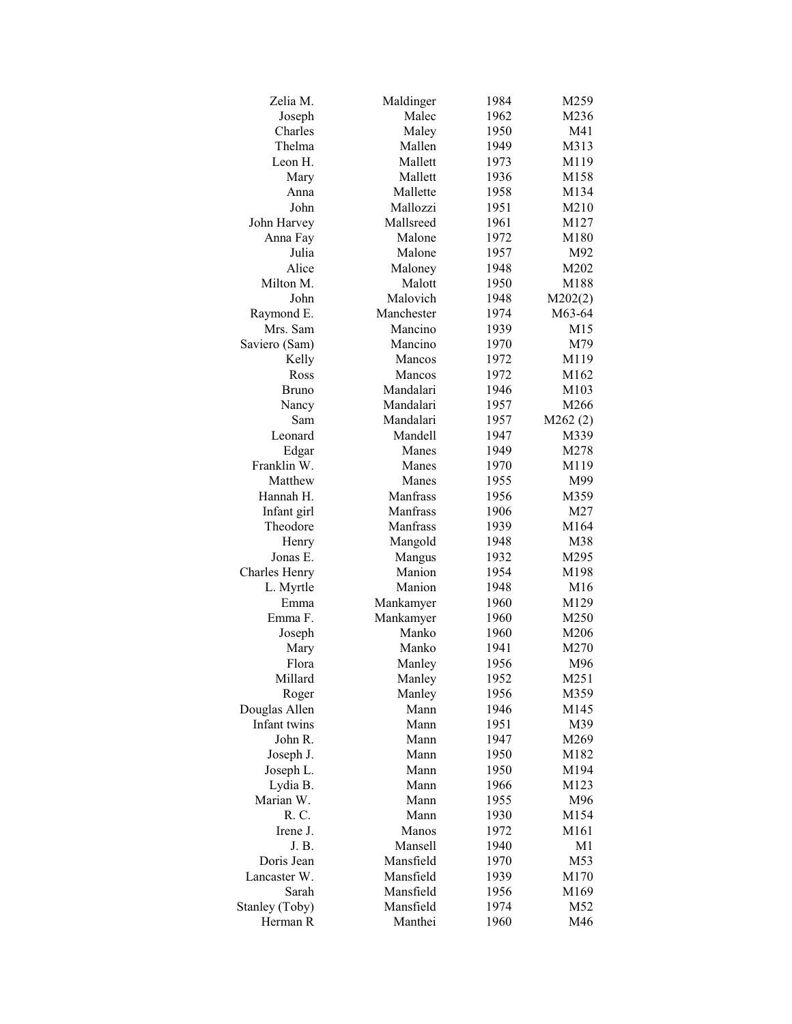| Zelia M.             | Maldinger  | 1984 | M259            |
|----------------------|------------|------|-----------------|
| Joseph               | Malec      | 1962 | M236            |
| Charles              | Maley      | 1950 | M41             |
| Thelma               | Mallen     | 1949 | M313            |
| Leon H.              | Mallett    | 1973 | M119            |
| Mary                 | Mallett    | 1936 | M158            |
| Anna                 | Mallette   | 1958 | M134            |
| John                 | Mallozzi   | 1951 | M210            |
| John Harvey          | Mallsreed  | 1961 | M127            |
| Anna Fay             | Malone     | 1972 | M180            |
| Julia                | Malone     | 1957 | M92             |
| Alice                | Maloney    | 1948 | M202            |
| Milton M.            | Malott     | 1950 | M188            |
| John                 | Malovich   | 1948 | M202(2)         |
| Raymond E.           | Manchester | 1974 | M63-64          |
| Mrs. Sam             | Mancino    | 1939 | M <sub>15</sub> |
| Saviero (Sam)        | Mancino    | 1970 | M79             |
| Kelly                | Mancos     | 1972 | M119            |
| Ross                 | Mancos     | 1972 | M162            |
| Bruno                | Mandalari  | 1946 | M103            |
|                      | Mandalari  | 1957 | M266            |
| Nancy<br>Sam         | Mandalari  |      |                 |
| Leonard              | Mandell    | 1957 | M262(2)         |
|                      | Manes      | 1947 | M339            |
| Edgar<br>Franklin W. |            | 1949 | M278            |
|                      | Manes      | 1970 | M119            |
| Matthew              | Manes      | 1955 | M99             |
| Hannah H.            | Manfrass   | 1956 | M359            |
| Infant girl          | Manfrass   | 1906 | M27             |
| Theodore             | Manfrass   | 1939 | M164            |
| Henry                | Mangold    | 1948 | M38             |
| Jonas E.             | Mangus     | 1932 | M295            |
| Charles Henry        | Manion     | 1954 | M198            |
| L. Myrtle            | Manion     | 1948 | M <sub>16</sub> |
| Emma                 | Mankamyer  | 1960 | M129            |
| Emma F.              | Mankamyer  | 1960 | M250            |
| Joseph               | Manko      | 1960 | M206            |
| Mary                 | Manko      | 1941 | M270            |
| Flora                | Manley     | 1956 | M96             |
| Millard              | Manley     | 1952 | M251            |
| Roger                | Manley     | 1956 | M359            |
| Douglas Allen        | Mann       | 1946 | M145            |
| Infant twins         | Mann       | 1951 | M39             |
| John R.              | Mann       | 1947 | M269            |
| Joseph J.            | Mann       | 1950 | M182            |
| Joseph L.            | Mann       | 1950 | M194            |
| Lydia B.             | Mann       | 1966 | M123            |
| Marian W.            | Mann       | 1955 | M96             |
| R. C.                | Mann       | 1930 | M154            |
| Irene J.             | Manos      | 1972 | M161            |
| J. B.                | Mansell    | 1940 | M1              |
| Doris Jean           | Mansfield  | 1970 | M53             |
| Lancaster W.         | Mansfield  | 1939 | M170            |
| Sarah                | Mansfield  | 1956 | M169            |
| Stanley (Toby)       | Mansfield  | 1974 | M52             |
| Herman R             | Manthei    | 1960 | M46             |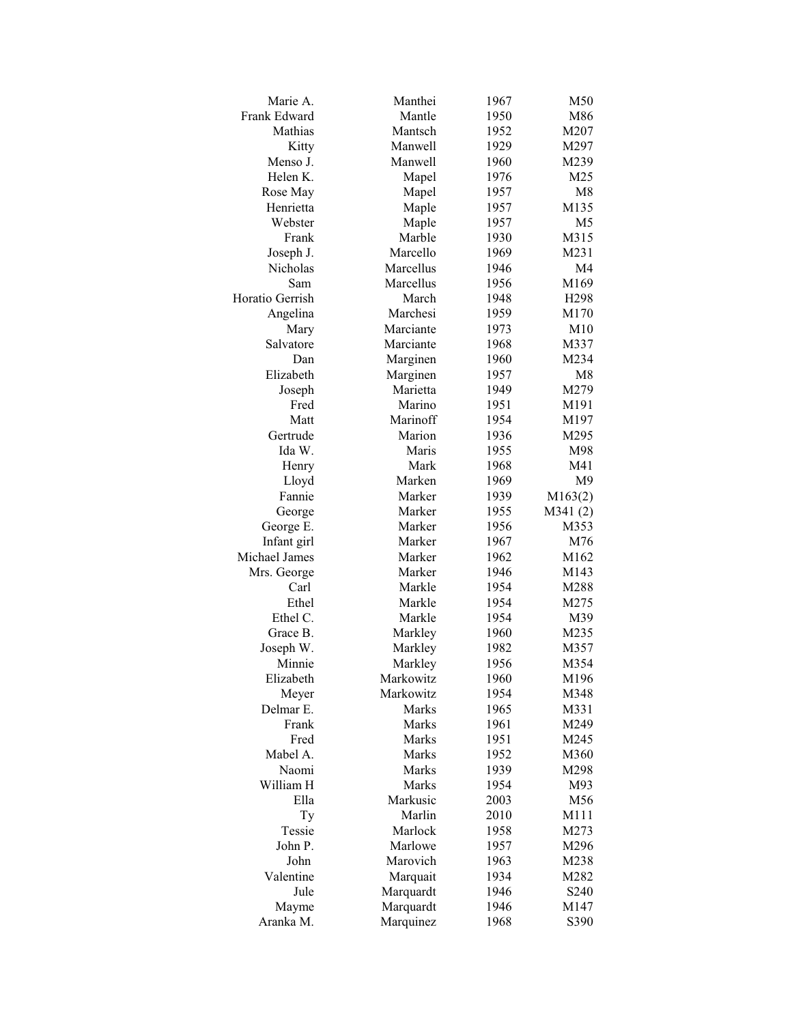| Marie A.            | Manthei   | 1967 | M50              |
|---------------------|-----------|------|------------------|
| Frank Edward        | Mantle    | 1950 | M86              |
| Mathias             | Mantsch   | 1952 | M207             |
| Kitty               | Manwell   | 1929 | M297             |
| Menso J.            | Manwell   | 1960 | M239             |
| Helen K.            | Mapel     | 1976 | M25              |
| Rose May            | Mapel     | 1957 | M8               |
| Henrietta           | Maple     | 1957 | M135             |
| Webster             | Maple     | 1957 | M <sub>5</sub>   |
| Frank               | Marble    | 1930 | M315             |
| Joseph J.           | Marcello  | 1969 | M231             |
| Nicholas            | Marcellus | 1946 | M4               |
| Sam                 | Marcellus | 1956 | M169             |
| Horatio Gerrish     | March     | 1948 | H <sub>298</sub> |
| Angelina            | Marchesi  | 1959 | M170             |
| Mary                | Marciante | 1973 | M10              |
| Salvatore           | Marciante | 1968 | M337             |
| Dan                 | Marginen  | 1960 | M234             |
| Elizabeth           | Marginen  | 1957 | M8               |
| Joseph              | Marietta  | 1949 | M279             |
| Fred                | Marino    | 1951 | M191             |
| Matt                | Marinoff  | 1954 | M197             |
| Gertrude            | Marion    | 1936 | M295             |
| Ida W.              | Maris     | 1955 | M98              |
|                     | Mark      | 1968 | M41              |
| Henry               | Marken    | 1969 | M9               |
| Lloyd<br>Fannie     | Marker    |      | M163(2)          |
|                     | Marker    | 1939 |                  |
| George              | Marker    | 1955 | M341(2)          |
| George E.           |           | 1956 | M353             |
| Infant girl         | Marker    | 1967 | M76              |
| Michael James       | Marker    | 1962 | M162             |
| Mrs. George<br>Carl | Marker    | 1946 | M143             |
|                     | Markle    | 1954 | M288             |
| Ethel               | Markle    | 1954 | M275             |
| Ethel C.            | Markle    | 1954 | M39              |
| Grace B.            | Markley   | 1960 | M235             |
| Joseph W.           | Markley   | 1982 | M357             |
| Minnie              | Markley   | 1956 | M354             |
| Elizabeth           | Markowitz | 1960 | M196             |
| Meyer               | Markowitz | 1954 | M348             |
| Delmar E.           | Marks     | 1965 | M331             |
| Frank               | Marks     | 1961 | M249             |
| Fred                | Marks     | 1951 | M245             |
| Mabel A.            | Marks     | 1952 | M360             |
| Naomi               | Marks     | 1939 | M298             |
| William H           | Marks     | 1954 | M93              |
| Ella                | Markusic  | 2003 | M56              |
| Ty                  | Marlin    | 2010 | M111             |
| Tessie              | Marlock   | 1958 | M273             |
| John P.             | Marlowe   | 1957 | M296             |
| John                | Marovich  | 1963 | M238             |
| Valentine           | Marquait  | 1934 | M282             |
| Jule                | Marquardt | 1946 | S240             |
| Mayme               | Marquardt | 1946 | M147             |
| Aranka M.           | Marquinez | 1968 | S390             |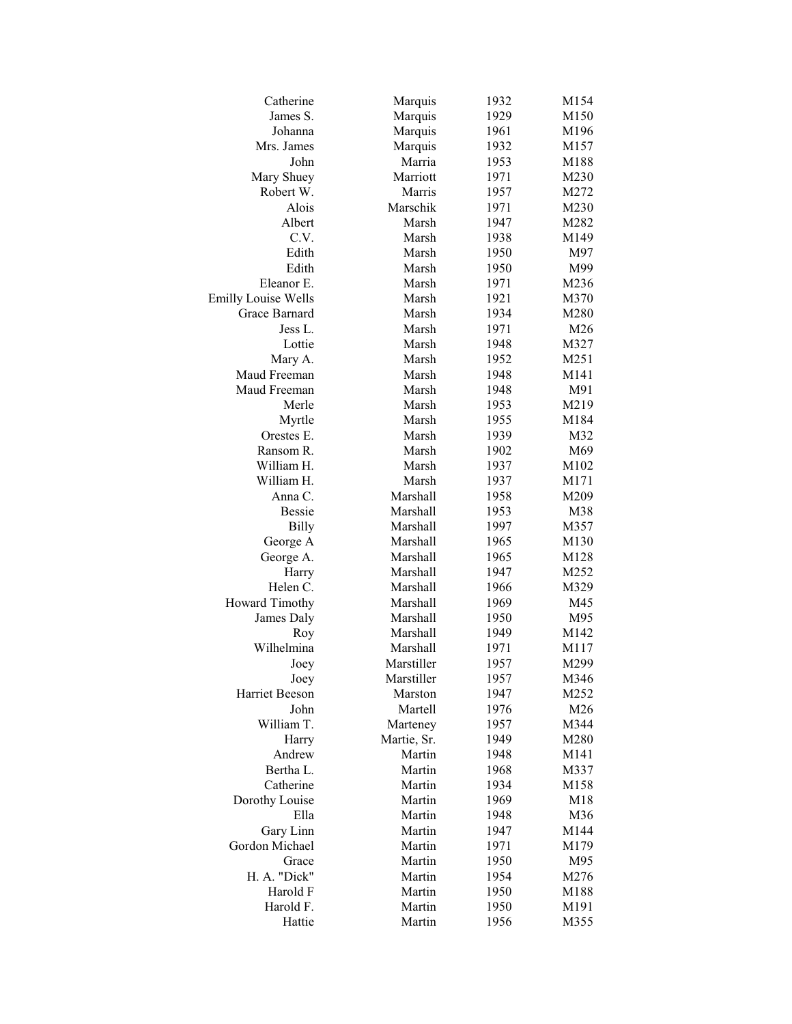| Catherine                  | Marquis              | 1932         | M154         |
|----------------------------|----------------------|--------------|--------------|
| James S.                   | Marquis              | 1929         | M150         |
| Johanna                    | Marquis              | 1961         | M196         |
| Mrs. James                 | Marquis              | 1932         | M157         |
| John                       | Marria               | 1953         | M188         |
| Mary Shuey                 | Marriott             | 1971         | M230         |
| Robert W.                  | Marris               | 1957         | M272         |
| Alois                      | Marschik             | 1971         | M230         |
| Albert                     | Marsh                | 1947         | M282         |
| C.V.                       | Marsh                | 1938         | M149         |
| Edith                      | Marsh                | 1950         | M97          |
| Edith                      | Marsh                | 1950         | M99          |
| Eleanor E.                 | Marsh                | 1971         | M236         |
| <b>Emilly Louise Wells</b> | Marsh                | 1921         | M370         |
| Grace Barnard              | Marsh                | 1934         | M280         |
| Jess L.                    | Marsh                | 1971         | M26          |
| Lottie                     | Marsh                | 1948         | M327         |
| Mary A.                    | Marsh                | 1952         | M251         |
| Maud Freeman               | Marsh                | 1948         | M141         |
| Maud Freeman               | Marsh                | 1948         | M91          |
| Merle                      | Marsh                | 1953         | M219         |
| Myrtle                     | Marsh                | 1955         | M184         |
| Orestes E.                 | Marsh                | 1939         | M32          |
| Ransom R.                  | Marsh                | 1902         | M69          |
| William H.                 | Marsh                | 1937         | M102         |
| William H.                 | Marsh                | 1937         | M171         |
| Anna C.                    | Marshall             | 1958         | M209         |
| <b>Bessie</b>              | Marshall             | 1953         | M38          |
| <b>Billy</b>               | Marshall             | 1997         | M357         |
| George A                   | Marshall             | 1965         | M130         |
| George A.                  | Marshall             | 1965         | M128         |
| Harry                      | Marshall             | 1947         | M252         |
| Helen C.                   | Marshall             | 1966         | M329         |
| Howard Timothy             | Marshall             | 1969         | M45          |
|                            | Marshall             | 1950         | M95          |
| James Daly                 |                      | 1949         | M142         |
| Roy<br>Wilhelmina          | Marshall<br>Marshall |              |              |
|                            | Marstiller           | 1971         | M117         |
| Joey                       | Marstiller           | 1957<br>1957 | M299<br>M346 |
| Joey<br>Harriet Beeson     |                      | 1947         |              |
| John                       | Marston<br>Martell   | 1976         | M252<br>M26  |
|                            |                      |              |              |
| William T.                 | Marteney             | 1957         | M344         |
| Harry<br>Andrew            | Martie, Sr.          | 1949         | M280         |
| Bertha L.                  | Martin               | 1948         | M141         |
|                            | Martin               | 1968         | M337<br>M158 |
| Catherine                  | Martin               | 1934         |              |
| Dorothy Louise             | Martin<br>Martin     | 1969         | M18          |
| Ella                       |                      | 1948         | M36          |
| Gary Linn                  | Martin               | 1947         | M144         |
| Gordon Michael             | Martin               | 1971         | M179         |
| Grace                      | Martin               | 1950         | M95          |
| H. A. "Dick"               | Martin               | 1954         | M276         |
| Harold F                   | Martin               | 1950         | M188         |
| Harold F.                  | Martin               | 1950         | M191         |
| Hattie                     | Martin               | 1956         | M355         |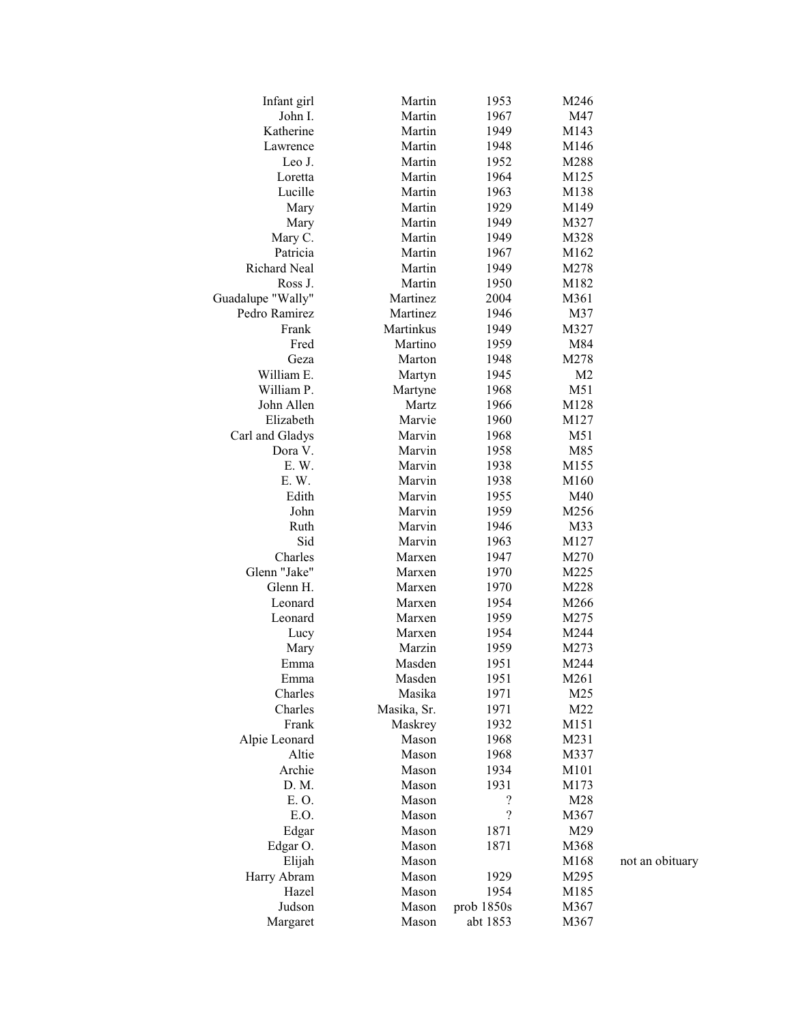| Infant girl       | Martin      | 1953                     | M246           |                 |
|-------------------|-------------|--------------------------|----------------|-----------------|
| John I.           | Martin      | 1967                     | M47            |                 |
| Katherine         | Martin      | 1949                     | M143           |                 |
| Lawrence          | Martin      | 1948                     | M146           |                 |
| Leo J.            | Martin      | 1952                     | M288           |                 |
| Loretta           | Martin      | 1964                     | M125           |                 |
| Lucille           | Martin      | 1963                     | M138           |                 |
| Mary              | Martin      | 1929                     | M149           |                 |
| Mary              | Martin      | 1949                     | M327           |                 |
| Mary C.           | Martin      | 1949                     | M328           |                 |
| Patricia          | Martin      | 1967                     | M162           |                 |
| Richard Neal      | Martin      | 1949                     | M278           |                 |
| Ross J.           | Martin      | 1950                     | M182           |                 |
| Guadalupe "Wally" | Martinez    | 2004                     | M361           |                 |
| Pedro Ramirez     | Martinez    | 1946                     | M37            |                 |
| Frank             | Martinkus   | 1949                     | M327           |                 |
| Fred              | Martino     | 1959                     | M84            |                 |
| Geza              | Marton      | 1948                     | M278           |                 |
| William E.        | Martyn      | 1945                     | M <sub>2</sub> |                 |
| William P.        | Martyne     | 1968                     | M51            |                 |
| John Allen        | Martz       | 1966                     | M128           |                 |
| Elizabeth         | Marvie      | 1960                     | M127           |                 |
| Carl and Gladys   | Marvin      | 1968                     | M51            |                 |
| Dora V.           | Marvin      | 1958                     | M85            |                 |
| E.W.              | Marvin      | 1938                     | M155           |                 |
| E. W.             | Marvin      | 1938                     | M160           |                 |
| Edith             | Marvin      | 1955                     | M40            |                 |
| John              | Marvin      | 1959                     | M256           |                 |
| Ruth              | Marvin      | 1946                     | M33            |                 |
| Sid               | Marvin      | 1963                     | M127           |                 |
| Charles           | Marxen      | 1947                     | M270           |                 |
| Glenn "Jake"      | Marxen      | 1970                     | M225           |                 |
| Glenn H.          | Marxen      | 1970                     | M228           |                 |
| Leonard           | Marxen      | 1954                     | M266           |                 |
| Leonard           | Marxen      | 1959                     | M275           |                 |
| Lucy              | Marxen      | 1954                     | M244           |                 |
| Mary              | Marzin      | 1959                     | M273           |                 |
| Emma              | Masden      | 1951                     | M244           |                 |
| Emma              | Masden      | 1951                     | M261           |                 |
| Charles           | Masika      | 1971                     | M25            |                 |
| Charles           | Masika, Sr. | 1971                     | M22            |                 |
| Frank             | Maskrey     | 1932                     | M151           |                 |
| Alpie Leonard     | Mason       | 1968                     | M231           |                 |
| Altie             | Mason       | 1968                     | M337           |                 |
| Archie            | Mason       | 1934                     | M101           |                 |
| D. M.             | Mason       | 1931                     | M173           |                 |
| E. O.             | Mason       | ?                        | M28            |                 |
| E.O.              | Mason       | $\overline{\mathcal{L}}$ | M367           |                 |
| Edgar             | Mason       | 1871                     | M29            |                 |
| Edgar O.          | Mason       | 1871                     | M368           |                 |
| Elijah            | Mason       |                          | M168           | not an obituary |
| Harry Abram       | Mason       | 1929                     | M295           |                 |
| Hazel             | Mason       | 1954                     | M185           |                 |
| Judson            | Mason       | prob 1850s               | M367           |                 |
| Margaret          | Mason       | abt 1853                 | M367           |                 |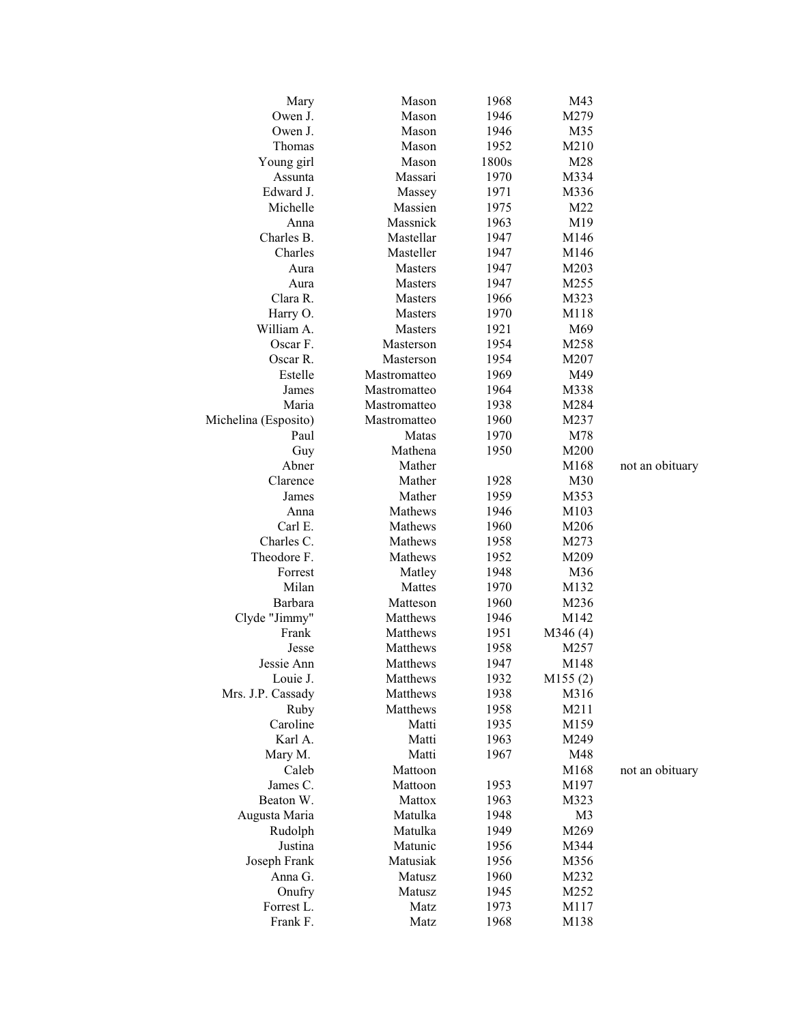| Mary                 | Mason          | 1968  | M43            |                 |
|----------------------|----------------|-------|----------------|-----------------|
| Owen J.              | Mason          | 1946  | M279           |                 |
| Owen J.              | Mason          | 1946  | M35            |                 |
| Thomas               | Mason          | 1952  | M210           |                 |
| Young girl           | Mason          | 1800s | M28            |                 |
| Assunta              | Massari        | 1970  | M334           |                 |
| Edward J.            | Massey         | 1971  | M336           |                 |
| Michelle             | Massien        | 1975  | M22            |                 |
| Anna                 | Massnick       | 1963  | M19            |                 |
| Charles B.           | Mastellar      | 1947  | M146           |                 |
| Charles              | Masteller      | 1947  | M146           |                 |
| Aura                 | <b>Masters</b> | 1947  | M203           |                 |
| Aura                 | <b>Masters</b> | 1947  | M255           |                 |
| Clara R.             | <b>Masters</b> | 1966  | M323           |                 |
| Harry O.             | Masters        | 1970  | M118           |                 |
| William A.           | <b>Masters</b> | 1921  | M69            |                 |
| Oscar F.             | Masterson      | 1954  | M258           |                 |
| Oscar R.             | Masterson      | 1954  | M207           |                 |
| Estelle              | Mastromatteo   | 1969  | M49            |                 |
| James                | Mastromatteo   | 1964  | M338           |                 |
| Maria                | Mastromatteo   | 1938  | M284           |                 |
| Michelina (Esposito) | Mastromatteo   | 1960  | M237           |                 |
| Paul                 | Matas          | 1970  | M78            |                 |
| Guy                  | Mathena        | 1950  | M200           |                 |
| Abner                | Mather         |       | M168           | not an obituary |
| Clarence             | Mather         | 1928  | M30            |                 |
| James                | Mather         | 1959  | M353           |                 |
| Anna                 | Mathews        | 1946  | M103           |                 |
| Carl E.              | Mathews        | 1960  | M206           |                 |
| Charles C.           | Mathews        | 1958  | M273           |                 |
| Theodore F.          | Mathews        | 1952  | M209           |                 |
| Forrest              | Matley         | 1948  | M36            |                 |
| Milan                | Mattes         | 1970  | M132           |                 |
| Barbara              | Matteson       | 1960  | M236           |                 |
| Clyde "Jimmy"        | Matthews       | 1946  | M142           |                 |
| Frank                | Matthews       | 1951  | M346(4)        |                 |
| Jesse                | Matthews       | 1958  | M257           |                 |
| Jessie Ann           | Matthews       | 1947  | M148           |                 |
| Louie J.             | Matthews       | 1932  | M155(2)        |                 |
| Mrs. J.P. Cassady    | Matthews       | 1938  | M316           |                 |
| Ruby                 | Matthews       | 1958  | M211           |                 |
| Caroline             | Matti          | 1935  | M159           |                 |
| Karl A.              | Matti          | 1963  | M249           |                 |
| Mary M.              | Matti          | 1967  | M48            |                 |
| Caleb                | Mattoon        |       | M168           | not an obituary |
| James C.             | Mattoon        | 1953  | M197           |                 |
| Beaton W.            | Mattox         | 1963  | M323           |                 |
| Augusta Maria        | Matulka        | 1948  | M <sub>3</sub> |                 |
| Rudolph              | Matulka        | 1949  | M269           |                 |
| Justina              | Matunic        | 1956  | M344           |                 |
| Joseph Frank         | Matusiak       | 1956  | M356           |                 |
| Anna G.              | Matusz         | 1960  | M232           |                 |
| Onufry               | Matusz         | 1945  | M252           |                 |
| Forrest L.           | Matz           | 1973  | M117           |                 |
| Frank F.             | Matz           | 1968  | M138           |                 |
|                      |                |       |                |                 |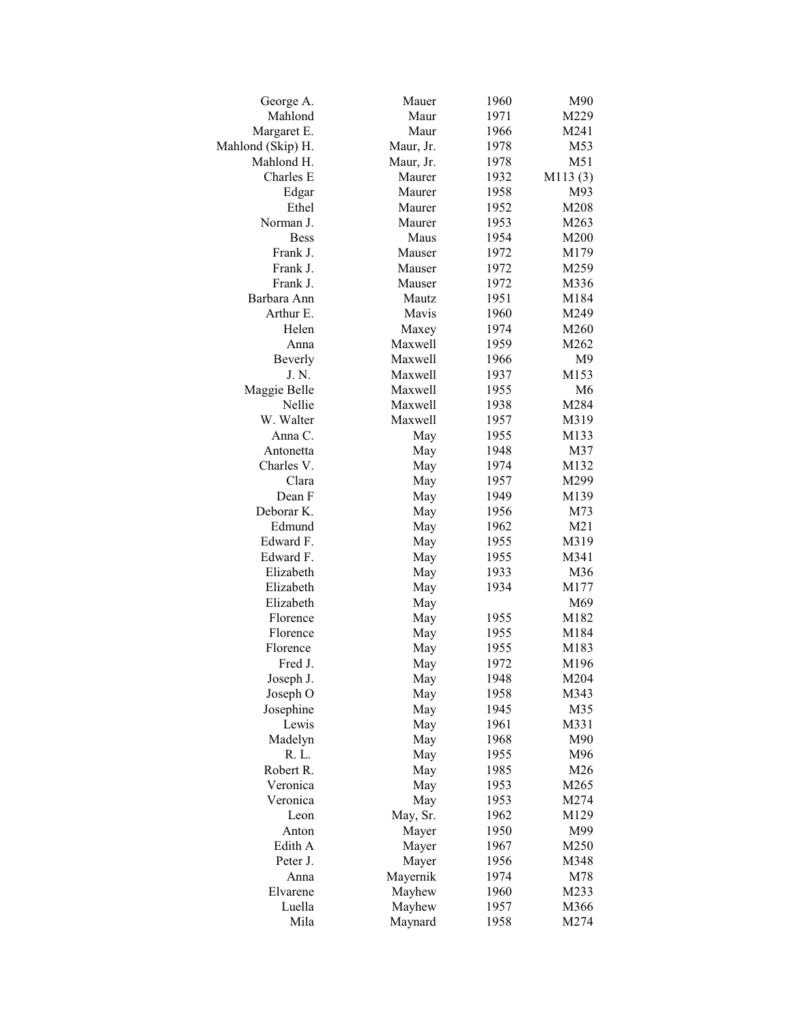| George A.         | Mauer     | 1960 | M90            |
|-------------------|-----------|------|----------------|
| Mahlond           | Maur      | 1971 | M229           |
| Margaret E.       | Maur      | 1966 | M241           |
| Mahlond (Skip) H. | Maur, Jr. | 1978 | M53            |
| Mahlond H.        | Maur, Jr. | 1978 | M51            |
| Charles E         | Maurer    | 1932 | M113(3)        |
| Edgar             | Maurer    | 1958 | M93            |
| Ethel             | Maurer    | 1952 | M208           |
| Norman J.         | Maurer    | 1953 | M263           |
| <b>Bess</b>       | Maus      | 1954 | M200           |
| Frank J.          | Mauser    | 1972 | M179           |
| Frank J.          | Mauser    | 1972 | M259           |
| Frank J.          | Mauser    | 1972 | M336           |
| Barbara Ann       | Mautz     | 1951 | M184           |
| Arthur E.         | Mavis     | 1960 | M249           |
| Helen             | Maxey     | 1974 | M260           |
| Anna              | Maxwell   | 1959 | M262           |
| Beverly           | Maxwell   | 1966 | M <sub>9</sub> |
| J. N.             | Maxwell   | 1937 | M153           |
| Maggie Belle      | Maxwell   | 1955 | M <sub>6</sub> |
| Nellie            | Maxwell   | 1938 | M284           |
| W. Walter         | Maxwell   | 1957 | M319           |
| Anna C.           | May       | 1955 | M133           |
| Antonetta         | May       | 1948 | M37            |
| Charles V.        | May       | 1974 | M132           |
| Clara             | May       | 1957 | M299           |
| Dean F            | May       | 1949 | M139           |
| Deborar K.        | May       | 1956 | M73            |
| Edmund            | May       | 1962 | M21            |
| Edward F.         | May       | 1955 | M319           |
| Edward F.         | May       | 1955 | M341           |
| Elizabeth         | May       | 1933 | M36            |
| Elizabeth         | May       | 1934 | M177           |
| Elizabeth         | May       |      | M69            |
| Florence          | May       | 1955 | M182           |
| Florence          | May       | 1955 | M184           |
| Florence          | May       | 1955 | M183           |
| Fred J.           | May       | 1972 | M196           |
| Joseph J.         | May       | 1948 | M204           |
| Joseph O          | May       | 1958 | M343           |
| Josephine         | May       | 1945 | M35            |
| Lewis             | May       | 1961 | M331           |
| Madelyn           | May       | 1968 | M90            |
| R. L.             | May       | 1955 | M96            |
| Robert R.         | May       | 1985 | M26            |
| Veronica          | May       | 1953 | M265           |
| Veronica          | May       | 1953 | M274           |
| Leon              | May, Sr.  | 1962 | M129           |
| Anton             | Mayer     | 1950 | M99            |
| Edith A           | Mayer     | 1967 | M250           |
| Peter J.          | Mayer     | 1956 | M348           |
| Anna              | Mayernik  | 1974 | M78            |
| Elvarene          | Mayhew    | 1960 | M233           |
| Luella            | Mayhew    | 1957 | M366           |
| Mila              | Maynard   | 1958 | M274           |
|                   |           |      |                |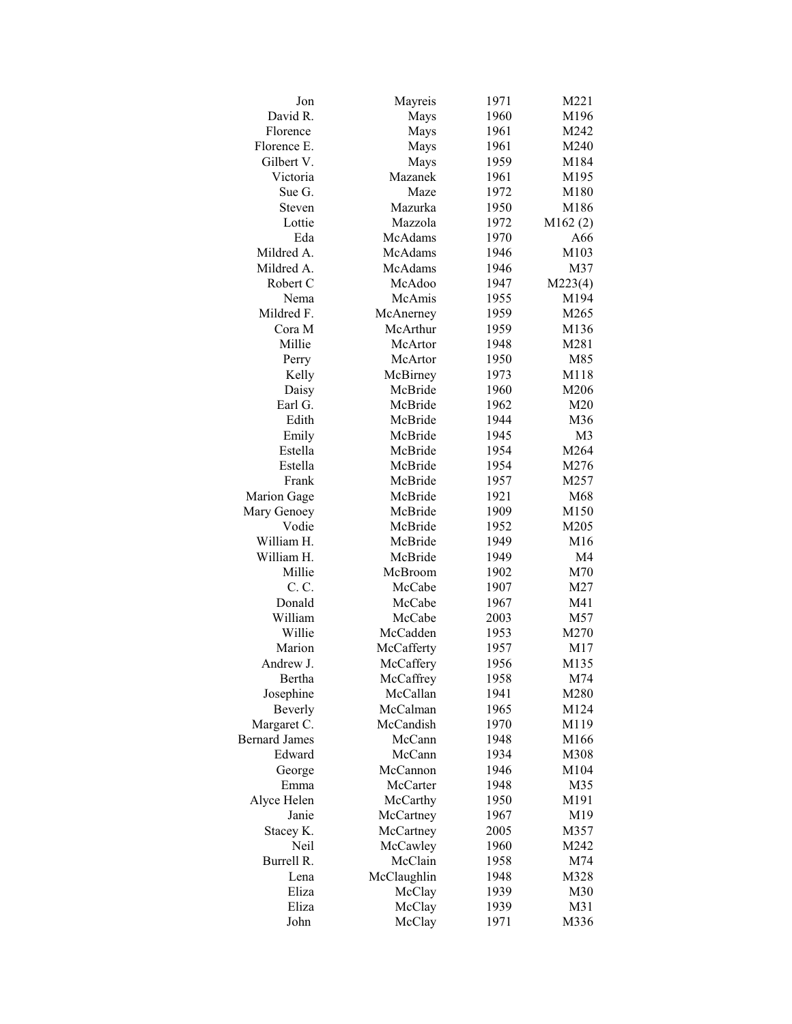| Jon                  | Mayreis            | 1971 | M221           |
|----------------------|--------------------|------|----------------|
| David R.             | Mays               | 1960 | M196           |
| Florence             | Mays               | 1961 | M242           |
| Florence E.          | Mays               | 1961 | M240           |
| Gilbert V.           | Mays               | 1959 | M184           |
| Victoria             | Mazanek            | 1961 | M195           |
| Sue G.               | Maze               | 1972 | M180           |
| Steven               | Mazurka            | 1950 | M186           |
| Lottie               | Mazzola            | 1972 | M162(2)        |
| Eda                  | McAdams            | 1970 | A66            |
| Mildred A.           | McAdams            | 1946 | M103           |
| Mildred A.           | McAdams            | 1946 | M37            |
| Robert C             | McAdoo             | 1947 | M223(4)        |
| Nema                 | McAmis             | 1955 | M194           |
| Mildred F.           | McAnerney          | 1959 | M265           |
| Cora M               | McArthur           | 1959 | M136           |
| Millie               | McArtor            | 1948 | M281           |
| Perry                | McArtor            | 1950 | M85            |
| Kelly                | McBirney           | 1973 | M118           |
| Daisy                | McBride            | 1960 | M206           |
| Earl G.              | McBride            | 1962 | M20            |
| Edith                | McBride            | 1944 | M36            |
| Emily                | McBride            | 1945 | M <sub>3</sub> |
| Estella              | McBride            | 1954 | M264           |
| Estella              | McBride            | 1954 | M276           |
| Frank                | McBride            | 1957 | M257           |
| Marion Gage          | McBride            | 1921 | M68            |
|                      | McBride            |      | M150           |
| Mary Genoey<br>Vodie | McBride            | 1909 |                |
| William H.           |                    | 1952 | M205           |
| William H.           | McBride<br>McBride | 1949 | M16            |
| Millie               |                    | 1949 | M4             |
| C. C.                | McBroom<br>McCabe  | 1902 | M70<br>M27     |
|                      |                    | 1907 |                |
| Donald               | McCabe             | 1967 | M41            |
| William              | McCabe             | 2003 | M57            |
| Willie               | McCadden           | 1953 | M270           |
| Marion               | McCafferty         | 1957 | M17            |
| Andrew J.            | McCaffery          | 1956 | M135           |
| Bertha               | McCaffrey          | 1958 | M74            |
| Josephine            | McCallan           | 1941 | M280           |
| Beverly              | McCalman           | 1965 | M124           |
| Margaret C.          | McCandish          | 1970 | M119           |
| <b>Bernard James</b> | McCann             | 1948 | M166           |
| Edward               | McCann             | 1934 | M308           |
| George               | McCannon           | 1946 | M104           |
| Emma                 | McCarter           | 1948 | M35            |
| Alyce Helen          | McCarthy           | 1950 | M191           |
| Janie                | McCartney          | 1967 | M19            |
| Stacey K.            | McCartney          | 2005 | M357           |
| Neil                 | McCawley           | 1960 | M242           |
| Burrell R.           | McClain            | 1958 | M74            |
| Lena                 | McClaughlin        | 1948 | M328           |
| Eliza                | McClay             | 1939 | M30            |
| Eliza                | McClay             | 1939 | M31            |
| John                 | McClay             | 1971 | M336           |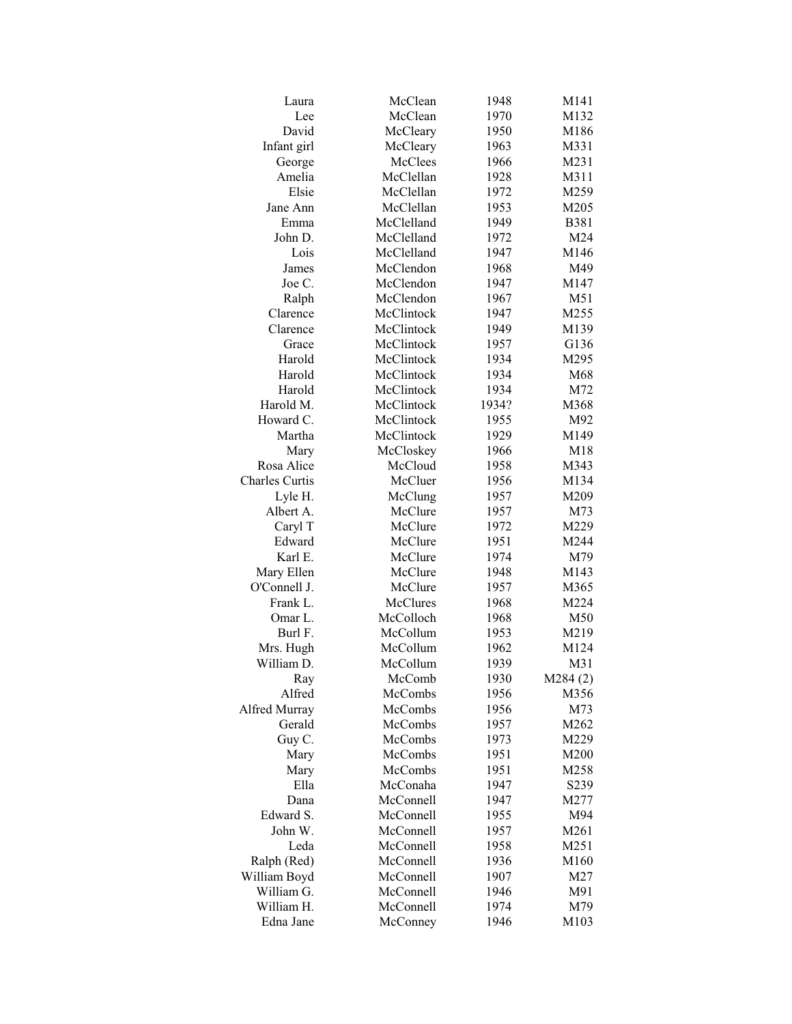| Laura          | McClean         | 1948  | M141        |
|----------------|-----------------|-------|-------------|
| Lee            | McClean         | 1970  | M132        |
| David          | McCleary        | 1950  | M186        |
| Infant girl    | McCleary        | 1963  | M331        |
| George         | McClees         | 1966  | M231        |
| Amelia         | McClellan       | 1928  | M311        |
| Elsie          | McClellan       | 1972  | M259        |
| Jane Ann       | McClellan       | 1953  | M205        |
| Emma           | McClelland      | 1949  | <b>B381</b> |
| John D.        | McClelland      | 1972  | M24         |
| Lois           | McClelland      | 1947  | M146        |
| James          | McClendon       | 1968  | M49         |
| Joe C.         | McClendon       | 1947  | M147        |
| Ralph          | McClendon       | 1967  | M51         |
| Clarence       | McClintock      | 1947  | M255        |
| Clarence       | McClintock      | 1949  | M139        |
| Grace          | McClintock      | 1957  | G136        |
| Harold         | McClintock      | 1934  | M295        |
| Harold         | McClintock      | 1934  | M68         |
| Harold         | McClintock      | 1934  | M72         |
| Harold M.      | McClintock      | 1934? | M368        |
| Howard C.      | McClintock      | 1955  | M92         |
| Martha         | McClintock      | 1929  | M149        |
| Mary           | McCloskey       | 1966  | M18         |
| Rosa Alice     | McCloud         | 1958  | M343        |
| Charles Curtis | McCluer         | 1956  | M134        |
|                |                 |       |             |
| Lyle H.        | McClung         | 1957  | M209        |
| Albert A.      | McClure         | 1957  | M73         |
| Caryl T        | McClure         | 1972  | M229        |
| Edward         | McClure         | 1951  | M244        |
| Karl E.        | McClure         | 1974  | M79         |
| Mary Ellen     | McClure         | 1948  | M143        |
| O'Connell J.   | McClure         | 1957  | M365        |
| Frank L.       | <b>McClures</b> | 1968  | M224        |
| Omar L.        | McColloch       | 1968  | M50         |
| Burl F.        | McCollum        | 1953  | M219        |
| Mrs. Hugh      | McCollum        | 1962  | M124        |
| William D.     | McCollum        | 1939  | M31         |
| Ray            | McComb          | 1930  | M284(2)     |
| Alfred         | McCombs         | 1956  | M356        |
| Alfred Murray  | McCombs         | 1956  | M73         |
| Gerald         | McCombs         | 1957  | M262        |
| Guy C.         | McCombs         | 1973  | M229        |
| Mary           | McCombs         | 1951  | M200        |
| Mary           | McCombs         | 1951  | M258        |
| Ella           | McConaha        | 1947  | S239        |
| Dana           | McConnell       | 1947  | M277        |
| Edward S.      | McConnell       | 1955  | M94         |
| John W.        | McConnell       | 1957  | M261        |
| Leda           | McConnell       | 1958  | M251        |
| Ralph (Red)    | McConnell       | 1936  | M160        |
| William Boyd   | McConnell       | 1907  | M27         |
| William G.     | McConnell       | 1946  | M91         |
| William H.     | McConnell       | 1974  | M79         |
| Edna Jane      | McConney        | 1946  | M103        |
|                |                 |       |             |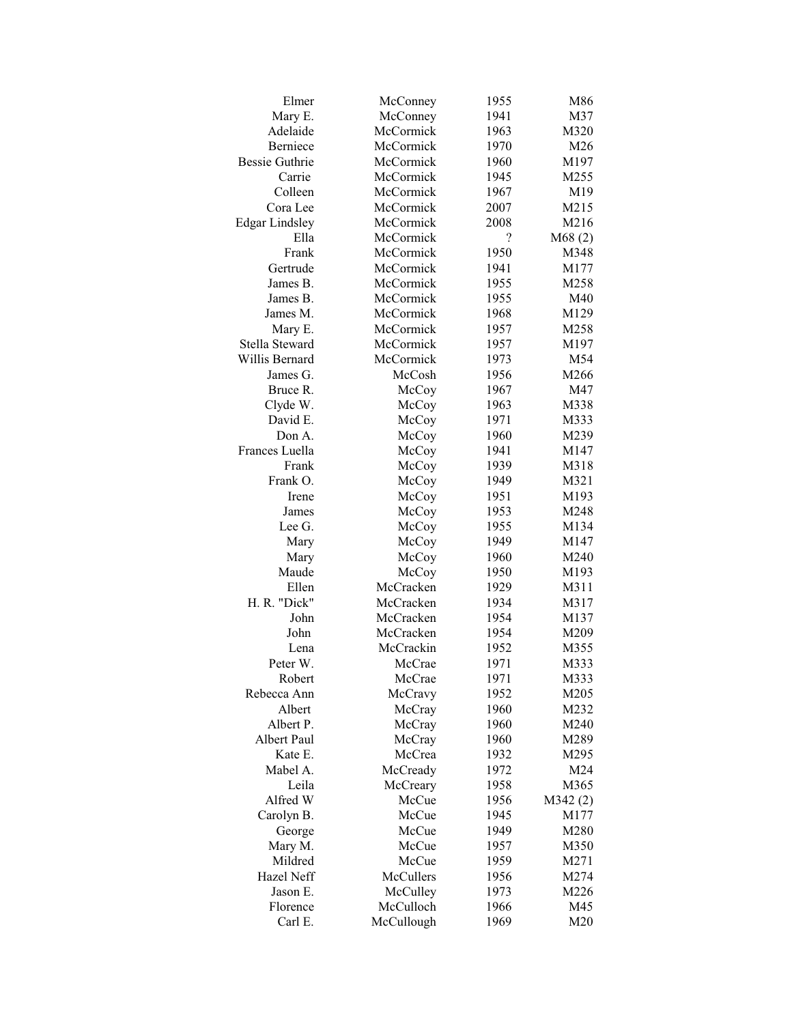| Elmer                 | McConney   | 1955                     | M86          |
|-----------------------|------------|--------------------------|--------------|
| Mary E.               | McConney   | 1941                     | M37          |
| Adelaide              | McCormick  | 1963                     | M320         |
| Berniece              | McCormick  | 1970                     | M26          |
| <b>Bessie Guthrie</b> | McCormick  | 1960                     | M197         |
| Carrie                | McCormick  | 1945                     | M255         |
| Colleen               | McCormick  | 1967                     | M19          |
| Cora Lee              | McCormick  | 2007                     | M215         |
| <b>Edgar Lindsley</b> | McCormick  | 2008                     | M216         |
| Ella                  | McCormick  | $\overline{\mathcal{L}}$ | M68(2)       |
| Frank                 | McCormick  | 1950                     | M348         |
| Gertrude              | McCormick  | 1941                     | M177         |
| James B.              | McCormick  | 1955                     | M258         |
| James B.              | McCormick  | 1955                     | M40          |
| James M.              | McCormick  | 1968                     | M129         |
| Mary E.               | McCormick  | 1957                     | M258         |
| Stella Steward        | McCormick  | 1957                     | M197         |
| Willis Bernard        | McCormick  | 1973                     | M54          |
| James G.              | McCosh     | 1956                     | M266         |
| Bruce R.              | McCoy      | 1967                     | M47          |
| Clyde W.              | McCoy      | 1963                     | M338         |
| David E.              |            | 1971                     | M333         |
| Don A.                | McCoy      |                          |              |
| Frances Luella        | McCoy      | 1960<br>1941             | M239<br>M147 |
| Frank                 | McCoy      | 1939                     |              |
|                       | McCoy      |                          | M318         |
| Frank O.              | McCoy      | 1949                     | M321         |
| Irene                 | McCoy      | 1951                     | M193         |
| James                 | McCoy      | 1953                     | M248         |
| Lee G.                | McCoy      | 1955                     | M134         |
| Mary                  | McCoy      | 1949                     | M147         |
| Mary                  | McCoy      | 1960                     | M240         |
| Maude                 | McCoy      | 1950                     | M193         |
| Ellen                 | McCracken  | 1929                     | M311         |
| H. R. "Dick"          | McCracken  | 1934                     | M317         |
| John                  | McCracken  | 1954                     | M137         |
| John                  | McCracken  | 1954                     | M209         |
| Lena                  | McCrackin  | 1952                     | M355         |
| Peter W.              | McCrae     | 1971                     | M333         |
| Robert                | McCrae     | 1971                     | M333         |
| Rebecca Ann           | McCravy    | 1952                     | M205         |
| Albert                | McCray     | 1960                     | M232         |
| Albert P.             | McCray     | 1960                     | M240         |
| Albert Paul           | McCray     | 1960                     | M289         |
| Kate E.               | McCrea     | 1932                     | M295         |
| Mabel A.              | McCready   | 1972                     | M24          |
| Leila                 | McCreary   | 1958                     | M365         |
| Alfred W              | McCue      | 1956                     | M342(2)      |
| Carolyn B.            | McCue      | 1945                     | M177         |
| George                | McCue      | 1949                     | M280         |
| Mary M.               | McCue      | 1957                     | M350         |
| Mildred               | McCue      | 1959                     | M271         |
| Hazel Neff            | McCullers  | 1956                     | M274         |
| Jason E.              | McCulley   | 1973                     | M226         |
| Florence              | McCulloch  | 1966                     | M45          |
| Carl E.               | McCullough | 1969                     | M20          |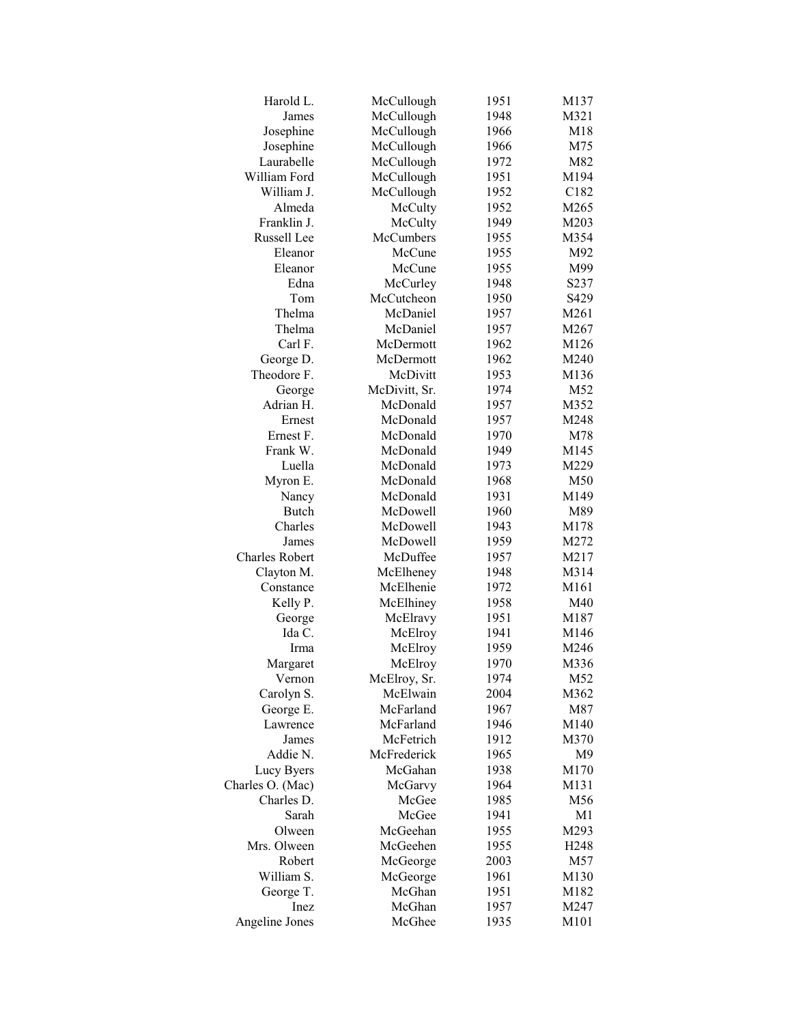| Harold L.             | McCullough       | 1951 | M137             |
|-----------------------|------------------|------|------------------|
| James                 | McCullough       | 1948 | M321             |
| Josephine             | McCullough       | 1966 | M18              |
| Josephine             | McCullough       | 1966 | M75              |
| Laurabelle            | McCullough       | 1972 | M82              |
| William Ford          | McCullough       | 1951 | M194             |
| William J.            | McCullough       | 1952 | C182             |
| Almeda                | McCulty          | 1952 | M265             |
| Franklin J.           | McCulty          | 1949 | M203             |
| Russell Lee           | <b>McCumbers</b> | 1955 | M354             |
| Eleanor               | McCune           | 1955 | M92              |
| Eleanor               | McCune           | 1955 | M99              |
| Edna                  | McCurley         | 1948 | S237             |
| Tom                   | McCutcheon       | 1950 | S429             |
| Thelma                | McDaniel         | 1957 | M261             |
| Thelma                | McDaniel         | 1957 | M267             |
| Carl F.               | McDermott        | 1962 | M126             |
| George D.             | McDermott        | 1962 | M240             |
| Theodore F.           | McDivitt         | 1953 | M136             |
| George                | McDivitt, Sr.    | 1974 | M52              |
| Adrian H.             | McDonald         | 1957 | M352             |
| Ernest                | McDonald         | 1957 | M248             |
| Ernest F.             | McDonald         | 1970 | M78              |
| Frank W.              | McDonald         | 1949 | M145             |
| Luella                | McDonald         | 1973 | M229             |
| Myron E.              | McDonald         | 1968 | M50              |
| Nancy                 | McDonald         | 1931 | M149             |
| Butch                 | McDowell         | 1960 | M89              |
| Charles               | McDowell         | 1943 | M178             |
| James                 | McDowell         | 1959 | M272             |
| <b>Charles Robert</b> | McDuffee         | 1957 | M217             |
| Clayton M.            | McElheney        | 1948 | M314             |
| Constance             | McElhenie        | 1972 | M161             |
| Kelly P.              | McElhiney        | 1958 | M40              |
| George                | McElravy         | 1951 | M187             |
| Ida C.                | McElroy          | 1941 | M146             |
| Irma                  | McElroy          | 1959 | M246             |
| Margaret              | McElroy          | 1970 | M336             |
| Vernon                | McElroy, Sr.     | 1974 | M52              |
| Carolyn S.            | McElwain         | 2004 | M362             |
| George E.             | McFarland        | 1967 | M87              |
| Lawrence              | McFarland        | 1946 | M140             |
| James                 | McFetrich        | 1912 | M370             |
| Addie N.              | McFrederick      | 1965 | M <sub>9</sub>   |
| Lucy Byers            | McGahan          | 1938 | M170             |
| Charles O. (Mac)      | McGarvy          | 1964 | M131             |
| Charles D.            | McGee            | 1985 | M56              |
| Sarah                 | McGee            | 1941 | M1               |
| Olween                | McGeehan         | 1955 | M293             |
| Mrs. Olween           | McGeehen         | 1955 | H <sub>248</sub> |
| Robert                | McGeorge         | 2003 | M57              |
| William S.            | McGeorge         | 1961 | M130             |
| George T.             | McGhan           | 1951 | M182             |
| Inez                  | McGhan           | 1957 | M247             |
| Angeline Jones        | McGhee           | 1935 | M101             |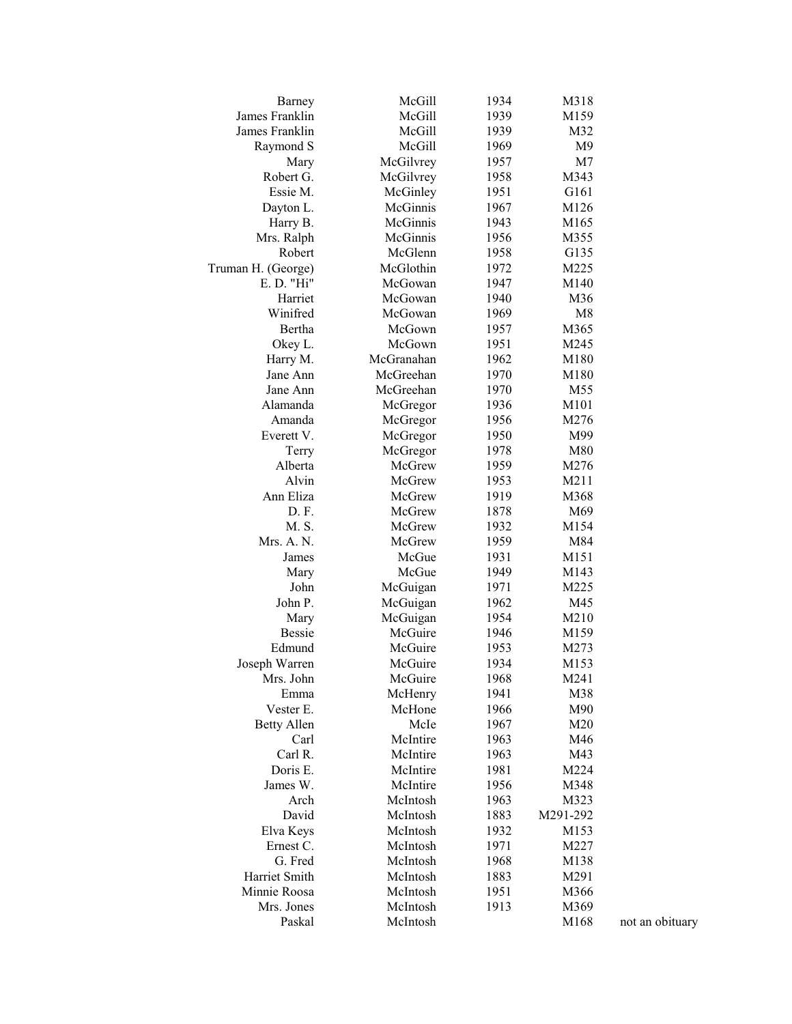| Barney             | McGill     | 1934 | M318           |                 |
|--------------------|------------|------|----------------|-----------------|
| James Franklin     | McGill     | 1939 | M159           |                 |
| James Franklin     | McGill     | 1939 | M32            |                 |
| Raymond S          | McGill     | 1969 | M <sub>9</sub> |                 |
| Mary               | McGilvrey  | 1957 | M7             |                 |
| Robert G.          | McGilvrey  | 1958 | M343           |                 |
| Essie M.           | McGinley   | 1951 | G161           |                 |
| Dayton L.          | McGinnis   | 1967 | M126           |                 |
| Harry B.           | McGinnis   | 1943 | M165           |                 |
| Mrs. Ralph         | McGinnis   | 1956 | M355           |                 |
| Robert             | McGlenn    | 1958 | G135           |                 |
| Truman H. (George) | McGlothin  | 1972 | M225           |                 |
| E. D. "Hi"         | McGowan    | 1947 | M140           |                 |
| Harriet            | McGowan    | 1940 | M36            |                 |
| Winifred           | McGowan    | 1969 | M8             |                 |
| Bertha             | McGown     | 1957 | M365           |                 |
| Okey L.            | McGown     | 1951 | M245           |                 |
| Harry M.           | McGranahan | 1962 | M180           |                 |
| Jane Ann           | McGreehan  | 1970 | M180           |                 |
| Jane Ann           | McGreehan  | 1970 | M55            |                 |
| Alamanda           | McGregor   | 1936 | M101           |                 |
| Amanda             | McGregor   | 1956 | M276           |                 |
| Everett V.         | McGregor   | 1950 | M99            |                 |
|                    |            | 1978 | M80            |                 |
| Terry              | McGregor   |      |                |                 |
| Alberta            | McGrew     | 1959 | M276           |                 |
| Alvin              | McGrew     | 1953 | M211           |                 |
| Ann Eliza          | McGrew     | 1919 | M368           |                 |
| D.F.               | McGrew     | 1878 | M69            |                 |
| M. S.              | McGrew     | 1932 | M154           |                 |
| Mrs. A. N.         | McGrew     | 1959 | M84            |                 |
| James              | McGue      | 1931 | M151           |                 |
| Mary               | McGue      | 1949 | M143           |                 |
| John               | McGuigan   | 1971 | M225           |                 |
| John P.            | McGuigan   | 1962 | M45            |                 |
| Mary               | McGuigan   | 1954 | M210           |                 |
| <b>Bessie</b>      | McGuire    | 1946 | M159           |                 |
| Edmund             | McGuire    | 1953 | M273           |                 |
| Joseph Warren      | McGuire    | 1934 | M153           |                 |
| Mrs. John          | McGuire    | 1968 | M241           |                 |
| Emma               | McHenry    | 1941 | M38            |                 |
| Vester E.          | McHone     | 1966 | M90            |                 |
| <b>Betty Allen</b> | McIe       | 1967 | M20            |                 |
| Carl               | McIntire   | 1963 | M46            |                 |
| Carl R.            | McIntire   | 1963 | M43            |                 |
| Doris E.           | McIntire   | 1981 | M224           |                 |
| James W.           | McIntire   | 1956 | M348           |                 |
| Arch               | McIntosh   | 1963 | M323           |                 |
| David              | McIntosh   | 1883 | M291-292       |                 |
| Elva Keys          | McIntosh   | 1932 | M153           |                 |
| Ernest C.          | McIntosh   | 1971 | M227           |                 |
| G. Fred            | McIntosh   | 1968 | M138           |                 |
| Harriet Smith      | McIntosh   | 1883 | M291           |                 |
| Minnie Roosa       | McIntosh   | 1951 | M366           |                 |
| Mrs. Jones         | McIntosh   | 1913 | M369           |                 |
| Paskal             | McIntosh   |      | M168           |                 |
|                    |            |      |                | not an obituary |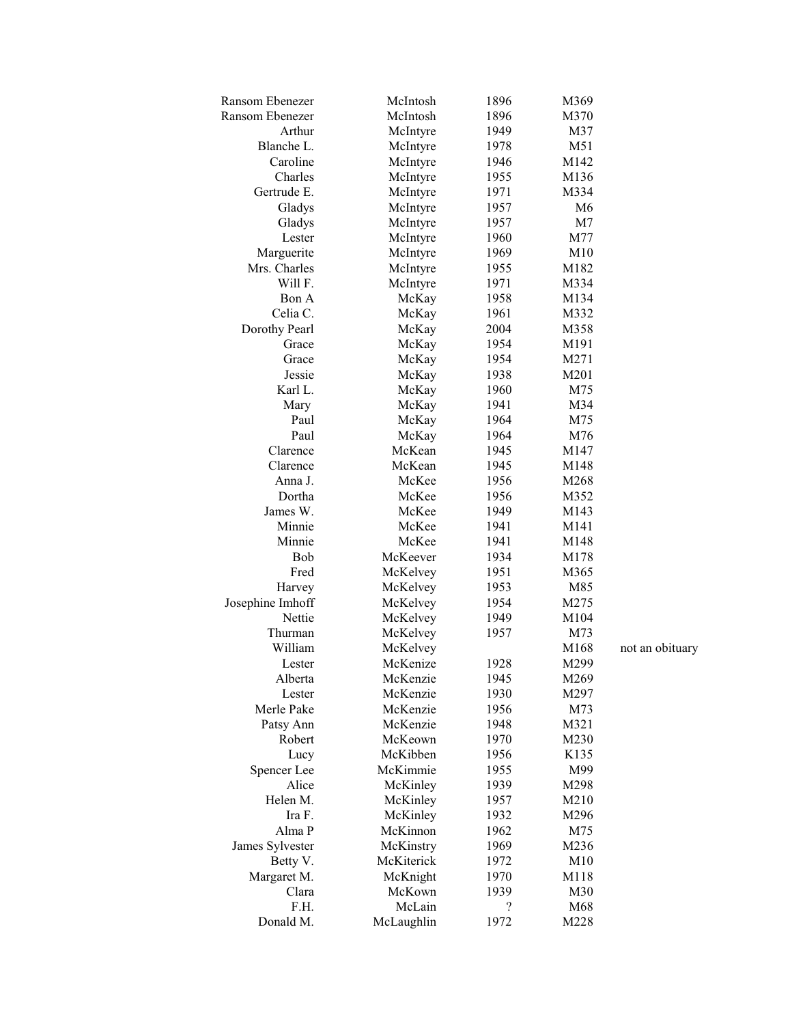| Ransom Ebenezer  | McIntosh   | 1896       | M369 |                 |
|------------------|------------|------------|------|-----------------|
| Ransom Ebenezer  | McIntosh   | 1896       | M370 |                 |
| Arthur           | McIntyre   | 1949       | M37  |                 |
| Blanche L.       | McIntyre   | 1978       | M51  |                 |
| Caroline         | McIntyre   | 1946       | M142 |                 |
| Charles          | McIntyre   | 1955       | M136 |                 |
| Gertrude E.      | McIntyre   | 1971       | M334 |                 |
| Gladys           | McIntyre   | 1957       | M6   |                 |
| Gladys           | McIntyre   | 1957       | M7   |                 |
| Lester           | McIntyre   | 1960       | M77  |                 |
| Marguerite       | McIntyre   | 1969       | M10  |                 |
| Mrs. Charles     | McIntyre   | 1955       | M182 |                 |
| Will F.          | McIntyre   | 1971       | M334 |                 |
| Bon A            | McKay      | 1958       | M134 |                 |
| Celia C.         | McKay      | 1961       | M332 |                 |
| Dorothy Pearl    | McKay      | 2004       | M358 |                 |
| Grace            | McKay      | 1954       | M191 |                 |
| Grace            | McKay      | 1954       | M271 |                 |
| Jessie           | McKay      | 1938       | M201 |                 |
| Karl L.          | McKay      | 1960       | M75  |                 |
| Mary             | McKay      | 1941       | M34  |                 |
| Paul             | McKay      | 1964       | M75  |                 |
| Paul             | McKay      | 1964       | M76  |                 |
| Clarence         | McKean     | 1945       | M147 |                 |
| Clarence         | McKean     | 1945       | M148 |                 |
| Anna J.          | McKee      | 1956       | M268 |                 |
| Dortha           | McKee      | 1956       | M352 |                 |
| James W.         | McKee      | 1949       | M143 |                 |
| Minnie           | McKee      | 1941       | M141 |                 |
| Minnie           | McKee      | 1941       | M148 |                 |
| Bob              | McKeever   | 1934       | M178 |                 |
| Fred             | McKelvey   | 1951       | M365 |                 |
| Harvey           | McKelvey   | 1953       | M85  |                 |
| Josephine Imhoff | McKelvey   | 1954       | M275 |                 |
| Nettie           | McKelvey   | 1949       | M104 |                 |
| Thurman          | McKelvey   | 1957       | M73  |                 |
| William          | McKelvey   |            | M168 | not an obituary |
| Lester           | McKenize   | 1928       | M299 |                 |
| Alberta          | McKenzie   | 1945       | M269 |                 |
| Lester           | McKenzie   | 1930       | M297 |                 |
| Merle Pake       | McKenzie   | 1956       | M73  |                 |
| Patsy Ann        | McKenzie   | 1948       | M321 |                 |
| Robert           | McKeown    | 1970       | M230 |                 |
| Lucy             | McKibben   | 1956       | K135 |                 |
| Spencer Lee      | McKimmie   | 1955       | M99  |                 |
| Alice            | McKinley   | 1939       | M298 |                 |
| Helen M.         | McKinley   | 1957       | M210 |                 |
| Ira F.           | McKinley   | 1932       | M296 |                 |
| Alma P           | McKinnon   | 1962       | M75  |                 |
| James Sylvester  | McKinstry  | 1969       | M236 |                 |
| Betty V.         | McKiterick | 1972       | M10  |                 |
| Margaret M.      | McKnight   | 1970       | M118 |                 |
| Clara            | McKown     | 1939       | M30  |                 |
| F.H.             | McLain     | $\ddot{?}$ | M68  |                 |
| Donald M.        | McLaughlin | 1972       | M228 |                 |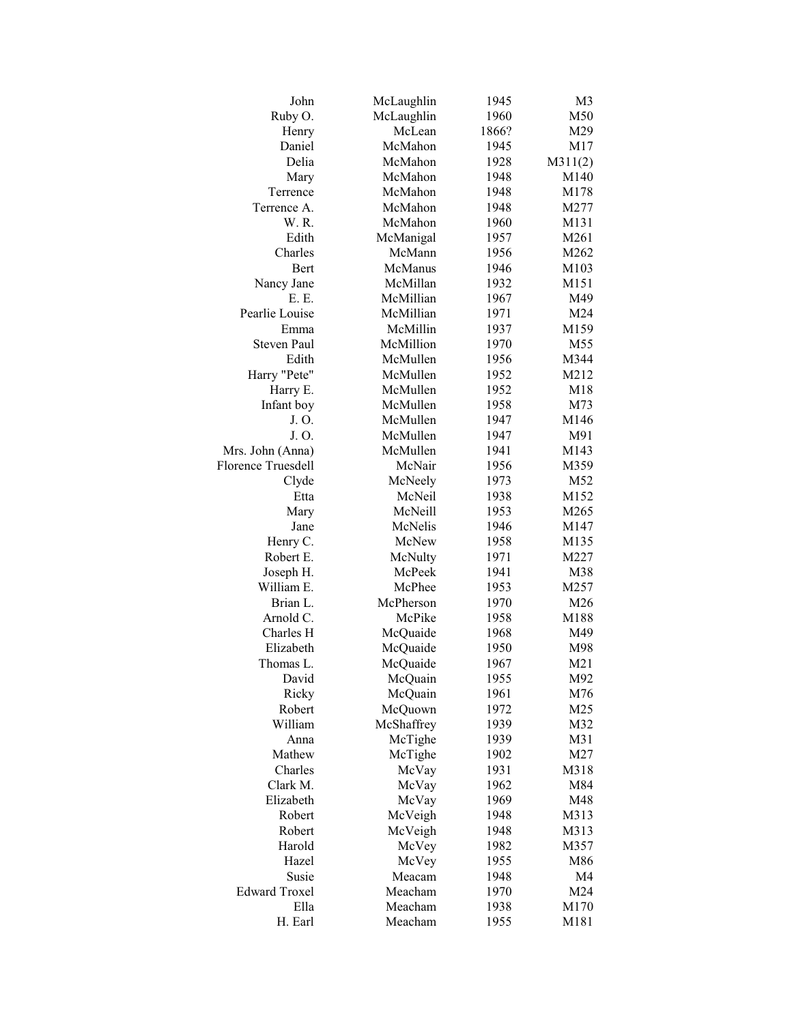| John                      | McLaughlin | 1945  | M <sub>3</sub>  |
|---------------------------|------------|-------|-----------------|
| Ruby O.                   | McLaughlin | 1960  | M50             |
| Henry                     | McLean     | 1866? | M29             |
| Daniel                    | McMahon    | 1945  | M17             |
| Delia                     | McMahon    | 1928  | M311(2)         |
| Mary                      | McMahon    | 1948  | M140            |
| Terrence                  | McMahon    | 1948  | M178            |
| Terrence A.               | McMahon    | 1948  | M277            |
| W.R.                      | McMahon    | 1960  | M131            |
| Edith                     | McManigal  | 1957  | M261            |
| Charles                   | McMann     | 1956  | M262            |
| Bert                      | McManus    | 1946  | M103            |
| Nancy Jane                | McMillan   | 1932  | M151            |
| E. E.                     | McMillian  | 1967  | M49             |
| Pearlie Louise            | McMillian  | 1971  | M24             |
| Emma                      | McMillin   | 1937  | M159            |
| <b>Steven Paul</b>        | McMillion  | 1970  | M55             |
| Edith                     | McMullen   | 1956  | M344            |
| Harry "Pete"              | McMullen   | 1952  | M212            |
| Harry E.                  | McMullen   | 1952  | M18             |
| Infant boy                | McMullen   | 1958  | M73             |
| J.O.                      | McMullen   | 1947  | M146            |
| J. O.                     | McMullen   | 1947  | M91             |
| Mrs. John (Anna)          | McMullen   | 1941  | M143            |
| <b>Florence Truesdell</b> | McNair     | 1956  | M359            |
| Clyde                     | McNeely    | 1973  | M52             |
| Etta                      | McNeil     | 1938  | M152            |
| Mary                      | McNeill    | 1953  | M265            |
| Jane                      | McNelis    | 1946  | M147            |
| Henry C.                  | McNew      | 1958  | M135            |
| Robert E.                 | McNulty    | 1971  | M227            |
| Joseph H.                 | McPeek     | 1941  | M38             |
| William E.                | McPhee     | 1953  | M257            |
| Brian L.                  | McPherson  | 1970  | M26             |
| Arnold C.                 | McPike     | 1958  | M188            |
| Charles H                 | McQuaide   | 1968  | M49             |
| Elizabeth                 | McQuaide   | 1950  | M98             |
| Thomas L.                 | McQuaide   | 1967  | M <sub>21</sub> |
| David                     | McQuain    | 1955  | M92             |
| Ricky                     | McQuain    | 1961  | M76             |
| Robert                    | McQuown    | 1972  | M25             |
| William                   | McShaffrey | 1939  | M32             |
| Anna                      | McTighe    | 1939  | M31             |
| Mathew                    | McTighe    | 1902  | M27             |
| Charles                   | McVay      | 1931  | M318            |
| Clark M.                  | McVay      | 1962  | M84             |
| Elizabeth                 | McVay      | 1969  | M48             |
| Robert                    | McVeigh    | 1948  | M313            |
| Robert                    | McVeigh    | 1948  | M313            |
| Harold                    | McVey      | 1982  | M357            |
| Hazel                     | McVey      | 1955  | M86             |
| Susie                     | Meacam     | 1948  | M4              |
| <b>Edward Troxel</b>      | Meacham    | 1970  | M24             |
| Ella                      | Meacham    | 1938  | M170            |
| H. Earl                   | Meacham    | 1955  | M181            |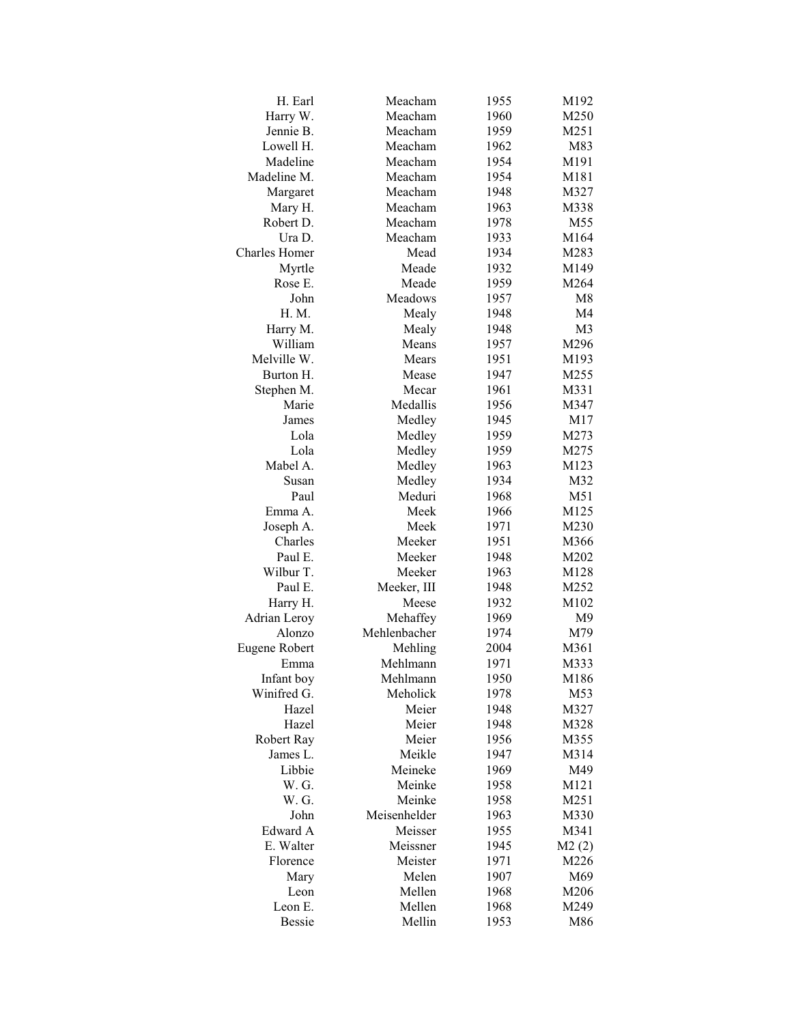| H. Earl              | Meacham      | 1955 | M192           |
|----------------------|--------------|------|----------------|
| Harry W.             | Meacham      | 1960 | M250           |
| Jennie B.            | Meacham      | 1959 | M251           |
| Lowell H.            | Meacham      | 1962 | M83            |
| Madeline             | Meacham      | 1954 | M191           |
| Madeline M.          | Meacham      | 1954 | M181           |
| Margaret             | Meacham      | 1948 | M327           |
| Mary H.              | Meacham      | 1963 | M338           |
| Robert D.            | Meacham      | 1978 | M55            |
| Ura D.               | Meacham      | 1933 | M164           |
| <b>Charles Homer</b> | Mead         | 1934 | M283           |
| Myrtle               | Meade        | 1932 | M149           |
| Rose E.              | Meade        | 1959 | M264           |
| John                 | Meadows      | 1957 | M8             |
| H. M.                | Mealy        | 1948 | M <sub>4</sub> |
| Harry M.             | Mealy        | 1948 | M <sub>3</sub> |
| William              | Means        | 1957 | M296           |
| Melville W.          | Mears        | 1951 | M193           |
| Burton H.            | Mease        | 1947 | M255           |
| Stephen M.           | Mecar        | 1961 | M331           |
| Marie                | Medallis     | 1956 | M347           |
| James                | Medley       | 1945 | M17            |
| Lola                 | Medley       | 1959 | M273           |
| Lola                 | Medley       | 1959 | M275           |
| Mabel A.             | Medley       | 1963 | M123           |
| Susan                | Medley       |      | M32            |
| Paul                 | Meduri       | 1934 | M51            |
| Emma A.              | Meek         | 1968 |                |
|                      |              | 1966 | M125           |
| Joseph A.            | Meek         | 1971 | M230           |
| Charles              | Meeker       | 1951 | M366           |
| Paul E.              | Meeker       | 1948 | M202           |
| Wilbur T.            | Meeker       | 1963 | M128           |
| Paul E.              | Meeker, III  | 1948 | M252           |
| Harry H.             | Meese        | 1932 | M102           |
| Adrian Leroy         | Mehaffey     | 1969 | M9             |
| Alonzo               | Mehlenbacher | 1974 | M79            |
| Eugene Robert        | Mehling      | 2004 | M361           |
| Emma                 | Mehlmann     | 1971 | M333           |
| Infant boy           | Mehlmann     | 1950 | M186           |
| Winifred G.          | Meholick     | 1978 | M53            |
| Hazel                | Meier        | 1948 | M327           |
| Hazel                | Meier        | 1948 | M328           |
| Robert Ray           | Meier        | 1956 | M355           |
| James L.             | Meikle       | 1947 | M314           |
| Libbie               | Meineke      | 1969 | M49            |
| W. G.                | Meinke       | 1958 | M121           |
| W. G.                | Meinke       | 1958 | M251           |
| John                 | Meisenhelder | 1963 | M330           |
| Edward A             | Meisser      | 1955 | M341           |
| E. Walter            | Meissner     | 1945 | M2(2)          |
| Florence             | Meister      | 1971 | M226           |
| Mary                 | Melen        | 1907 | M69            |
| Leon                 | Mellen       | 1968 | M206           |
| Leon E.              | Mellen       | 1968 | M249           |
| <b>Bessie</b>        | Mellin       | 1953 | M86            |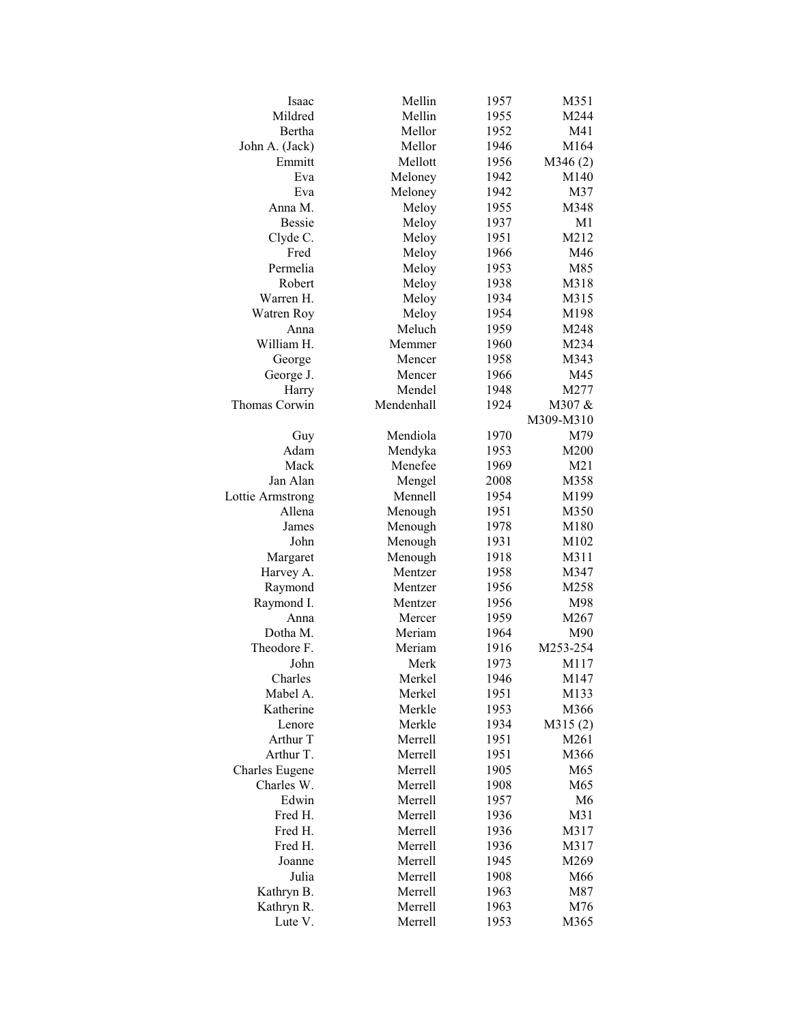| Isaac                        | Mellin             | 1957         | M351         |
|------------------------------|--------------------|--------------|--------------|
| Mildred                      | Mellin             | 1955         | M244         |
| Bertha                       | Mellor             | 1952         | M41          |
| John A. (Jack)               | Mellor             | 1946         | M164         |
| Emmitt                       | Mellott            | 1956         | M346(2)      |
| Eva                          | Meloney            | 1942         | M140         |
| Eva                          | Meloney            | 1942         | M37          |
| Anna M.                      | Meloy              | 1955         | M348         |
| <b>Bessie</b>                | Meloy              | 1937         | M1           |
| Clyde C.                     | Meloy              | 1951         | M212         |
| Fred                         | Meloy              | 1966         | M46          |
| Permelia                     | Meloy              | 1953         | M85          |
| Robert                       | Meloy              | 1938         | M318         |
| Warren H.                    | Meloy              | 1934         | M315         |
| Watren Roy                   | Meloy              | 1954         | M198         |
| Anna                         | Meluch             | 1959         | M248         |
| William H.                   | Memmer             | 1960         | M234         |
| George                       | Mencer             | 1958         | M343         |
| George J.                    | Mencer             | 1966         | M45          |
| Harry                        | Mendel             | 1948         | M277         |
| Thomas Corwin                | Mendenhall         | 1924         | M307 &       |
|                              |                    |              | M309-M310    |
| Guy                          | Mendiola           | 1970         | M79          |
| Adam                         | Mendyka            | 1953         | M200         |
| Mack                         | Menefee            | 1969         | M21          |
| Jan Alan                     | Mengel             | 2008         | M358         |
| Lottie Armstrong             | Mennell            | 1954         | M199         |
| Allena                       | Menough            | 1951         | M350         |
| James                        | Menough            | 1978         | M180         |
| John                         | Menough            | 1931         | M102         |
| Margaret                     | Menough            | 1918         | M311         |
| Harvey A.                    | Mentzer            | 1958         | M347         |
| Raymond                      | Mentzer            | 1956         | M258         |
| Raymond I.                   | Mentzer            | 1956         | M98          |
| Anna                         | Mercer             | 1959         | M267         |
| Dotha M.                     | Meriam             | 1964         | M90          |
| Theodore F.                  | Meriam             | 1916         | M253-254     |
| John                         | Merk               | 1973         | M117         |
| Charles                      | Merkel             | 1946         | M147         |
| Mabel A.                     | Merkel             | 1951         |              |
| Katherine                    | Merkle             | 1953         | M133<br>M366 |
| Lenore                       | Merkle             | 1934         |              |
| Arthur T                     | Merrell            |              | M315(2)      |
| Arthur T.                    |                    | 1951         | M261         |
|                              | Merrell            | 1951         | M366         |
| Charles Eugene<br>Charles W. | Merrell<br>Merrell | 1905<br>1908 | M65<br>M65   |
|                              | Merrell            |              | M6           |
| Edwin                        | Merrell            | 1957         |              |
| Fred H.                      |                    | 1936         | M31          |
| Fred H.                      | Merrell            | 1936         | M317         |
| Fred H.                      | Merrell            | 1936         | M317         |
| Joanne                       | Merrell            | 1945         | M269         |
| Julia                        | Merrell            | 1908         | M66          |
| Kathryn B.                   | Merrell            | 1963         | M87          |
| Kathryn R.                   | Merrell            | 1963         | M76          |
| Lute V.                      | Merrell            | 1953         | M365         |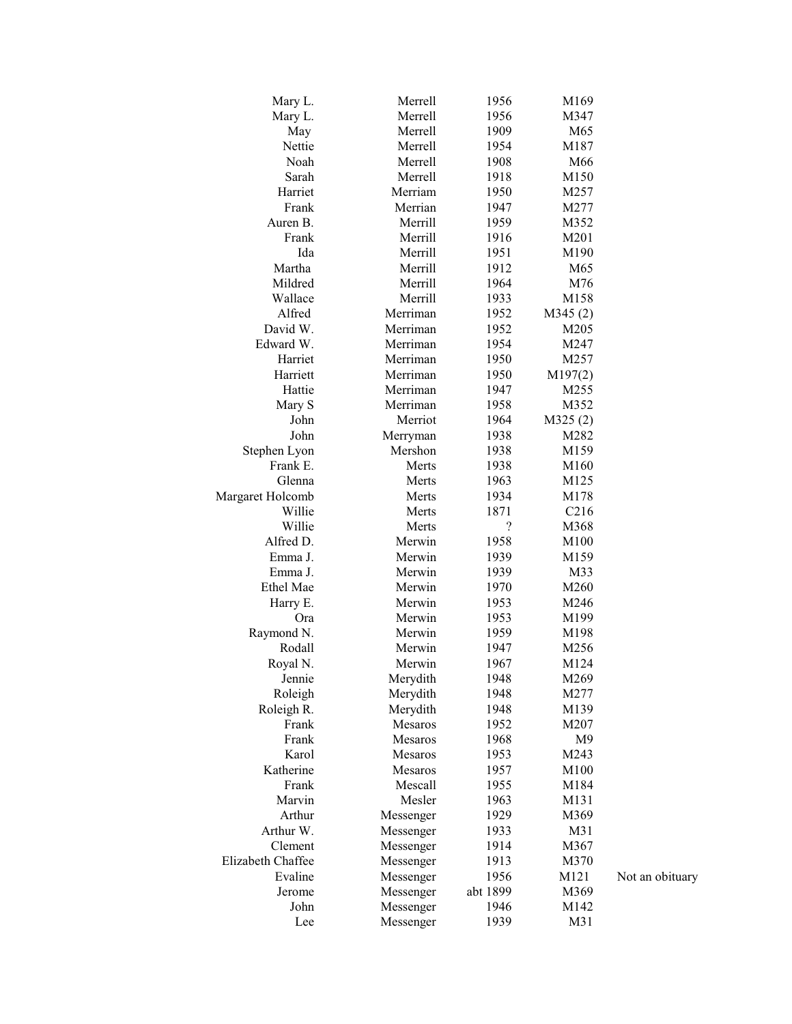| Mary L.           | Merrell   | 1956       | M169    |                 |
|-------------------|-----------|------------|---------|-----------------|
| Mary L.           | Merrell   | 1956       | M347    |                 |
| May               | Merrell   | 1909       | M65     |                 |
| Nettie            | Merrell   | 1954       | M187    |                 |
| Noah              | Merrell   | 1908       | M66     |                 |
| Sarah             | Merrell   | 1918       | M150    |                 |
| Harriet           | Merriam   | 1950       | M257    |                 |
| Frank             | Merrian   | 1947       | M277    |                 |
| Auren B.          | Merrill   | 1959       | M352    |                 |
| Frank             | Merrill   | 1916       | M201    |                 |
| Ida               | Merrill   | 1951       | M190    |                 |
| Martha            | Merrill   | 1912       | M65     |                 |
| Mildred           | Merrill   | 1964       | M76     |                 |
| Wallace           | Merrill   | 1933       | M158    |                 |
| Alfred            | Merriman  | 1952       | M345(2) |                 |
| David W.          | Merriman  | 1952       | M205    |                 |
| Edward W.         | Merriman  | 1954       | M247    |                 |
| Harriet           | Merriman  | 1950       | M257    |                 |
| Harriett          | Merriman  | 1950       | M197(2) |                 |
| Hattie            | Merriman  | 1947       | M255    |                 |
| Mary S            | Merriman  | 1958       | M352    |                 |
| John              | Merriot   | 1964       | M325(2) |                 |
| John              | Merryman  | 1938       | M282    |                 |
| Stephen Lyon      | Mershon   | 1938       | M159    |                 |
| Frank E.          | Merts     | 1938       | M160    |                 |
| Glenna            | Merts     | 1963       | M125    |                 |
| Margaret Holcomb  | Merts     | 1934       | M178    |                 |
| Willie            | Merts     | 1871       | C216    |                 |
| Willie            | Merts     | $\ddot{?}$ | M368    |                 |
| Alfred D.         | Merwin    | 1958       | M100    |                 |
| Emma J.           | Merwin    | 1939       | M159    |                 |
| Emma J.           | Merwin    | 1939       | M33     |                 |
| Ethel Mae         | Merwin    | 1970       | M260    |                 |
| Harry E.          | Merwin    | 1953       | M246    |                 |
| Ora               | Merwin    | 1953       | M199    |                 |
| Raymond N.        | Merwin    | 1959       | M198    |                 |
| Rodall            | Merwin    | 1947       | M256    |                 |
| Royal N.          | Merwin    | 1967       | M124    |                 |
| Jennie            | Merydith  | 1948       | M269    |                 |
| Roleigh           | Merydith  | 1948       | M277    |                 |
| Roleigh R.        | Merydith  | 1948       | M139    |                 |
| Frank             | Mesaros   | 1952       | M207    |                 |
| Frank             | Mesaros   | 1968       | M9      |                 |
| Karol             | Mesaros   | 1953       | M243    |                 |
| Katherine         | Mesaros   | 1957       | M100    |                 |
| Frank             | Mescall   | 1955       | M184    |                 |
| Marvin            | Mesler    | 1963       | M131    |                 |
| Arthur            | Messenger | 1929       | M369    |                 |
| Arthur W.         | Messenger | 1933       | M31     |                 |
| Clement           | Messenger | 1914       | M367    |                 |
| Elizabeth Chaffee | Messenger | 1913       | M370    |                 |
| Evaline           | Messenger | 1956       | M121    | Not an obituary |
| Jerome            | Messenger | abt 1899   | M369    |                 |
| John              | Messenger | 1946       | M142    |                 |
| Lee               | Messenger | 1939       | M31     |                 |
|                   |           |            |         |                 |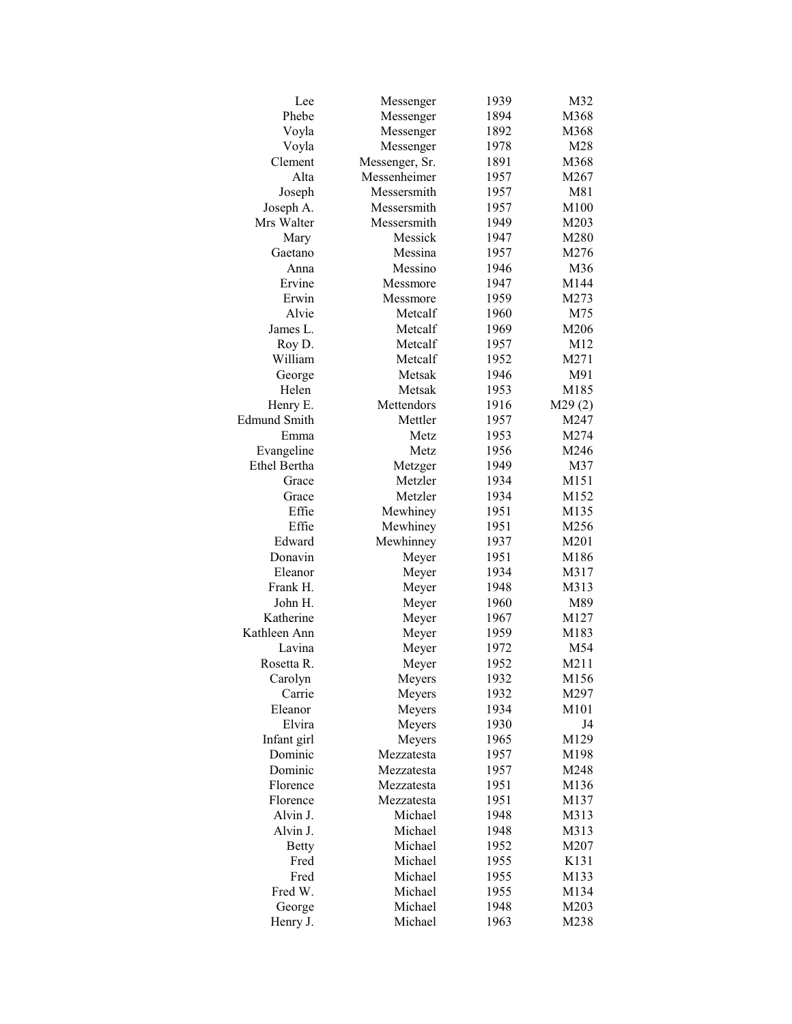| Lee                 | Messenger      | 1939 | M32    |
|---------------------|----------------|------|--------|
| Phebe               | Messenger      | 1894 | M368   |
| Voyla               | Messenger      | 1892 | M368   |
| Voyla               | Messenger      | 1978 | M28    |
| Clement             | Messenger, Sr. | 1891 | M368   |
| Alta                | Messenheimer   | 1957 | M267   |
| Joseph              | Messersmith    | 1957 | M81    |
| Joseph A.           | Messersmith    | 1957 | M100   |
| Mrs Walter          | Messersmith    | 1949 | M203   |
| Mary                | Messick        | 1947 | M280   |
| Gaetano             | Messina        | 1957 | M276   |
| Anna                | Messino        | 1946 | M36    |
| Ervine              | Messmore       | 1947 | M144   |
| Erwin               | Messmore       | 1959 | M273   |
| Alvie               | Metcalf        | 1960 | M75    |
| James L.            | Metcalf        | 1969 | M206   |
| Roy D.              | Metcalf        | 1957 | M12    |
| William             | Metcalf        | 1952 | M271   |
| George              | Metsak         | 1946 | M91    |
| Helen               | Metsak         | 1953 | M185   |
| Henry E.            | Mettendors     | 1916 | M29(2) |
| <b>Edmund Smith</b> | Mettler        | 1957 | M247   |
| Emma                | Metz           | 1953 | M274   |
| Evangeline          | Metz           | 1956 | M246   |
| <b>Ethel Bertha</b> | Metzger        | 1949 | M37    |
| Grace               | Metzler        | 1934 | M151   |
| Grace               | Metzler        | 1934 | M152   |
| Effie               | Mewhiney       | 1951 | M135   |
| Effie               | Mewhiney       | 1951 | M256   |
| Edward              | Mewhinney      | 1937 | M201   |
| Donavin             | Meyer          | 1951 | M186   |
| Eleanor             | Meyer          | 1934 | M317   |
| Frank H.            | Meyer          | 1948 | M313   |
| John H.             | Meyer          | 1960 | M89    |
| Katherine           | Meyer          | 1967 | M127   |
| Kathleen Ann        | Meyer          | 1959 | M183   |
| Lavina              | Meyer          | 1972 | M54    |
| Rosetta R.          | Meyer          | 1952 | M211   |
| Carolyn             | Meyers         | 1932 | M156   |
| Carrie              | Meyers         | 1932 | M297   |
| Eleanor             | Meyers         | 1934 | M101   |
| Elvira              | Meyers         | 1930 | J4     |
| Infant girl         | Meyers         | 1965 | M129   |
| Dominic             | Mezzatesta     | 1957 | M198   |
| Dominic             | Mezzatesta     | 1957 | M248   |
| Florence            | Mezzatesta     | 1951 | M136   |
| Florence            | Mezzatesta     | 1951 | M137   |
| Alvin J.            | Michael        | 1948 | M313   |
| Alvin J.            | Michael        | 1948 | M313   |
| <b>Betty</b>        | Michael        | 1952 | M207   |
| Fred                | Michael        | 1955 | K131   |
| Fred                | Michael        | 1955 | M133   |
| Fred W.             | Michael        | 1955 | M134   |
| George              | Michael        | 1948 | M203   |
| Henry J.            | Michael        | 1963 | M238   |
|                     |                |      |        |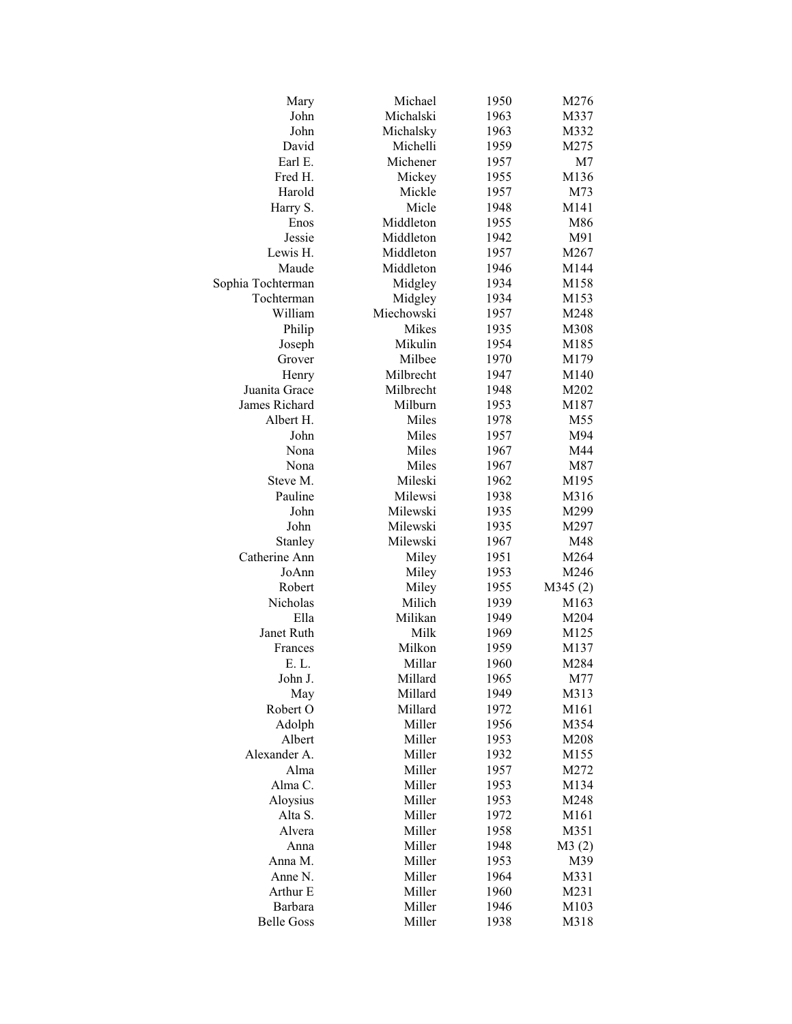| Mary              | Michael    | 1950 | M276    |
|-------------------|------------|------|---------|
| John              | Michalski  | 1963 | M337    |
| John              | Michalsky  | 1963 | M332    |
| David             | Michelli   | 1959 | M275    |
| Earl E.           | Michener   | 1957 | M7      |
| Fred H.           | Mickey     | 1955 | M136    |
| Harold            | Mickle     | 1957 | M73     |
| Harry S.          | Micle      | 1948 | M141    |
| Enos              | Middleton  | 1955 | M86     |
| Jessie            | Middleton  | 1942 | M91     |
| Lewis H.          | Middleton  | 1957 | M267    |
| Maude             | Middleton  | 1946 | M144    |
| Sophia Tochterman | Midgley    | 1934 | M158    |
| Tochterman        | Midgley    | 1934 | M153    |
| William           | Miechowski | 1957 | M248    |
| Philip            | Mikes      | 1935 | M308    |
| Joseph            | Mikulin    | 1954 | M185    |
| Grover            | Milbee     | 1970 | M179    |
| Henry             | Milbrecht  | 1947 | M140    |
| Juanita Grace     | Milbrecht  | 1948 | M202    |
| James Richard     | Milburn    | 1953 | M187    |
| Albert H.         | Miles      | 1978 | M55     |
| John              | Miles      | 1957 | M94     |
| Nona              | Miles      | 1967 | M44     |
|                   | Miles      |      |         |
| Nona              |            | 1967 | M87     |
| Steve M.          | Mileski    | 1962 | M195    |
| Pauline           | Milewsi    | 1938 | M316    |
| John              | Milewski   | 1935 | M299    |
| John              | Milewski   | 1935 | M297    |
| Stanley           | Milewski   | 1967 | M48     |
| Catherine Ann     | Miley      | 1951 | M264    |
| JoAnn             | Miley      | 1953 | M246    |
| Robert            | Miley      | 1955 | M345(2) |
| Nicholas          | Milich     | 1939 | M163    |
| Ella              | Milikan    | 1949 | M204    |
| Janet Ruth        | Milk       | 1969 | M125    |
| Frances           | Milkon     | 1959 | M137    |
| E. L.             | Millar     | 1960 | M284    |
| John J.           | Millard    | 1965 | M77     |
| May               | Millard    | 1949 | M313    |
| Robert O          | Millard    | 1972 | M161    |
| Adolph            | Miller     | 1956 | M354    |
| Albert            | Miller     | 1953 | M208    |
| Alexander A.      | Miller     | 1932 | M155    |
| Alma              | Miller     | 1957 | M272    |
| Alma C.           | Miller     | 1953 | M134    |
| Aloysius          | Miller     | 1953 | M248    |
| Alta S.           | Miller     | 1972 | M161    |
| Alvera            | Miller     | 1958 | M351    |
| Anna              | Miller     | 1948 | M3(2)   |
| Anna M.           | Miller     | 1953 | M39     |
| Anne N.           | Miller     | 1964 | M331    |
| Arthur E          | Miller     | 1960 | M231    |
| Barbara           | Miller     | 1946 | M103    |
| <b>Belle Goss</b> | Miller     | 1938 | M318    |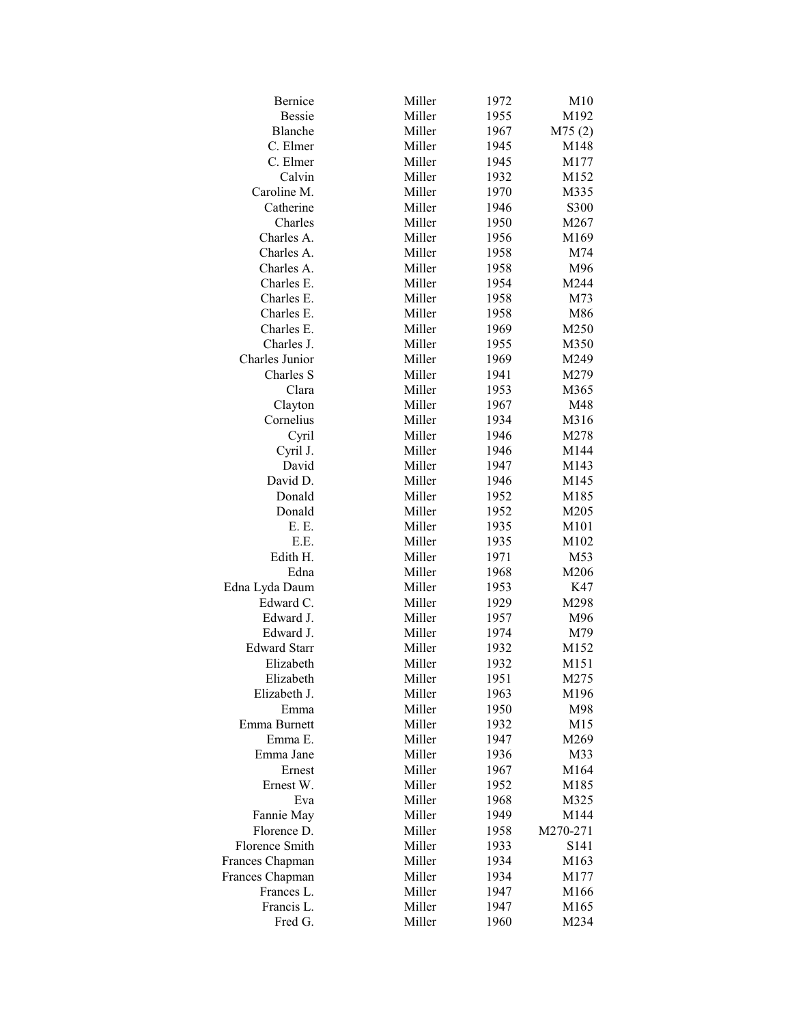| <b>Bessie</b><br>Miller<br>1955<br>M192<br>Miller<br>Blanche<br>1967<br>M75(2)<br>Miller<br>C. Elmer<br>1945<br>M148<br>Miller<br>C. Elmer<br>1945<br>M177<br>Calvin<br>Miller<br>1932<br>M152<br>Caroline M.<br>Miller<br>1970<br>M335<br>Miller<br>1946<br>Catherine<br>S300<br>Charles<br>Miller<br>1950<br>M267<br>Miller<br>1956<br>Charles A.<br>M169<br>Charles A.<br>Miller<br>1958<br>M74<br>Miller<br>1958<br>Charles A.<br>M96<br>Miller<br>Charles E.<br>1954<br>M244<br>Miller<br>1958<br>Charles E.<br>M73<br>Miller<br>1958<br>Charles E.<br>M86<br>Miller<br>Charles E.<br>1969<br>M250<br>Miller<br>1955<br>M350<br>Charles J.<br>Charles Junior<br>Miller<br>1969<br>M249<br>Miller<br>Charles S<br>1941<br>M279<br>Clara<br>Miller<br>1953<br>M365<br>Miller<br>Clayton<br>1967<br>M48<br>Cornelius<br>Miller<br>1934<br>M316<br>Miller<br>Cyril<br>1946<br>M278<br>Cyril J.<br>Miller<br>1946<br>M144<br>David<br>Miller<br>1947<br>M143<br>David D.<br>Miller<br>1946<br>M145<br>Miller<br>Donald<br>1952<br>M185<br>Donald<br>Miller<br>1952<br>M205<br>Miller<br>E. E.<br>1935<br>M101<br>Miller<br>E.E.<br>1935<br>M102<br>Edith H.<br>Miller<br>1971<br>M53<br>Miller<br>Edna<br>1968<br>M206<br>Miller<br>Edna Lyda Daum<br>1953<br>K47<br>Edward C.<br>Miller<br>M298<br>1929<br>Miller<br>Edward J.<br>1957<br>M96<br>Miller<br>Edward J.<br>1974<br>M79<br>Miller<br><b>Edward Starr</b><br>1932<br>M152<br>Elizabeth<br>Miller<br>1932<br>M151<br>Elizabeth<br>Miller<br>1951<br>M275<br>Elizabeth J.<br>Miller<br>1963<br>M196<br>Miller<br>1950<br>M98<br>Emma<br>Miller<br>Emma Burnett<br>1932<br>M15<br>Miller<br>Emma E.<br>1947<br>M269<br>Miller<br>Emma Jane<br>1936<br>M33<br>Miller<br>Ernest<br>1967<br>M164<br>Miller<br>Ernest W.<br>1952<br>M185<br>Miller<br>1968<br>M325<br>Eva<br>Miller<br>Fannie May<br>1949<br>M144<br>Florence D.<br>Miller<br>1958<br>M270-271<br>Florence Smith<br>Miller<br>1933<br>S141<br>Frances Chapman<br>Miller<br>1934<br>M163<br>Miller<br>Frances Chapman<br>1934<br>M177<br>Frances L.<br>Miller<br>1947<br>M166<br>Francis L.<br>Miller<br>1947<br>M165<br>Miller<br>Fred G.<br>1960<br>M234 | Bernice | Miller | 1972 | M10 |
|--------------------------------------------------------------------------------------------------------------------------------------------------------------------------------------------------------------------------------------------------------------------------------------------------------------------------------------------------------------------------------------------------------------------------------------------------------------------------------------------------------------------------------------------------------------------------------------------------------------------------------------------------------------------------------------------------------------------------------------------------------------------------------------------------------------------------------------------------------------------------------------------------------------------------------------------------------------------------------------------------------------------------------------------------------------------------------------------------------------------------------------------------------------------------------------------------------------------------------------------------------------------------------------------------------------------------------------------------------------------------------------------------------------------------------------------------------------------------------------------------------------------------------------------------------------------------------------------------------------------------------------------------------------------------------------------------------------------------------------------------------------------------------------------------------------------------------------------------------------------------------------------------------------------------------------------------------------------------------------------------------------------------------------------------------------------------------------------------------------------------------------------------------------------------------|---------|--------|------|-----|
|                                                                                                                                                                                                                                                                                                                                                                                                                                                                                                                                                                                                                                                                                                                                                                                                                                                                                                                                                                                                                                                                                                                                                                                                                                                                                                                                                                                                                                                                                                                                                                                                                                                                                                                                                                                                                                                                                                                                                                                                                                                                                                                                                                                |         |        |      |     |
|                                                                                                                                                                                                                                                                                                                                                                                                                                                                                                                                                                                                                                                                                                                                                                                                                                                                                                                                                                                                                                                                                                                                                                                                                                                                                                                                                                                                                                                                                                                                                                                                                                                                                                                                                                                                                                                                                                                                                                                                                                                                                                                                                                                |         |        |      |     |
|                                                                                                                                                                                                                                                                                                                                                                                                                                                                                                                                                                                                                                                                                                                                                                                                                                                                                                                                                                                                                                                                                                                                                                                                                                                                                                                                                                                                                                                                                                                                                                                                                                                                                                                                                                                                                                                                                                                                                                                                                                                                                                                                                                                |         |        |      |     |
|                                                                                                                                                                                                                                                                                                                                                                                                                                                                                                                                                                                                                                                                                                                                                                                                                                                                                                                                                                                                                                                                                                                                                                                                                                                                                                                                                                                                                                                                                                                                                                                                                                                                                                                                                                                                                                                                                                                                                                                                                                                                                                                                                                                |         |        |      |     |
|                                                                                                                                                                                                                                                                                                                                                                                                                                                                                                                                                                                                                                                                                                                                                                                                                                                                                                                                                                                                                                                                                                                                                                                                                                                                                                                                                                                                                                                                                                                                                                                                                                                                                                                                                                                                                                                                                                                                                                                                                                                                                                                                                                                |         |        |      |     |
|                                                                                                                                                                                                                                                                                                                                                                                                                                                                                                                                                                                                                                                                                                                                                                                                                                                                                                                                                                                                                                                                                                                                                                                                                                                                                                                                                                                                                                                                                                                                                                                                                                                                                                                                                                                                                                                                                                                                                                                                                                                                                                                                                                                |         |        |      |     |
|                                                                                                                                                                                                                                                                                                                                                                                                                                                                                                                                                                                                                                                                                                                                                                                                                                                                                                                                                                                                                                                                                                                                                                                                                                                                                                                                                                                                                                                                                                                                                                                                                                                                                                                                                                                                                                                                                                                                                                                                                                                                                                                                                                                |         |        |      |     |
|                                                                                                                                                                                                                                                                                                                                                                                                                                                                                                                                                                                                                                                                                                                                                                                                                                                                                                                                                                                                                                                                                                                                                                                                                                                                                                                                                                                                                                                                                                                                                                                                                                                                                                                                                                                                                                                                                                                                                                                                                                                                                                                                                                                |         |        |      |     |
|                                                                                                                                                                                                                                                                                                                                                                                                                                                                                                                                                                                                                                                                                                                                                                                                                                                                                                                                                                                                                                                                                                                                                                                                                                                                                                                                                                                                                                                                                                                                                                                                                                                                                                                                                                                                                                                                                                                                                                                                                                                                                                                                                                                |         |        |      |     |
|                                                                                                                                                                                                                                                                                                                                                                                                                                                                                                                                                                                                                                                                                                                                                                                                                                                                                                                                                                                                                                                                                                                                                                                                                                                                                                                                                                                                                                                                                                                                                                                                                                                                                                                                                                                                                                                                                                                                                                                                                                                                                                                                                                                |         |        |      |     |
|                                                                                                                                                                                                                                                                                                                                                                                                                                                                                                                                                                                                                                                                                                                                                                                                                                                                                                                                                                                                                                                                                                                                                                                                                                                                                                                                                                                                                                                                                                                                                                                                                                                                                                                                                                                                                                                                                                                                                                                                                                                                                                                                                                                |         |        |      |     |
|                                                                                                                                                                                                                                                                                                                                                                                                                                                                                                                                                                                                                                                                                                                                                                                                                                                                                                                                                                                                                                                                                                                                                                                                                                                                                                                                                                                                                                                                                                                                                                                                                                                                                                                                                                                                                                                                                                                                                                                                                                                                                                                                                                                |         |        |      |     |
|                                                                                                                                                                                                                                                                                                                                                                                                                                                                                                                                                                                                                                                                                                                                                                                                                                                                                                                                                                                                                                                                                                                                                                                                                                                                                                                                                                                                                                                                                                                                                                                                                                                                                                                                                                                                                                                                                                                                                                                                                                                                                                                                                                                |         |        |      |     |
|                                                                                                                                                                                                                                                                                                                                                                                                                                                                                                                                                                                                                                                                                                                                                                                                                                                                                                                                                                                                                                                                                                                                                                                                                                                                                                                                                                                                                                                                                                                                                                                                                                                                                                                                                                                                                                                                                                                                                                                                                                                                                                                                                                                |         |        |      |     |
|                                                                                                                                                                                                                                                                                                                                                                                                                                                                                                                                                                                                                                                                                                                                                                                                                                                                                                                                                                                                                                                                                                                                                                                                                                                                                                                                                                                                                                                                                                                                                                                                                                                                                                                                                                                                                                                                                                                                                                                                                                                                                                                                                                                |         |        |      |     |
|                                                                                                                                                                                                                                                                                                                                                                                                                                                                                                                                                                                                                                                                                                                                                                                                                                                                                                                                                                                                                                                                                                                                                                                                                                                                                                                                                                                                                                                                                                                                                                                                                                                                                                                                                                                                                                                                                                                                                                                                                                                                                                                                                                                |         |        |      |     |
|                                                                                                                                                                                                                                                                                                                                                                                                                                                                                                                                                                                                                                                                                                                                                                                                                                                                                                                                                                                                                                                                                                                                                                                                                                                                                                                                                                                                                                                                                                                                                                                                                                                                                                                                                                                                                                                                                                                                                                                                                                                                                                                                                                                |         |        |      |     |
|                                                                                                                                                                                                                                                                                                                                                                                                                                                                                                                                                                                                                                                                                                                                                                                                                                                                                                                                                                                                                                                                                                                                                                                                                                                                                                                                                                                                                                                                                                                                                                                                                                                                                                                                                                                                                                                                                                                                                                                                                                                                                                                                                                                |         |        |      |     |
|                                                                                                                                                                                                                                                                                                                                                                                                                                                                                                                                                                                                                                                                                                                                                                                                                                                                                                                                                                                                                                                                                                                                                                                                                                                                                                                                                                                                                                                                                                                                                                                                                                                                                                                                                                                                                                                                                                                                                                                                                                                                                                                                                                                |         |        |      |     |
|                                                                                                                                                                                                                                                                                                                                                                                                                                                                                                                                                                                                                                                                                                                                                                                                                                                                                                                                                                                                                                                                                                                                                                                                                                                                                                                                                                                                                                                                                                                                                                                                                                                                                                                                                                                                                                                                                                                                                                                                                                                                                                                                                                                |         |        |      |     |
|                                                                                                                                                                                                                                                                                                                                                                                                                                                                                                                                                                                                                                                                                                                                                                                                                                                                                                                                                                                                                                                                                                                                                                                                                                                                                                                                                                                                                                                                                                                                                                                                                                                                                                                                                                                                                                                                                                                                                                                                                                                                                                                                                                                |         |        |      |     |
|                                                                                                                                                                                                                                                                                                                                                                                                                                                                                                                                                                                                                                                                                                                                                                                                                                                                                                                                                                                                                                                                                                                                                                                                                                                                                                                                                                                                                                                                                                                                                                                                                                                                                                                                                                                                                                                                                                                                                                                                                                                                                                                                                                                |         |        |      |     |
|                                                                                                                                                                                                                                                                                                                                                                                                                                                                                                                                                                                                                                                                                                                                                                                                                                                                                                                                                                                                                                                                                                                                                                                                                                                                                                                                                                                                                                                                                                                                                                                                                                                                                                                                                                                                                                                                                                                                                                                                                                                                                                                                                                                |         |        |      |     |
|                                                                                                                                                                                                                                                                                                                                                                                                                                                                                                                                                                                                                                                                                                                                                                                                                                                                                                                                                                                                                                                                                                                                                                                                                                                                                                                                                                                                                                                                                                                                                                                                                                                                                                                                                                                                                                                                                                                                                                                                                                                                                                                                                                                |         |        |      |     |
|                                                                                                                                                                                                                                                                                                                                                                                                                                                                                                                                                                                                                                                                                                                                                                                                                                                                                                                                                                                                                                                                                                                                                                                                                                                                                                                                                                                                                                                                                                                                                                                                                                                                                                                                                                                                                                                                                                                                                                                                                                                                                                                                                                                |         |        |      |     |
|                                                                                                                                                                                                                                                                                                                                                                                                                                                                                                                                                                                                                                                                                                                                                                                                                                                                                                                                                                                                                                                                                                                                                                                                                                                                                                                                                                                                                                                                                                                                                                                                                                                                                                                                                                                                                                                                                                                                                                                                                                                                                                                                                                                |         |        |      |     |
|                                                                                                                                                                                                                                                                                                                                                                                                                                                                                                                                                                                                                                                                                                                                                                                                                                                                                                                                                                                                                                                                                                                                                                                                                                                                                                                                                                                                                                                                                                                                                                                                                                                                                                                                                                                                                                                                                                                                                                                                                                                                                                                                                                                |         |        |      |     |
|                                                                                                                                                                                                                                                                                                                                                                                                                                                                                                                                                                                                                                                                                                                                                                                                                                                                                                                                                                                                                                                                                                                                                                                                                                                                                                                                                                                                                                                                                                                                                                                                                                                                                                                                                                                                                                                                                                                                                                                                                                                                                                                                                                                |         |        |      |     |
|                                                                                                                                                                                                                                                                                                                                                                                                                                                                                                                                                                                                                                                                                                                                                                                                                                                                                                                                                                                                                                                                                                                                                                                                                                                                                                                                                                                                                                                                                                                                                                                                                                                                                                                                                                                                                                                                                                                                                                                                                                                                                                                                                                                |         |        |      |     |
|                                                                                                                                                                                                                                                                                                                                                                                                                                                                                                                                                                                                                                                                                                                                                                                                                                                                                                                                                                                                                                                                                                                                                                                                                                                                                                                                                                                                                                                                                                                                                                                                                                                                                                                                                                                                                                                                                                                                                                                                                                                                                                                                                                                |         |        |      |     |
|                                                                                                                                                                                                                                                                                                                                                                                                                                                                                                                                                                                                                                                                                                                                                                                                                                                                                                                                                                                                                                                                                                                                                                                                                                                                                                                                                                                                                                                                                                                                                                                                                                                                                                                                                                                                                                                                                                                                                                                                                                                                                                                                                                                |         |        |      |     |
|                                                                                                                                                                                                                                                                                                                                                                                                                                                                                                                                                                                                                                                                                                                                                                                                                                                                                                                                                                                                                                                                                                                                                                                                                                                                                                                                                                                                                                                                                                                                                                                                                                                                                                                                                                                                                                                                                                                                                                                                                                                                                                                                                                                |         |        |      |     |
|                                                                                                                                                                                                                                                                                                                                                                                                                                                                                                                                                                                                                                                                                                                                                                                                                                                                                                                                                                                                                                                                                                                                                                                                                                                                                                                                                                                                                                                                                                                                                                                                                                                                                                                                                                                                                                                                                                                                                                                                                                                                                                                                                                                |         |        |      |     |
|                                                                                                                                                                                                                                                                                                                                                                                                                                                                                                                                                                                                                                                                                                                                                                                                                                                                                                                                                                                                                                                                                                                                                                                                                                                                                                                                                                                                                                                                                                                                                                                                                                                                                                                                                                                                                                                                                                                                                                                                                                                                                                                                                                                |         |        |      |     |
|                                                                                                                                                                                                                                                                                                                                                                                                                                                                                                                                                                                                                                                                                                                                                                                                                                                                                                                                                                                                                                                                                                                                                                                                                                                                                                                                                                                                                                                                                                                                                                                                                                                                                                                                                                                                                                                                                                                                                                                                                                                                                                                                                                                |         |        |      |     |
|                                                                                                                                                                                                                                                                                                                                                                                                                                                                                                                                                                                                                                                                                                                                                                                                                                                                                                                                                                                                                                                                                                                                                                                                                                                                                                                                                                                                                                                                                                                                                                                                                                                                                                                                                                                                                                                                                                                                                                                                                                                                                                                                                                                |         |        |      |     |
|                                                                                                                                                                                                                                                                                                                                                                                                                                                                                                                                                                                                                                                                                                                                                                                                                                                                                                                                                                                                                                                                                                                                                                                                                                                                                                                                                                                                                                                                                                                                                                                                                                                                                                                                                                                                                                                                                                                                                                                                                                                                                                                                                                                |         |        |      |     |
|                                                                                                                                                                                                                                                                                                                                                                                                                                                                                                                                                                                                                                                                                                                                                                                                                                                                                                                                                                                                                                                                                                                                                                                                                                                                                                                                                                                                                                                                                                                                                                                                                                                                                                                                                                                                                                                                                                                                                                                                                                                                                                                                                                                |         |        |      |     |
|                                                                                                                                                                                                                                                                                                                                                                                                                                                                                                                                                                                                                                                                                                                                                                                                                                                                                                                                                                                                                                                                                                                                                                                                                                                                                                                                                                                                                                                                                                                                                                                                                                                                                                                                                                                                                                                                                                                                                                                                                                                                                                                                                                                |         |        |      |     |
|                                                                                                                                                                                                                                                                                                                                                                                                                                                                                                                                                                                                                                                                                                                                                                                                                                                                                                                                                                                                                                                                                                                                                                                                                                                                                                                                                                                                                                                                                                                                                                                                                                                                                                                                                                                                                                                                                                                                                                                                                                                                                                                                                                                |         |        |      |     |
|                                                                                                                                                                                                                                                                                                                                                                                                                                                                                                                                                                                                                                                                                                                                                                                                                                                                                                                                                                                                                                                                                                                                                                                                                                                                                                                                                                                                                                                                                                                                                                                                                                                                                                                                                                                                                                                                                                                                                                                                                                                                                                                                                                                |         |        |      |     |
|                                                                                                                                                                                                                                                                                                                                                                                                                                                                                                                                                                                                                                                                                                                                                                                                                                                                                                                                                                                                                                                                                                                                                                                                                                                                                                                                                                                                                                                                                                                                                                                                                                                                                                                                                                                                                                                                                                                                                                                                                                                                                                                                                                                |         |        |      |     |
|                                                                                                                                                                                                                                                                                                                                                                                                                                                                                                                                                                                                                                                                                                                                                                                                                                                                                                                                                                                                                                                                                                                                                                                                                                                                                                                                                                                                                                                                                                                                                                                                                                                                                                                                                                                                                                                                                                                                                                                                                                                                                                                                                                                |         |        |      |     |
|                                                                                                                                                                                                                                                                                                                                                                                                                                                                                                                                                                                                                                                                                                                                                                                                                                                                                                                                                                                                                                                                                                                                                                                                                                                                                                                                                                                                                                                                                                                                                                                                                                                                                                                                                                                                                                                                                                                                                                                                                                                                                                                                                                                |         |        |      |     |
|                                                                                                                                                                                                                                                                                                                                                                                                                                                                                                                                                                                                                                                                                                                                                                                                                                                                                                                                                                                                                                                                                                                                                                                                                                                                                                                                                                                                                                                                                                                                                                                                                                                                                                                                                                                                                                                                                                                                                                                                                                                                                                                                                                                |         |        |      |     |
|                                                                                                                                                                                                                                                                                                                                                                                                                                                                                                                                                                                                                                                                                                                                                                                                                                                                                                                                                                                                                                                                                                                                                                                                                                                                                                                                                                                                                                                                                                                                                                                                                                                                                                                                                                                                                                                                                                                                                                                                                                                                                                                                                                                |         |        |      |     |
|                                                                                                                                                                                                                                                                                                                                                                                                                                                                                                                                                                                                                                                                                                                                                                                                                                                                                                                                                                                                                                                                                                                                                                                                                                                                                                                                                                                                                                                                                                                                                                                                                                                                                                                                                                                                                                                                                                                                                                                                                                                                                                                                                                                |         |        |      |     |
|                                                                                                                                                                                                                                                                                                                                                                                                                                                                                                                                                                                                                                                                                                                                                                                                                                                                                                                                                                                                                                                                                                                                                                                                                                                                                                                                                                                                                                                                                                                                                                                                                                                                                                                                                                                                                                                                                                                                                                                                                                                                                                                                                                                |         |        |      |     |
|                                                                                                                                                                                                                                                                                                                                                                                                                                                                                                                                                                                                                                                                                                                                                                                                                                                                                                                                                                                                                                                                                                                                                                                                                                                                                                                                                                                                                                                                                                                                                                                                                                                                                                                                                                                                                                                                                                                                                                                                                                                                                                                                                                                |         |        |      |     |
|                                                                                                                                                                                                                                                                                                                                                                                                                                                                                                                                                                                                                                                                                                                                                                                                                                                                                                                                                                                                                                                                                                                                                                                                                                                                                                                                                                                                                                                                                                                                                                                                                                                                                                                                                                                                                                                                                                                                                                                                                                                                                                                                                                                |         |        |      |     |
|                                                                                                                                                                                                                                                                                                                                                                                                                                                                                                                                                                                                                                                                                                                                                                                                                                                                                                                                                                                                                                                                                                                                                                                                                                                                                                                                                                                                                                                                                                                                                                                                                                                                                                                                                                                                                                                                                                                                                                                                                                                                                                                                                                                |         |        |      |     |
|                                                                                                                                                                                                                                                                                                                                                                                                                                                                                                                                                                                                                                                                                                                                                                                                                                                                                                                                                                                                                                                                                                                                                                                                                                                                                                                                                                                                                                                                                                                                                                                                                                                                                                                                                                                                                                                                                                                                                                                                                                                                                                                                                                                |         |        |      |     |
|                                                                                                                                                                                                                                                                                                                                                                                                                                                                                                                                                                                                                                                                                                                                                                                                                                                                                                                                                                                                                                                                                                                                                                                                                                                                                                                                                                                                                                                                                                                                                                                                                                                                                                                                                                                                                                                                                                                                                                                                                                                                                                                                                                                |         |        |      |     |
|                                                                                                                                                                                                                                                                                                                                                                                                                                                                                                                                                                                                                                                                                                                                                                                                                                                                                                                                                                                                                                                                                                                                                                                                                                                                                                                                                                                                                                                                                                                                                                                                                                                                                                                                                                                                                                                                                                                                                                                                                                                                                                                                                                                |         |        |      |     |
|                                                                                                                                                                                                                                                                                                                                                                                                                                                                                                                                                                                                                                                                                                                                                                                                                                                                                                                                                                                                                                                                                                                                                                                                                                                                                                                                                                                                                                                                                                                                                                                                                                                                                                                                                                                                                                                                                                                                                                                                                                                                                                                                                                                |         |        |      |     |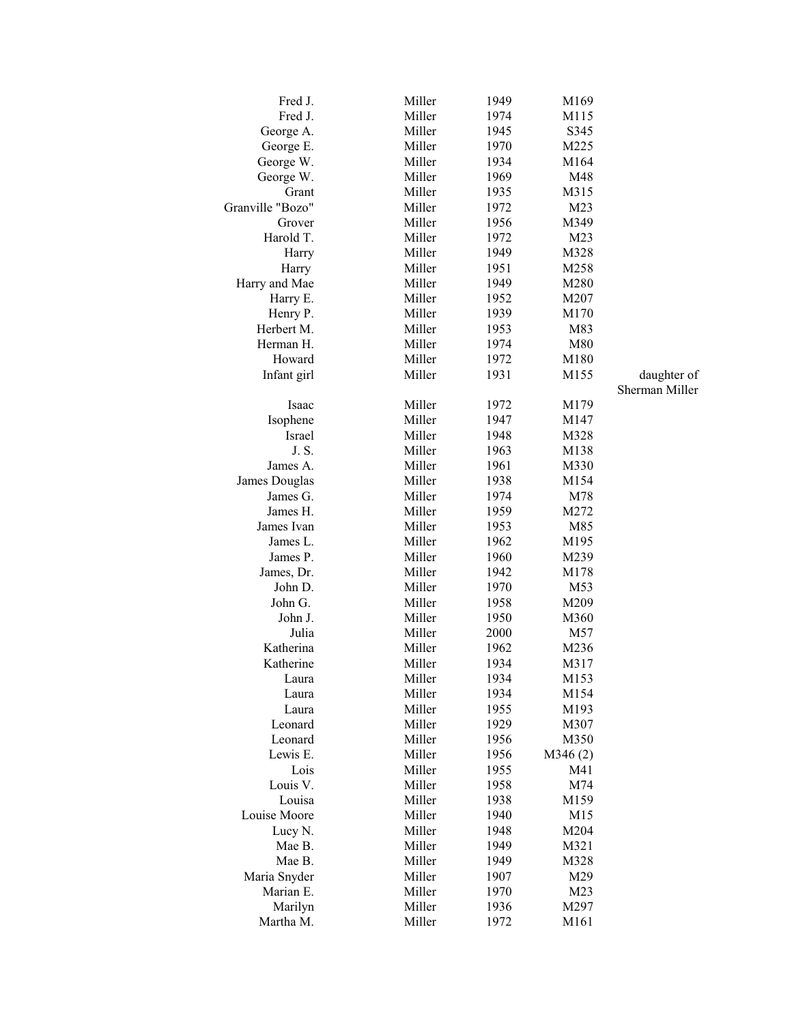| Fred J.          | Miller | 1949 | M169    |                |
|------------------|--------|------|---------|----------------|
| Fred J.          | Miller | 1974 | M115    |                |
| George A.        | Miller | 1945 | S345    |                |
| George E.        | Miller | 1970 | M225    |                |
| George W.        | Miller | 1934 | M164    |                |
| George W.        | Miller | 1969 | M48     |                |
| Grant            | Miller | 1935 | M315    |                |
| Granville "Bozo" | Miller | 1972 | M23     |                |
| Grover           | Miller | 1956 | M349    |                |
| Harold T.        | Miller | 1972 | M23     |                |
| Harry            | Miller | 1949 | M328    |                |
| Harry            | Miller | 1951 | M258    |                |
| Harry and Mae    | Miller | 1949 | M280    |                |
| Harry E.         | Miller | 1952 | M207    |                |
| Henry P.         | Miller | 1939 | M170    |                |
| Herbert M.       | Miller | 1953 | M83     |                |
| Herman H.        | Miller | 1974 | M80     |                |
| Howard           | Miller | 1972 | M180    |                |
|                  | Miller | 1931 | M155    | daughter of    |
| Infant girl      |        |      |         | Sherman Miller |
|                  |        |      |         |                |
| Isaac            | Miller | 1972 | M179    |                |
| Isophene         | Miller | 1947 | M147    |                |
| Israel           | Miller | 1948 | M328    |                |
| J. S.            | Miller | 1963 | M138    |                |
| James A.         | Miller | 1961 | M330    |                |
| James Douglas    | Miller | 1938 | M154    |                |
| James G.         | Miller | 1974 | M78     |                |
| James H.         | Miller | 1959 | M272    |                |
| James Ivan       | Miller | 1953 | M85     |                |
| James L.         | Miller | 1962 | M195    |                |
| James P.         | Miller | 1960 | M239    |                |
| James, Dr.       | Miller | 1942 | M178    |                |
| John D.          | Miller | 1970 | M53     |                |
| John G.          | Miller | 1958 | M209    |                |
| John J.          | Miller | 1950 | M360    |                |
| Julia            | Miller | 2000 | M57     |                |
| Katherina        | Miller | 1962 | M236    |                |
| Katherine        | Miller | 1934 | M317    |                |
| Laura            | Miller | 1934 | M153    |                |
| Laura            | Miller | 1934 | M154    |                |
| Laura            | Miller | 1955 | M193    |                |
| Leonard          | Miller | 1929 | M307    |                |
| Leonard          | Miller | 1956 | M350    |                |
| Lewis E.         | Miller | 1956 | M346(2) |                |
| Lois             | Miller | 1955 | M41     |                |
| Louis V.         | Miller | 1958 | M74     |                |
| Louisa           | Miller | 1938 | M159    |                |
| Louise Moore     | Miller | 1940 | M15     |                |
| Lucy N.          | Miller | 1948 | M204    |                |
| Mae B.           | Miller | 1949 | M321    |                |
| Mae B.           | Miller | 1949 | M328    |                |
| Maria Snyder     | Miller | 1907 | M29     |                |
| Marian E.        |        |      |         |                |
|                  | Miller | 1970 | M23     |                |
| Marilyn          | Miller | 1936 | M297    |                |
| Martha M.        | Miller | 1972 | M161    |                |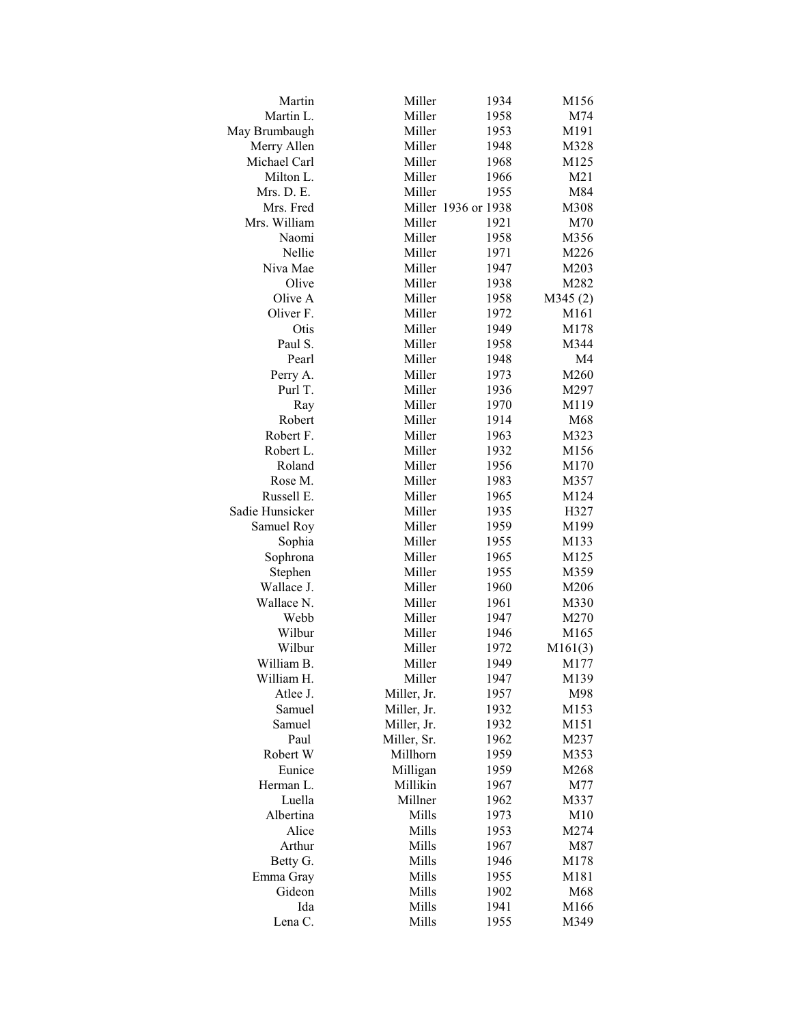| Martin          | Miller      | 1934                | M156           |
|-----------------|-------------|---------------------|----------------|
| Martin L.       | Miller      | 1958                | M74            |
| May Brumbaugh   | Miller      | 1953                | M191           |
| Merry Allen     | Miller      | 1948                | M328           |
| Michael Carl    | Miller      | 1968                | M125           |
| Milton L.       | Miller      | 1966                | M21            |
| Mrs. D. E.      | Miller      | 1955                | M84            |
| Mrs. Fred       |             | Miller 1936 or 1938 | M308           |
| Mrs. William    | Miller      | 1921                | M70            |
| Naomi           | Miller      | 1958                | M356           |
| Nellie          | Miller      | 1971                | M226           |
| Niva Mae        | Miller      | 1947                | M203           |
| Olive           | Miller      | 1938                | M282           |
| Olive A         | Miller      | 1958                | M345(2)        |
| Oliver F.       | Miller      | 1972                | M161           |
| Otis            | Miller      | 1949                | M178           |
| Paul S.         | Miller      | 1958                | M344           |
| Pearl           | Miller      | 1948                | M <sub>4</sub> |
| Perry A.        | Miller      | 1973                | M260           |
| Purl T.         | Miller      | 1936                | M297           |
| Ray             | Miller      | 1970                | M119           |
| Robert          | Miller      | 1914                | M68            |
| Robert F.       | Miller      | 1963                | M323           |
|                 | Miller      |                     |                |
| Robert L.       |             | 1932                | M156           |
| Roland          | Miller      | 1956                | M170           |
| Rose M.         | Miller      | 1983                | M357           |
| Russell E.      | Miller      | 1965                | M124           |
| Sadie Hunsicker | Miller      | 1935                | H327           |
| Samuel Roy      | Miller      | 1959                | M199           |
| Sophia          | Miller      | 1955                | M133           |
| Sophrona        | Miller      | 1965                | M125           |
| Stephen         | Miller      | 1955                | M359           |
| Wallace J.      | Miller      | 1960                | M206           |
| Wallace N.      | Miller      | 1961                | M330           |
| Webb            | Miller      | 1947                | M270           |
| Wilbur          | Miller      | 1946                | M165           |
| Wilbur          | Miller      | 1972                | M161(3)        |
| William B.      | Miller      | 1949                | M177           |
| William H.      | Miller      | 1947                | M139           |
| Atlee J.        | Miller, Jr. | 1957                | M98            |
| Samuel          | Miller, Jr. | 1932                | M153           |
| Samuel          | Miller, Jr. | 1932                | M151           |
| Paul            | Miller, Sr. | 1962                | M237           |
| Robert W        | Millhorn    | 1959                | M353           |
| Eunice          | Milligan    | 1959                | M268           |
| Herman L.       | Millikin    | 1967                | M77            |
| Luella          | Millner     | 1962                | M337           |
| Albertina       | Mills       | 1973                | M10            |
| Alice           | Mills       | 1953                | M274           |
| Arthur          | Mills       | 1967                | M87            |
| Betty G.        | Mills       | 1946                | M178           |
| Emma Gray       | Mills       | 1955                | M181           |
| Gideon          | Mills       | 1902                | M68            |
| Ida             | Mills       | 1941                | M166           |
| Lena C.         | Mills       | 1955                | M349           |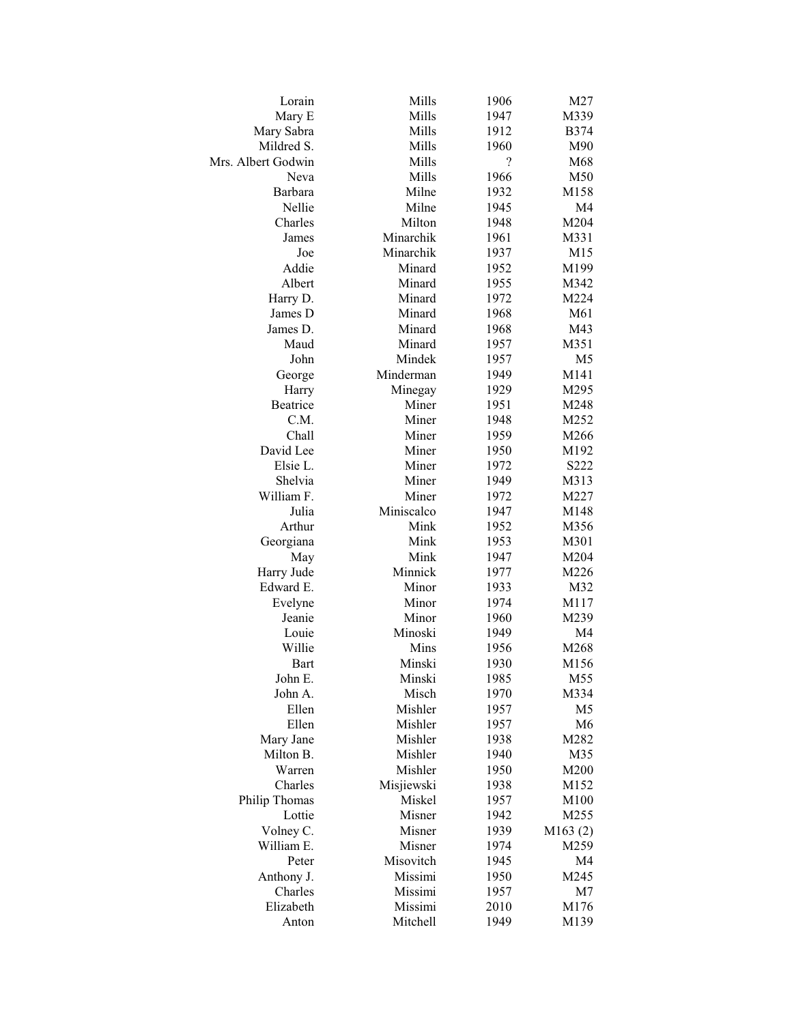| Lorain                  | Mills               | 1906                     | M27            |
|-------------------------|---------------------|--------------------------|----------------|
| Mary E                  | Mills               | 1947                     | M339           |
| Mary Sabra              | Mills               | 1912                     | <b>B374</b>    |
| Mildred S.              | Mills               | 1960                     | M90            |
| Mrs. Albert Godwin      | Mills               | $\overline{\mathcal{C}}$ | M68            |
| Neva                    | Mills               | 1966                     | M50            |
| Barbara                 | Milne               | 1932                     | M158           |
| Nellie                  | Milne               | 1945                     | M <sub>4</sub> |
| Charles                 | Milton              | 1948                     | M204           |
| James                   | Minarchik           | 1961                     | M331           |
| Joe                     | Minarchik           | 1937                     | M15            |
| Addie                   | Minard              | 1952                     | M199           |
| Albert                  | Minard              | 1955                     | M342           |
| Harry D.                | Minard              | 1972                     | M224           |
| James D                 | Minard              | 1968                     | M61            |
| James D.                | Minard              | 1968                     | M43            |
| Maud                    | Minard              | 1957                     | M351           |
| John                    | Mindek              | 1957                     | M <sub>5</sub> |
| George                  | Minderman           | 1949                     | M141           |
| Harry                   | Minegay             | 1929                     | M295           |
| Beatrice                | Miner               | 1951                     | M248           |
| C.M.                    | Miner               | 1948                     | M252           |
| Chall                   | Miner               | 1959                     | M266           |
| David Lee               | Miner               | 1950                     | M192           |
| Elsie L.                | Miner               | 1972                     | S222           |
| Shelvia                 | Miner               | 1949                     | M313           |
| William F.              | Miner               | 1972                     | M227           |
| Julia                   | Miniscalco          | 1947                     | M148           |
| Arthur                  | Mink                | 1952                     | M356           |
| Georgiana               | Mink                | 1953                     | M301           |
| May                     | Mink                | 1947                     | M204           |
| Harry Jude              | Minnick             | 1977                     | M226           |
| Edward E.               | Minor               | 1933                     | M32            |
| Evelyne                 | Minor               | 1974                     | M117           |
| Jeanie                  | Minor               | 1960                     | M239           |
| Louie                   | Minoski             | 1949                     | M4             |
| Willie                  | Mins                | 1956                     | M268           |
| <b>Bart</b>             | Minski              | 1930                     | M156           |
| John E.                 | Minski              | 1985                     | M55            |
| John A.                 | Misch               | 1970                     | M334           |
| Ellen                   | Mishler             | 1957                     | M <sub>5</sub> |
| Ellen                   | Mishler             | 1957                     | M <sub>6</sub> |
| Mary Jane               | Mishler             | 1938                     | M282           |
| Milton B.               | Mishler             | 1940                     | M35            |
| Warren                  | Mishler             | 1950                     | M200           |
| Charles                 | Misjiewski          | 1938                     | M152           |
|                         |                     |                          |                |
| Philip Thomas<br>Lottie | Miskel<br>Misner    | 1957<br>1942             | M100<br>M255   |
|                         | Misner              | 1939                     |                |
| Volney C.               |                     |                          | M163(2)        |
| William E.              | Misner<br>Misovitch | 1974                     | M259           |
| Peter                   |                     | 1945                     | M4             |
| Anthony J.              | Missimi             | 1950                     | M245           |
| Charles                 | Missimi             | 1957                     | M7             |
| Elizabeth               | Missimi             | 2010                     | M176           |
| Anton                   | Mitchell            | 1949                     | M139           |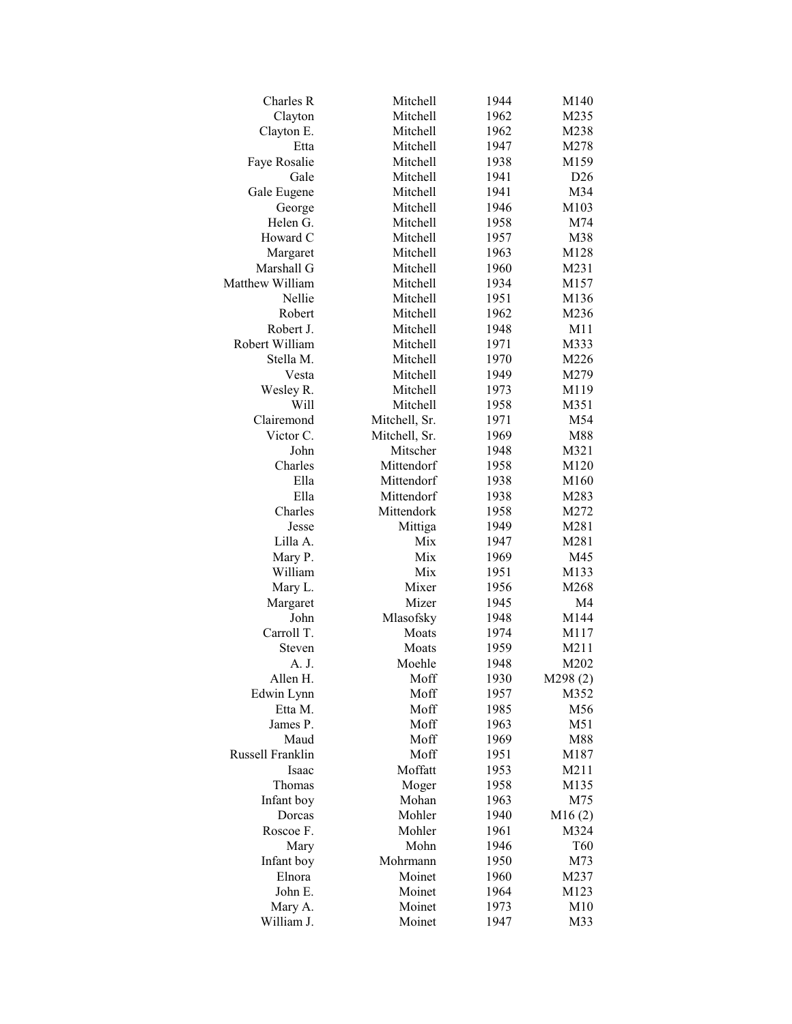| Charles R        | Mitchell      | 1944 | M140           |
|------------------|---------------|------|----------------|
| Clayton          | Mitchell      | 1962 | M235           |
| Clayton E.       | Mitchell      | 1962 | M238           |
| Etta             | Mitchell      | 1947 | M278           |
| Faye Rosalie     | Mitchell      | 1938 | M159           |
| Gale             | Mitchell      | 1941 | D26            |
| Gale Eugene      | Mitchell      | 1941 | M34            |
| George           | Mitchell      | 1946 | M103           |
| Helen G.         | Mitchell      | 1958 | M74            |
| Howard C         | Mitchell      | 1957 | M38            |
| Margaret         | Mitchell      | 1963 | M128           |
| Marshall G       | Mitchell      | 1960 | M231           |
| Matthew William  | Mitchell      | 1934 | M157           |
| Nellie           | Mitchell      | 1951 | M136           |
| Robert           | Mitchell      | 1962 | M236           |
| Robert J.        | Mitchell      | 1948 | M11            |
| Robert William   | Mitchell      | 1971 | M333           |
| Stella M.        | Mitchell      | 1970 | M226           |
| Vesta            | Mitchell      | 1949 | M279           |
| Wesley R.        | Mitchell      | 1973 | M119           |
| Will             | Mitchell      | 1958 | M351           |
| Clairemond       | Mitchell, Sr. | 1971 | M54            |
| Victor C.        | Mitchell, Sr. | 1969 | M88            |
| John             | Mitscher      | 1948 | M321           |
| Charles          | Mittendorf    | 1958 | M120           |
| Ella             | Mittendorf    | 1938 | M160           |
| Ella             | Mittendorf    | 1938 | M283           |
| Charles          | Mittendork    | 1958 | M272           |
| Jesse            | Mittiga       | 1949 | M281           |
| Lilla A.         | Mix           | 1947 | M281           |
| Mary P.          | Mix           | 1969 | M45            |
| William          | Mix           | 1951 | M133           |
| Mary L.          | Mixer         | 1956 | M268           |
| Margaret         | Mizer         | 1945 | M <sub>4</sub> |
| John             | Mlasofsky     | 1948 | M144           |
| Carroll T.       | Moats         | 1974 | M117           |
| Steven           | Moats         | 1959 | M211           |
| A. J.            | Moehle        | 1948 | M202           |
| Allen H.         | Moff          | 1930 | M298(2)        |
| Edwin Lynn       | Moff          | 1957 | M352           |
| Etta M.          | Moff          | 1985 | M56            |
| James P.         | Moff          | 1963 | M51            |
| Maud             | Moff          | 1969 | M88            |
| Russell Franklin | Moff          | 1951 | M187           |
| Isaac            | Moffatt       | 1953 | M211           |
| Thomas           | Moger         | 1958 | M135           |
| Infant boy       | Mohan         | 1963 | M75            |
| Dorcas           | Mohler        | 1940 | M16(2)         |
| Roscoe F.        | Mohler        | 1961 | M324           |
| Mary             | Mohn          | 1946 | T60            |
| Infant boy       | Mohrmann      | 1950 | M73            |
| Elnora           | Moinet        | 1960 | M237           |
| John E.          | Moinet        | 1964 | M123           |
| Mary A.          | Moinet        | 1973 | M10            |
| William J.       | Moinet        | 1947 |                |
|                  |               |      | M33            |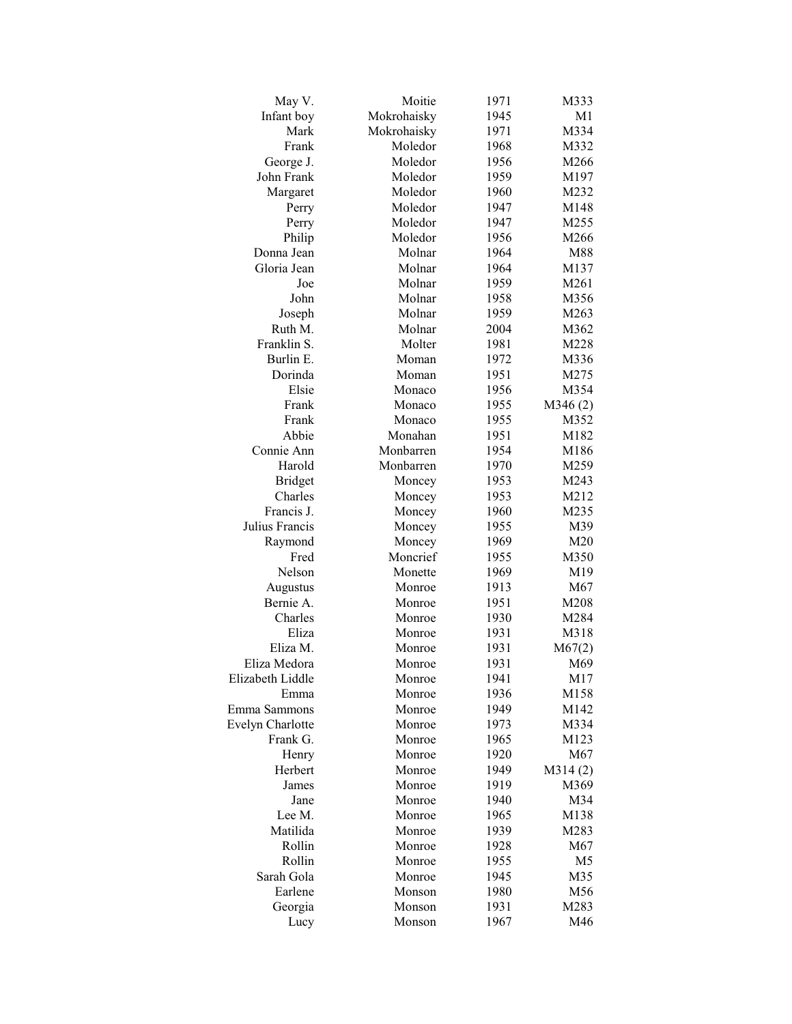| May V.           | Moitie      | 1971 | M333            |
|------------------|-------------|------|-----------------|
| Infant boy       | Mokrohaisky | 1945 | M <sub>1</sub>  |
| Mark             | Mokrohaisky | 1971 | M334            |
| Frank            | Moledor     | 1968 | M332            |
| George J.        | Moledor     | 1956 | M266            |
| John Frank       | Moledor     | 1959 | M197            |
| Margaret         | Moledor     | 1960 | M232            |
| Perry            | Moledor     | 1947 | M148            |
| Perry            | Moledor     | 1947 | M255            |
| Philip           | Moledor     | 1956 | M266            |
| Donna Jean       | Molnar      | 1964 | M88             |
| Gloria Jean      | Molnar      | 1964 | M137            |
| Joe              | Molnar      | 1959 | M261            |
| John             | Molnar      | 1958 | M356            |
| Joseph           | Molnar      | 1959 | M263            |
| Ruth M.          | Molnar      | 2004 | M362            |
| Franklin S.      | Molter      | 1981 | M228            |
| Burlin E.        | Moman       | 1972 | M336            |
| Dorinda          | Moman       | 1951 | M275            |
| Elsie            | Monaco      | 1956 | M354            |
| Frank            | Monaco      | 1955 | M346(2)         |
| Frank            | Monaco      | 1955 | M352            |
| Abbie            | Monahan     | 1951 | M182            |
| Connie Ann       | Monbarren   | 1954 | M186            |
| Harold           | Monbarren   | 1970 | M259            |
| <b>Bridget</b>   | Moncey      | 1953 | M243            |
| Charles          | Moncey      | 1953 | M212            |
| Francis J.       | Moncey      | 1960 | M235            |
| Julius Francis   | Moncey      | 1955 | M39             |
| Raymond          | Moncey      | 1969 | M <sub>20</sub> |
| Fred             | Moncrief    | 1955 | M350            |
| Nelson           | Monette     | 1969 | M19             |
| Augustus         | Monroe      | 1913 | M67             |
| Bernie A.        | Monroe      | 1951 | M208            |
| Charles          | Monroe      | 1930 | M284            |
| Eliza            | Monroe      | 1931 | M318            |
| Eliza M.         | Monroe      | 1931 | M67(2)          |
| Eliza Medora     | Monroe      | 1931 | M69             |
| Elizabeth Liddle | Monroe      | 1941 | M17             |
| Emma             | Monroe      | 1936 | M158            |
| Emma Sammons     | Monroe      | 1949 | M142            |
| Evelyn Charlotte | Monroe      | 1973 | M334            |
| Frank G.         | Monroe      | 1965 | M123            |
| Henry            | Monroe      | 1920 | M67             |
| Herbert          | Monroe      | 1949 | M314(2)         |
| James            | Monroe      | 1919 | M369            |
| Jane             | Monroe      | 1940 | M34             |
| Lee M.           | Monroe      | 1965 | M138            |
| Matilida         | Monroe      | 1939 | M283            |
| Rollin           | Monroe      | 1928 | M67             |
| Rollin           | Monroe      | 1955 | M <sub>5</sub>  |
| Sarah Gola       | Monroe      | 1945 | M35             |
| Earlene          | Monson      | 1980 | M56             |
| Georgia          | Monson      | 1931 | M283            |
| Lucy             | Monson      | 1967 | M46             |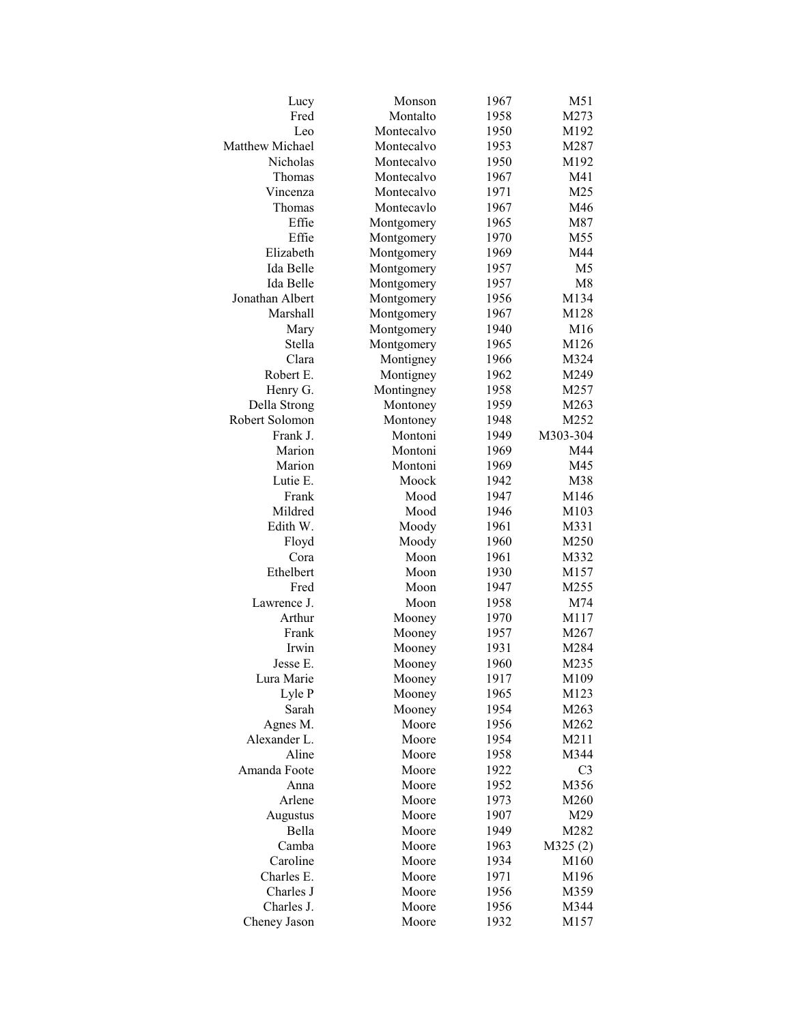| Lucy            | Monson     | 1967 | M51              |
|-----------------|------------|------|------------------|
| Fred            | Montalto   | 1958 | M273             |
| Leo             | Montecalvo | 1950 | M192             |
| Matthew Michael | Montecalvo | 1953 | M287             |
| Nicholas        | Montecalvo | 1950 | M192             |
| Thomas          | Montecalvo | 1967 | M41              |
| Vincenza        | Montecalvo | 1971 | M <sub>25</sub>  |
| Thomas          | Montecavlo | 1967 | M46              |
| Effie           | Montgomery | 1965 | M87              |
| Effie           | Montgomery | 1970 | M55              |
| Elizabeth       | Montgomery | 1969 | M44              |
| Ida Belle       | Montgomery | 1957 | M <sub>5</sub>   |
| Ida Belle       | Montgomery | 1957 | M8               |
| Jonathan Albert | Montgomery | 1956 | M134             |
| Marshall        | Montgomery | 1967 | M128             |
| Mary            | Montgomery | 1940 | M16              |
| Stella          | Montgomery | 1965 | M126             |
| Clara           | Montigney  | 1966 | M324             |
| Robert E.       | Montigney  | 1962 | M249             |
| Henry G.        | Montingney | 1958 | M257             |
| Della Strong    | Montoney   | 1959 | M263             |
| Robert Solomon  | Montoney   | 1948 | M252             |
| Frank J.        | Montoni    | 1949 | M303-304         |
| Marion          | Montoni    | 1969 | M44              |
| Marion          | Montoni    | 1969 | M45              |
| Lutie E.        | Moock      | 1942 | M38              |
| Frank           | Mood       | 1947 | M146             |
| Mildred         | Mood       | 1946 | M103             |
| Edith W.        | Moody      | 1961 | M331             |
| Floyd           | Moody      | 1960 | M250             |
| Cora            | Moon       | 1961 | M332             |
| Ethelbert       | Moon       | 1930 | M157             |
| Fred            | Moon       | 1947 | M <sub>255</sub> |
| Lawrence J.     | Moon       | 1958 | M74              |
| Arthur          | Mooney     | 1970 | M117             |
| Frank           | Mooney     | 1957 | M267             |
| Irwin           | Mooney     | 1931 | M284             |
| Jesse E.        | Mooney     | 1960 | M235             |
| Lura Marie      | Mooney     | 1917 | M109             |
| Lyle P          | Mooney     | 1965 | M123             |
| Sarah           | Mooney     | 1954 | M263             |
| Agnes M.        | Moore      | 1956 | M262             |
| Alexander L.    | Moore      | 1954 | M211             |
| Aline           | Moore      | 1958 | M344             |
| Amanda Foote    | Moore      | 1922 | C <sub>3</sub>   |
| Anna            | Moore      | 1952 | M356             |
| Arlene          | Moore      | 1973 | M260             |
| Augustus        | Moore      | 1907 | M29              |
| Bella           | Moore      | 1949 | M282             |
| Camba           | Moore      | 1963 | M325(2)          |
| Caroline        | Moore      | 1934 | M160             |
| Charles E.      | Moore      | 1971 | M196             |
| Charles J       | Moore      | 1956 | M359             |
| Charles J.      | Moore      | 1956 | M344             |
| Cheney Jason    | Moore      | 1932 | M157             |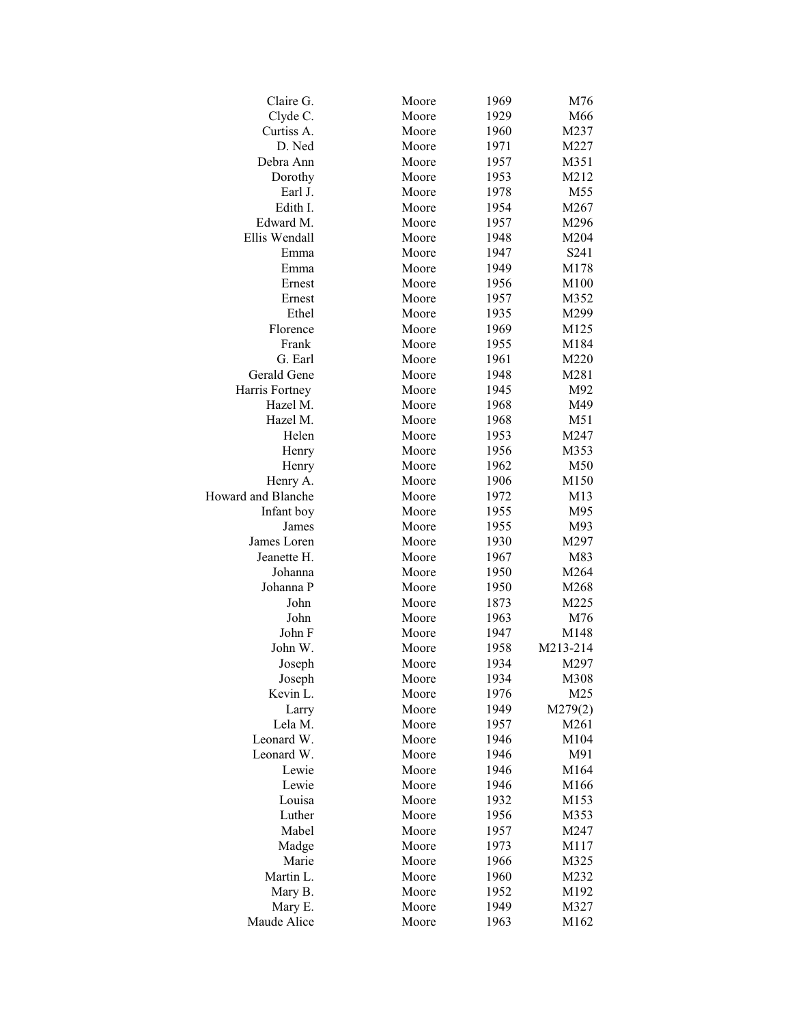| Claire G.          | Moore | 1969 | M76             |
|--------------------|-------|------|-----------------|
| Clyde C.           | Moore | 1929 | M66             |
| Curtiss A.         | Moore | 1960 | M237            |
| D. Ned             | Moore | 1971 | M227            |
| Debra Ann          | Moore | 1957 | M351            |
| Dorothy            | Moore | 1953 | M212            |
| Earl J.            | Moore | 1978 | M <sub>55</sub> |
| Edith I.           | Moore | 1954 | M267            |
| Edward M.          | Moore | 1957 | M296            |
| Ellis Wendall      | Moore | 1948 | M204            |
| Emma               | Moore | 1947 | S241            |
| Emma               | Moore | 1949 | M178            |
| Ernest             | Moore | 1956 | M100            |
| Ernest             | Moore | 1957 | M352            |
| Ethel              | Moore | 1935 | M299            |
| Florence           | Moore | 1969 | M125            |
| Frank              | Moore | 1955 | M184            |
| G. Earl            | Moore | 1961 | M220            |
| Gerald Gene        | Moore | 1948 | M281            |
| Harris Fortney     | Moore | 1945 | M92             |
| Hazel M.           | Moore | 1968 | M49             |
| Hazel M.           | Moore | 1968 | M51             |
| Helen              | Moore | 1953 | M247            |
| Henry              | Moore | 1956 | M353            |
| Henry              | Moore | 1962 | M50             |
| Henry A.           | Moore | 1906 | M150            |
| Howard and Blanche | Moore | 1972 | M13             |
| Infant boy         | Moore | 1955 | M95             |
| James              | Moore | 1955 | M93             |
| James Loren        | Moore | 1930 | M297            |
| Jeanette H.        | Moore | 1967 | M83             |
| Johanna            | Moore | 1950 | M264            |
| Johanna P          | Moore | 1950 | M268            |
| John               | Moore | 1873 | M225            |
| John               | Moore | 1963 | M76             |
| John F             | Moore | 1947 | M148            |
| John W.            | Moore | 1958 | M213-214        |
| Joseph             | Moore | 1934 | M297            |
| Joseph             | Moore | 1934 | M308            |
| Kevin L.           | Moore | 1976 | M25             |
| Larry              | Moore | 1949 | M279(2)         |
| Lela M.            | Moore | 1957 | M261            |
| Leonard W.         | Moore | 1946 | M104            |
| Leonard W.         | Moore | 1946 | M91             |
| Lewie              | Moore | 1946 | M164            |
| Lewie              | Moore | 1946 | M166            |
| Louisa             | Moore | 1932 | M153            |
| Luther             | Moore | 1956 | M353            |
| Mabel              | Moore | 1957 | M247            |
| Madge              | Moore | 1973 | M117            |
| Marie              | Moore | 1966 | M325            |
| Martin L.          | Moore | 1960 | M232            |
| Mary B.            | Moore | 1952 | M192            |
| Mary E.            | Moore | 1949 | M327            |
| Maude Alice        | Moore | 1963 | M162            |
|                    |       |      |                 |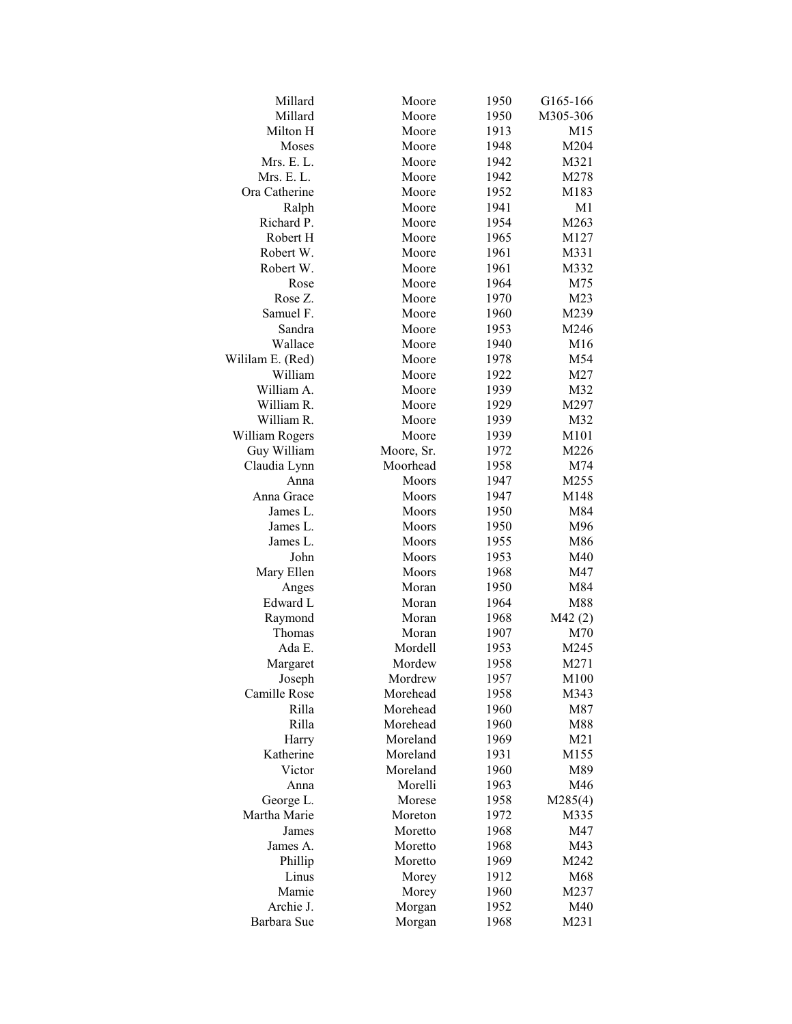| Millard          | Moore      | 1950 | G165-166        |
|------------------|------------|------|-----------------|
| Millard          | Moore      | 1950 | M305-306        |
| Milton H         | Moore      | 1913 | M <sub>15</sub> |
| Moses            | Moore      | 1948 | M204            |
| Mrs. E. L.       | Moore      | 1942 | M321            |
| Mrs. E. L.       | Moore      | 1942 | M278            |
| Ora Catherine    | Moore      | 1952 | M183            |
| Ralph            | Moore      | 1941 | M <sub>1</sub>  |
| Richard P.       | Moore      | 1954 | M263            |
| Robert H         | Moore      | 1965 | M127            |
| Robert W.        | Moore      | 1961 | M331            |
| Robert W.        | Moore      | 1961 | M332            |
| Rose             | Moore      | 1964 | M75             |
| Rose Z.          | Moore      | 1970 | M <sub>23</sub> |
| Samuel F.        | Moore      | 1960 | M239            |
| Sandra           | Moore      | 1953 | M246            |
| Wallace          | Moore      | 1940 | M16             |
| Wililam E. (Red) | Moore      | 1978 | M54             |
| William          | Moore      | 1922 | M27             |
| William A.       | Moore      | 1939 | M32             |
| William R.       | Moore      | 1929 | M297            |
| William R.       | Moore      | 1939 | M32             |
| William Rogers   | Moore      | 1939 | M101            |
| Guy William      | Moore, Sr. | 1972 | M226            |
| Claudia Lynn     | Moorhead   | 1958 | M74             |
| Anna             | Moors      | 1947 | M255            |
| Anna Grace       | Moors      | 1947 | M148            |
| James L.         | Moors      | 1950 | M84             |
| James L.         | Moors      | 1950 | M96             |
| James L.         | Moors      | 1955 | M86             |
| John             | Moors      | 1953 | M40             |
| Mary Ellen       | Moors      | 1968 | M47             |
| Anges            | Moran      | 1950 | M84             |
| Edward L         | Moran      | 1964 | M88             |
| Raymond          | Moran      | 1968 | M42(2)          |
| Thomas           | Moran      | 1907 | M70             |
| Ada E.           | Mordell    | 1953 | M245            |
| Margaret         | Mordew     | 1958 | M271            |
| Joseph           | Mordrew    | 1957 | M100            |
| Camille Rose     | Morehead   | 1958 | M343            |
| Rilla            | Morehead   | 1960 | M87             |
| Rilla            | Morehead   | 1960 | M88             |
| Harry            | Moreland   | 1969 | M21             |
| Katherine        | Moreland   | 1931 | M155            |
| Victor           | Moreland   | 1960 | M89             |
| Anna             | Morelli    | 1963 | M46             |
| George L.        | Morese     | 1958 | M285(4)         |
| Martha Marie     | Moreton    | 1972 | M335            |
| James            | Moretto    | 1968 | M47             |
| James A.         | Moretto    | 1968 | M43             |
| Phillip          | Moretto    | 1969 | M242            |
| Linus            | Morey      | 1912 | M68             |
| Mamie            | Morey      | 1960 | M237            |
| Archie J.        | Morgan     | 1952 | M40             |
| Barbara Sue      | Morgan     | 1968 | M231            |
|                  |            |      |                 |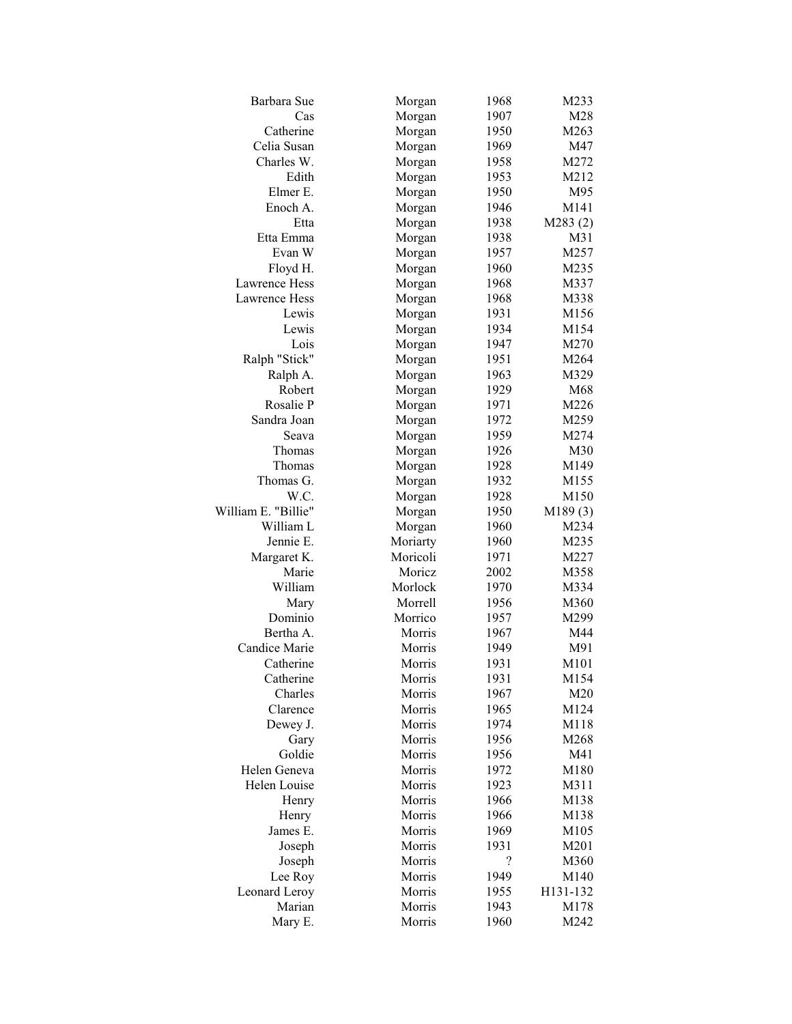| Barbara Sue          | Morgan             | 1968 | M233         |
|----------------------|--------------------|------|--------------|
| Cas                  | Morgan             | 1907 | M28          |
| Catherine            | Morgan             | 1950 | M263         |
| Celia Susan          | Morgan             | 1969 | M47          |
| Charles W.           | Morgan             | 1958 | M272         |
| Edith                | Morgan             | 1953 | M212         |
| Elmer E.             | Morgan             | 1950 | M95          |
| Enoch A.             | Morgan             | 1946 | M141         |
| Etta                 | Morgan             | 1938 | M283(2)      |
| Etta Emma            | Morgan             | 1938 | M31          |
| Evan W               | Morgan             | 1957 | M257         |
| Floyd H.             | Morgan             | 1960 | M235         |
| Lawrence Hess        | Morgan             | 1968 | M337         |
| Lawrence Hess        | Morgan             | 1968 | M338         |
| Lewis                | Morgan             | 1931 | M156         |
| Lewis                | Morgan             | 1934 | M154         |
| Lois                 | Morgan             | 1947 | M270         |
| Ralph "Stick"        | Morgan             | 1951 | M264         |
| Ralph A.             | Morgan             | 1963 | M329         |
| Robert               | Morgan             | 1929 | M68          |
| Rosalie P            | Morgan             | 1971 | M226         |
| Sandra Joan          | Morgan             | 1972 | M259         |
| Seava                | Morgan             | 1959 | M274         |
| Thomas               |                    | 1926 | M30          |
| Thomas               | Morgan             |      | M149         |
| Thomas G.            | Morgan             | 1928 |              |
| W.C.                 | Morgan             | 1932 | M155<br>M150 |
| William E. "Billie"  | Morgan             | 1928 |              |
| William L            | Morgan             | 1950 | M189(3)      |
| Jennie E.            | Morgan             | 1960 | M234         |
|                      | Moriarty           | 1960 | M235         |
| Margaret K.<br>Marie | Moricoli<br>Moricz | 1971 | M227         |
|                      |                    | 2002 | M358         |
| William              | Morlock            | 1970 | M334         |
| Mary                 | Morrell            | 1956 | M360         |
| Dominio              | Morrico            | 1957 | M299         |
| Bertha A.            | Morris             | 1967 | M44          |
| Candice Marie        | Morris             | 1949 | M91          |
| Catherine            | Morris             | 1931 | M101         |
| Catherine            | Morris             | 1931 | M154         |
| Charles              | Morris             | 1967 | M20          |
| Clarence             | Morris             | 1965 | M124         |
| Dewey J.             | Morris             | 1974 | M118         |
| Gary                 | Morris             | 1956 | M268         |
| Goldie               | Morris             | 1956 | M41          |
| Helen Geneva         | Morris             | 1972 | M180         |
| Helen Louise         | Morris             | 1923 | M311         |
| Henry                | Morris             | 1966 | M138         |
| Henry                | Morris             | 1966 | M138         |
| James E.             | Morris             | 1969 | M105         |
| Joseph               | Morris             | 1931 | M201         |
| Joseph               | Morris             | ?    | M360         |
| Lee Roy              | Morris             | 1949 | M140         |
| Leonard Leroy        | Morris             | 1955 | H131-132     |
| Marian               | Morris             | 1943 | M178         |
| Mary E.              | Morris             | 1960 | M242         |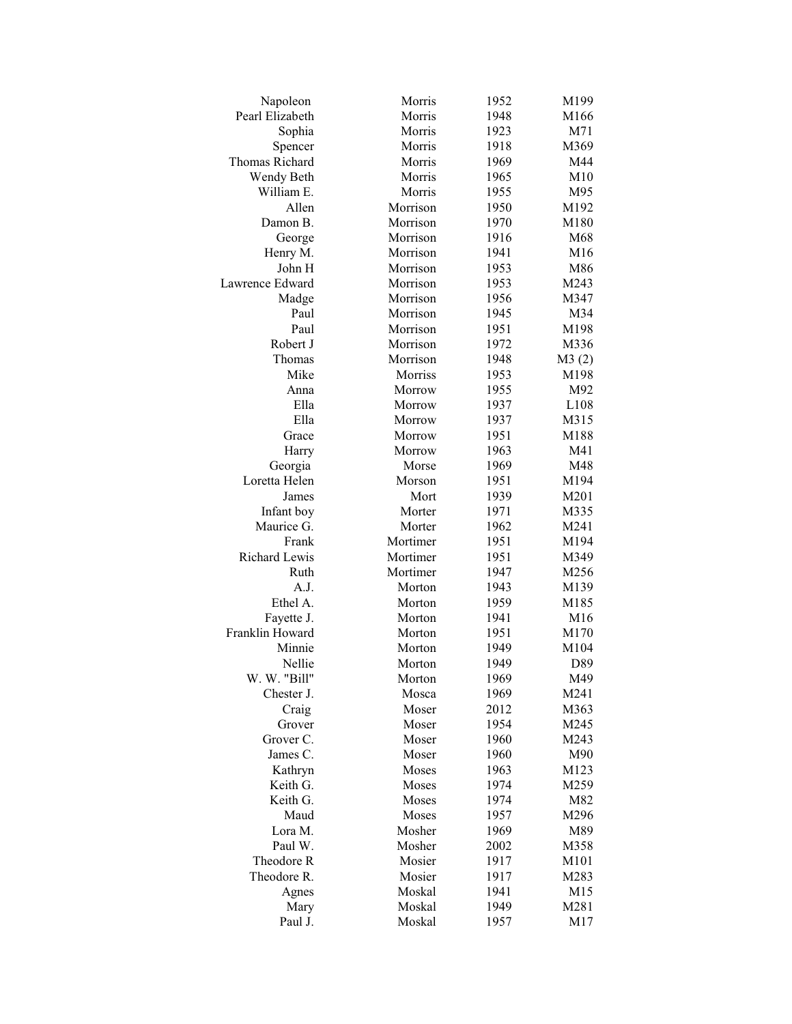| Napoleon        | Morris   | 1952 | M199  |
|-----------------|----------|------|-------|
| Pearl Elizabeth | Morris   | 1948 | M166  |
| Sophia          | Morris   | 1923 | M71   |
| Spencer         | Morris   | 1918 | M369  |
| Thomas Richard  | Morris   | 1969 | M44   |
| Wendy Beth      | Morris   | 1965 | M10   |
| William E.      | Morris   | 1955 | M95   |
| Allen           | Morrison | 1950 | M192  |
| Damon B.        | Morrison | 1970 | M180  |
| George          | Morrison | 1916 | M68   |
| Henry M.        | Morrison | 1941 | M16   |
| John H          | Morrison | 1953 | M86   |
| Lawrence Edward | Morrison | 1953 | M243  |
| Madge           | Morrison | 1956 | M347  |
| Paul            | Morrison | 1945 | M34   |
| Paul            | Morrison | 1951 | M198  |
| Robert J        | Morrison | 1972 | M336  |
| Thomas          | Morrison | 1948 | M3(2) |
| Mike            | Morriss  | 1953 | M198  |
| Anna            | Morrow   | 1955 | M92   |
| Ella            | Morrow   | 1937 | L108  |
| Ella            | Morrow   | 1937 | M315  |
| Grace           | Morrow   | 1951 | M188  |
| Harry           | Morrow   | 1963 | M41   |
| Georgia         | Morse    | 1969 | M48   |
| Loretta Helen   | Morson   | 1951 | M194  |
| James           | Mort     | 1939 | M201  |
| Infant boy      | Morter   | 1971 | M335  |
| Maurice G.      | Morter   | 1962 | M241  |
| Frank           | Mortimer | 1951 | M194  |
| Richard Lewis   | Mortimer | 1951 | M349  |
| Ruth            | Mortimer | 1947 | M256  |
| A.J.            | Morton   | 1943 | M139  |
| Ethel A.        | Morton   | 1959 | M185  |
| Fayette J.      | Morton   | 1941 | M16   |
| Franklin Howard | Morton   | 1951 | M170  |
| Minnie          | Morton   | 1949 | M104  |
| Nellie          | Morton   | 1949 | D89   |
| W. W. "Bill"    | Morton   | 1969 | M49   |
| Chester J.      | Mosca    | 1969 | M241  |
| Craig           | Moser    | 2012 | M363  |
| Grover          | Moser    | 1954 | M245  |
| Grover C.       | Moser    | 1960 | M243  |
| James C.        | Moser    | 1960 | M90   |
| Kathryn         | Moses    | 1963 | M123  |
| Keith G.        | Moses    | 1974 | M259  |
| Keith G.        | Moses    | 1974 | M82   |
| Maud            | Moses    | 1957 | M296  |
| Lora M.         | Mosher   | 1969 | M89   |
| Paul W.         | Mosher   | 2002 | M358  |
| Theodore R      | Mosier   | 1917 | M101  |
| Theodore R.     | Mosier   | 1917 | M283  |
| Agnes           | Moskal   | 1941 | M15   |
| Mary            | Moskal   | 1949 | M281  |
| Paul J.         | Moskal   | 1957 | M17   |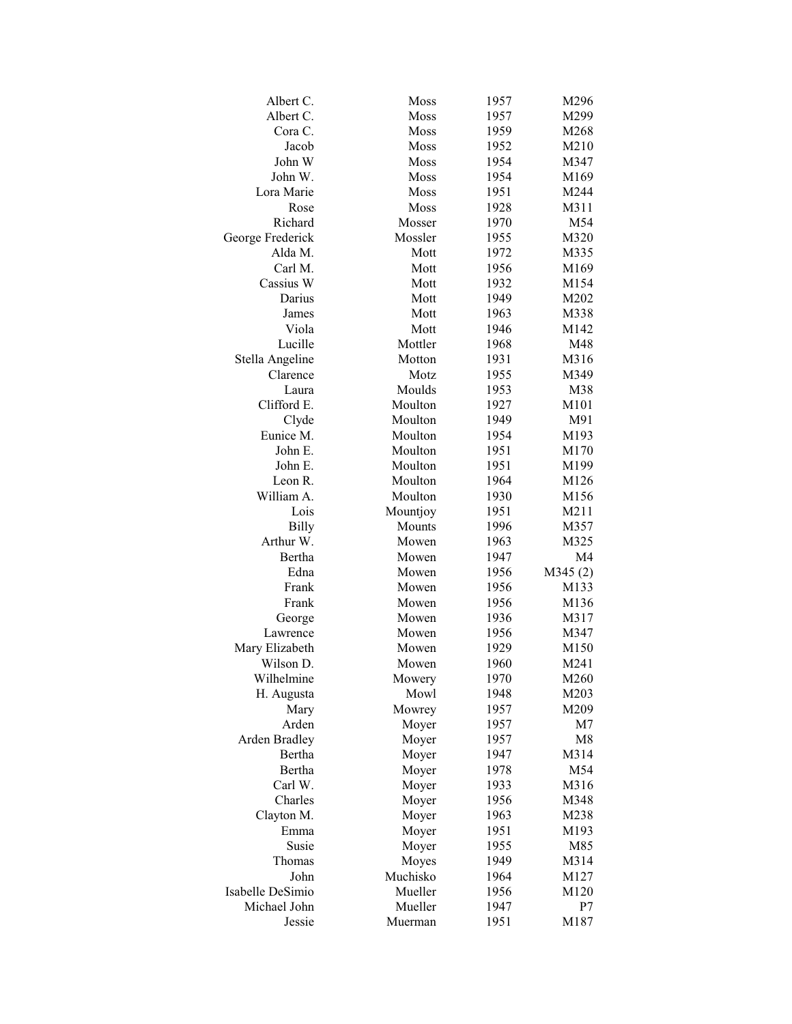| Albert C.        | Moss     | 1957 | M296             |
|------------------|----------|------|------------------|
| Albert C.        | Moss     | 1957 | M299             |
| Cora C.          | Moss     | 1959 | M268             |
| Jacob            | Moss     | 1952 | M210             |
| John W           | Moss     | 1954 | M347             |
| John W.          | Moss     | 1954 | M169             |
| Lora Marie       | Moss     | 1951 | M244             |
| Rose             | Moss     | 1928 | M311             |
| Richard          | Mosser   | 1970 | M54              |
| George Frederick | Mossler  | 1955 | M320             |
| Alda M.          | Mott     | 1972 | M335             |
| Carl M.          | Mott     | 1956 | M169             |
| Cassius W        | Mott     | 1932 | M154             |
| Darius           | Mott     | 1949 | M202             |
| James            | Mott     | 1963 | M338             |
| Viola            | Mott     | 1946 | M142             |
| Lucille          | Mottler  | 1968 | M48              |
| Stella Angeline  | Motton   | 1931 | M316             |
| Clarence         | Motz     | 1955 | M349             |
| Laura            | Moulds   | 1953 | M38              |
| Clifford E.      | Moulton  | 1927 | M101             |
| Clyde            | Moulton  | 1949 | M91              |
| Eunice M.        | Moulton  | 1954 | M193             |
| John E.          | Moulton  | 1951 | M170             |
| John E.          | Moulton  | 1951 | M199             |
| Leon R.          | Moulton  | 1964 | M126             |
| William A.       | Moulton  | 1930 | M156             |
| Lois             | Mountjoy | 1951 | M211             |
| <b>Billy</b>     | Mounts   | 1996 | M357             |
| Arthur W.        | Mowen    | 1963 | M325             |
| Bertha           | Mowen    | 1947 | M <sub>4</sub>   |
| Edna             | Mowen    | 1956 | M345(2)          |
| Frank            | Mowen    | 1956 | M133             |
| Frank            | Mowen    | 1956 | M136             |
| George           | Mowen    | 1936 | M317             |
| Lawrence         | Mowen    | 1956 | M347             |
| Mary Elizabeth   | Mowen    | 1929 | M <sub>150</sub> |
| Wilson D.        | Mowen    | 1960 | M241             |
| Wilhelmine       | Mowery   | 1970 | M260             |
| H. Augusta       | Mowl     | 1948 | M203             |
| Mary             | Mowrey   | 1957 | M209             |
| Arden            | Moyer    | 1957 | M7               |
| Arden Bradley    | Moyer    | 1957 | M8               |
| Bertha           | Moyer    | 1947 | M314             |
| Bertha           | Moyer    | 1978 | M54              |
| Carl W.          | Moyer    | 1933 | M316             |
| Charles          | Moyer    | 1956 | M348             |
| Clayton M.       | Moyer    | 1963 | M238             |
| Emma             | Moyer    | 1951 | M193             |
| Susie            | Moyer    | 1955 | M85              |
| Thomas           | Moyes    | 1949 | M314             |
| John             | Muchisko | 1964 | M127             |
| Isabelle DeSimio | Mueller  | 1956 | M120             |
| Michael John     | Mueller  | 1947 | P7               |
| Jessie           | Muerman  | 1951 | M187             |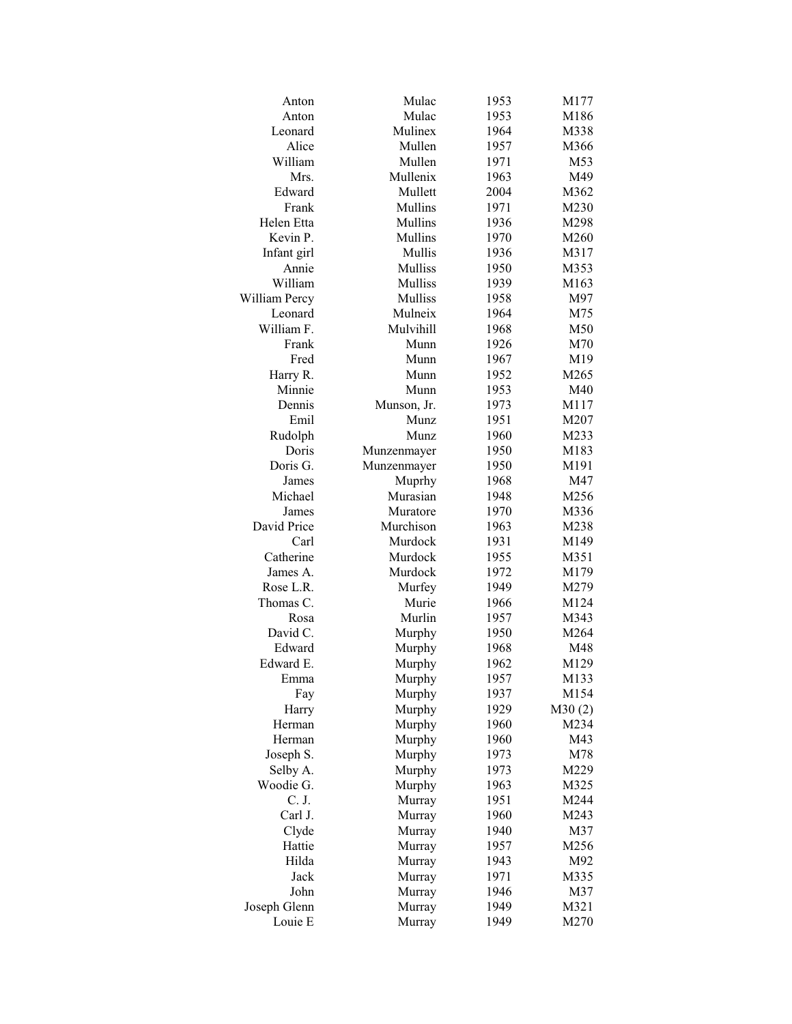| Anton         | Mulac       | 1953 | M177   |
|---------------|-------------|------|--------|
| Anton         | Mulac       | 1953 | M186   |
| Leonard       | Mulinex     | 1964 | M338   |
| Alice         | Mullen      | 1957 | M366   |
| William       | Mullen      | 1971 | M53    |
| Mrs.          | Mullenix    | 1963 | M49    |
| Edward        | Mullett     | 2004 | M362   |
| Frank         | Mullins     | 1971 | M230   |
| Helen Etta    | Mullins     | 1936 | M298   |
| Kevin P.      | Mullins     | 1970 | M260   |
| Infant girl   | Mullis      | 1936 | M317   |
| Annie         | Mulliss     | 1950 | M353   |
| William       | Mulliss     | 1939 | M163   |
| William Percy | Mulliss     | 1958 | M97    |
| Leonard       | Mulneix     | 1964 | M75    |
| William F.    | Mulvihill   | 1968 | M50    |
| Frank         | Munn        | 1926 | M70    |
| Fred          | Munn        | 1967 | M19    |
| Harry R.      | Munn        | 1952 | M265   |
| Minnie        | Munn        | 1953 | M40    |
| Dennis        | Munson, Jr. | 1973 | M117   |
| Emil          | Munz        | 1951 | M207   |
| Rudolph       | Munz        | 1960 | M233   |
| Doris         | Munzenmayer | 1950 | M183   |
| Doris G.      | Munzenmayer | 1950 | M191   |
| James         | Muprhy      | 1968 | M47    |
| Michael       | Murasian    | 1948 | M256   |
| James         | Muratore    | 1970 | M336   |
| David Price   | Murchison   | 1963 | M238   |
| Carl          | Murdock     | 1931 | M149   |
| Catherine     | Murdock     | 1955 | M351   |
| James A.      | Murdock     | 1972 | M179   |
| Rose L.R.     | Murfey      | 1949 | M279   |
| Thomas C.     | Murie       | 1966 | M124   |
| Rosa          | Murlin      | 1957 | M343   |
| David C.      | Murphy      | 1950 | M264   |
| Edward        | Murphy      | 1968 | M48    |
| Edward E.     | Murphy      | 1962 | M129   |
| Emma          | Murphy      | 1957 | M133   |
| Fay           | Murphy      | 1937 | M154   |
| Harry         | Murphy      | 1929 | M30(2) |
| Herman        | Murphy      | 1960 | M234   |
| Herman        | Murphy      | 1960 | M43    |
| Joseph S.     | Murphy      | 1973 | M78    |
| Selby A.      | Murphy      | 1973 | M229   |
| Woodie G.     | Murphy      | 1963 | M325   |
| C. J.         | Murray      | 1951 | M244   |
| Carl J.       | Murray      | 1960 | M243   |
| Clyde         | Murray      | 1940 | M37    |
| Hattie        | Murray      | 1957 | M256   |
| Hilda         | Murray      | 1943 | M92    |
| Jack          | Murray      | 1971 | M335   |
| John          | Murray      | 1946 | M37    |
| Joseph Glenn  | Murray      | 1949 | M321   |
| Louie E       | Murray      | 1949 | M270   |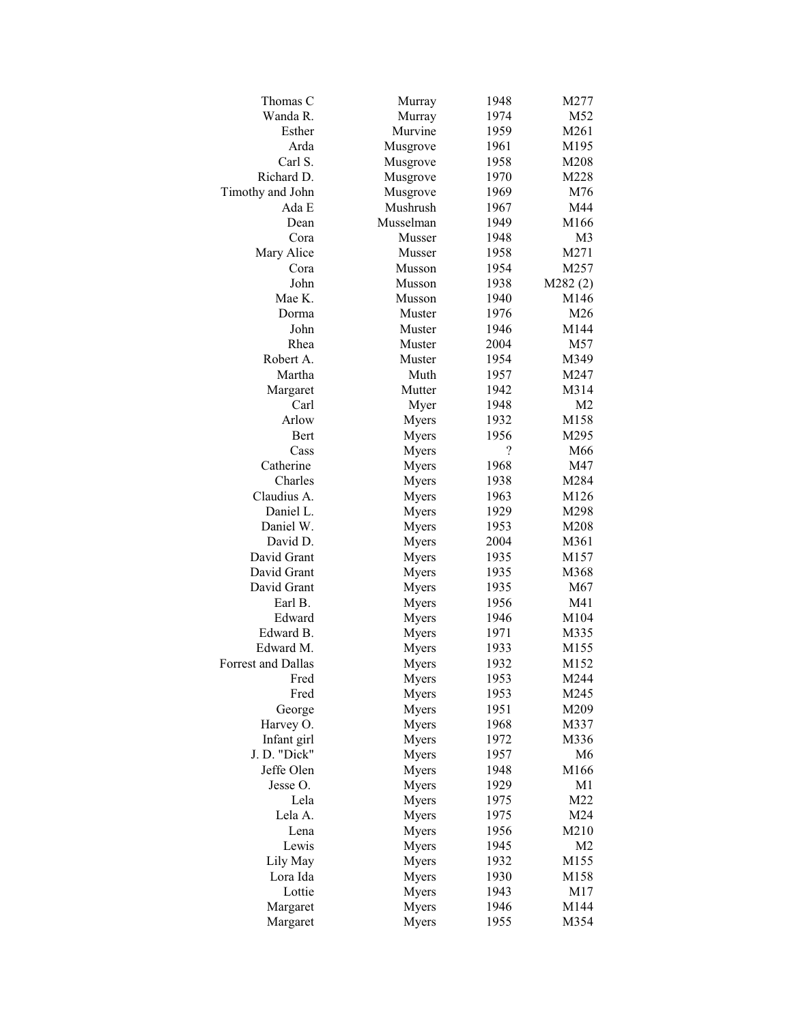| Thomas C           | Murray    | 1948 | M277           |
|--------------------|-----------|------|----------------|
| Wanda R.           | Murray    | 1974 | M52            |
| Esther             | Murvine   | 1959 | M261           |
| Arda               | Musgrove  | 1961 | M195           |
| Carl S.            | Musgrove  | 1958 | M208           |
| Richard D.         | Musgrove  | 1970 | M228           |
| Timothy and John   | Musgrove  | 1969 | M76            |
| Ada E              | Mushrush  | 1967 | M44            |
| Dean               | Musselman | 1949 | M166           |
| Cora               | Musser    | 1948 | M <sub>3</sub> |
| Mary Alice         | Musser    | 1958 | M271           |
| Cora               | Musson    | 1954 | M257           |
| John               | Musson    | 1938 | M282(2)        |
| Mae K.             | Musson    | 1940 | M146           |
| Dorma              | Muster    | 1976 | M26            |
| John               | Muster    | 1946 | M144           |
| Rhea               | Muster    | 2004 | M57            |
| Robert A.          | Muster    | 1954 | M349           |
| Martha             | Muth      | 1957 | M247           |
| Margaret           | Mutter    | 1942 | M314           |
| Carl               | Myer      | 1948 | M <sub>2</sub> |
| Arlow              | Myers     | 1932 | M158           |
| Bert               | Myers     | 1956 | M295           |
| Cass               | Myers     | ?    | M66            |
| Catherine          | Myers     | 1968 | M47            |
| Charles            |           | 1938 | M284           |
| Claudius A.        | Myers     |      |                |
|                    | Myers     | 1963 | M126           |
| Daniel L.          | Myers     | 1929 | M298           |
| Daniel W.          | Myers     | 1953 | M208           |
| David D.           | Myers     | 2004 | M361           |
| David Grant        | Myers     | 1935 | M157           |
| David Grant        | Myers     | 1935 | M368           |
| David Grant        | Myers     | 1935 | M67            |
| Earl B.            | Myers     | 1956 | M41            |
| Edward             | Myers     | 1946 | M104           |
| Edward B.          | Myers     | 1971 | M335           |
| Edward M.          | Myers     | 1933 | M155           |
| Forrest and Dallas | Myers     | 1932 | M152           |
| Fred               | Myers     | 1953 | M244           |
| Fred               | Myers     | 1953 | M245           |
| George             | Myers     | 1951 | M209           |
| Harvey O.          | Myers     | 1968 | M337           |
| Infant girl        | Myers     | 1972 | M336           |
| J.D. "Dick"        | Myers     | 1957 | M6             |
| Jeffe Olen         | Myers     | 1948 | M166           |
| Jesse O.           | Myers     | 1929 | M1             |
| Lela               | Myers     | 1975 | M22            |
| Lela A.            | Myers     | 1975 | M24            |
| Lena               | Myers     | 1956 | M210           |
| Lewis              | Myers     | 1945 | M <sub>2</sub> |
| Lily May           | Myers     | 1932 | M155           |
| Lora Ida           | Myers     | 1930 | M158           |
| Lottie             | Myers     | 1943 | M17            |
| Margaret           | Myers     | 1946 | M144           |
| Margaret           | Myers     | 1955 | M354           |